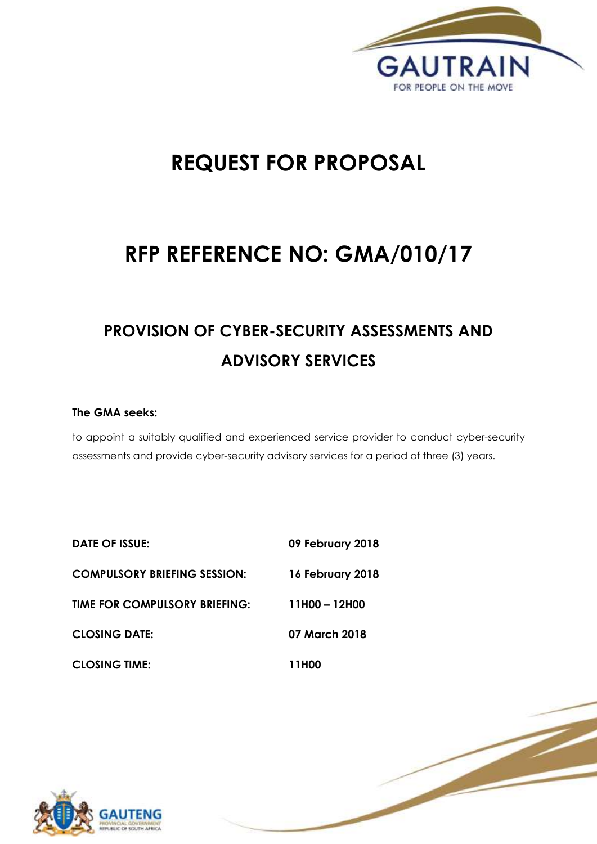

1 | P a g e

# **REQUEST FOR PROPOSAL**

# **RFP REFERENCE NO: GMA/010/17**

# **PROVISION OF CYBER-SECURITY ASSESSMENTS AND ADVISORY SERVICES**

# **The GMA seeks:**

to appoint a suitably qualified and experienced service provider to conduct cyber-security assessments and provide cyber-security advisory services for a period of three (3) years.

| <b>DATE OF ISSUE:</b>               | 09 February 2018 |
|-------------------------------------|------------------|
| <b>COMPULSORY BRIEFING SESSION:</b> | 16 February 2018 |
| TIME FOR COMPULSORY BRIEFING:       | 11H00 - 12H00    |
| <b>CLOSING DATE:</b>                | 07 March 2018    |
| <b>CLOSING TIME:</b>                | 11H00            |

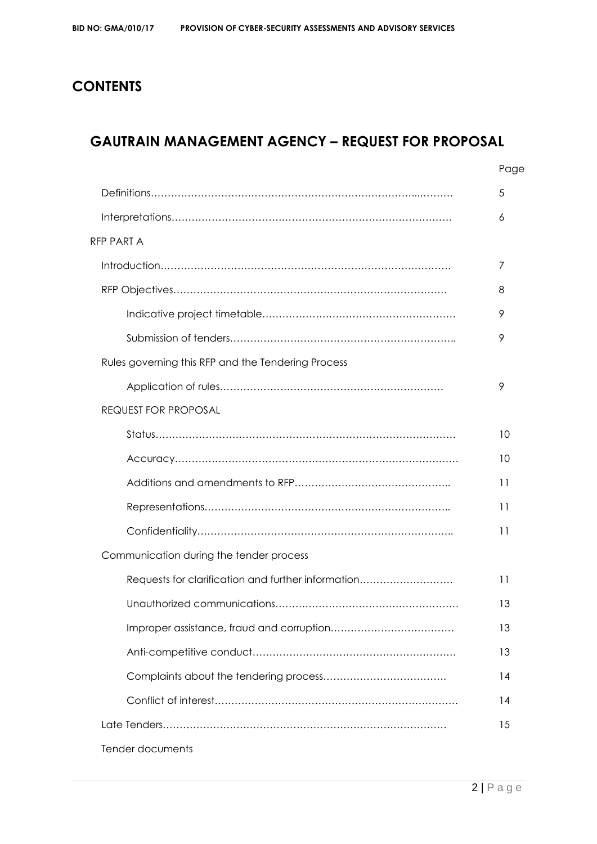# **CONTENTS**

# **GAUTRAIN MANAGEMENT AGENCY – REQUEST FOR PROPOSAL**

|                                                    | Page |
|----------------------------------------------------|------|
|                                                    | 5    |
|                                                    | 6    |
| RFP PART A                                         |      |
|                                                    | 7    |
|                                                    | 8    |
|                                                    | 9    |
|                                                    | 9    |
| Rules governing this RFP and the Tendering Process |      |
|                                                    | 9    |
| <b>REQUEST FOR PROPOSAL</b>                        |      |
|                                                    | 10   |
|                                                    | 10   |
|                                                    | 11   |
|                                                    | 11   |
|                                                    | 11   |
| Communication during the tender process            |      |
| Requests for clarification and further information | 11   |
|                                                    | 13   |
|                                                    | 13   |
|                                                    | 13   |
|                                                    | 14   |
|                                                    | 14   |
|                                                    | 15   |
| Tender documents                                   |      |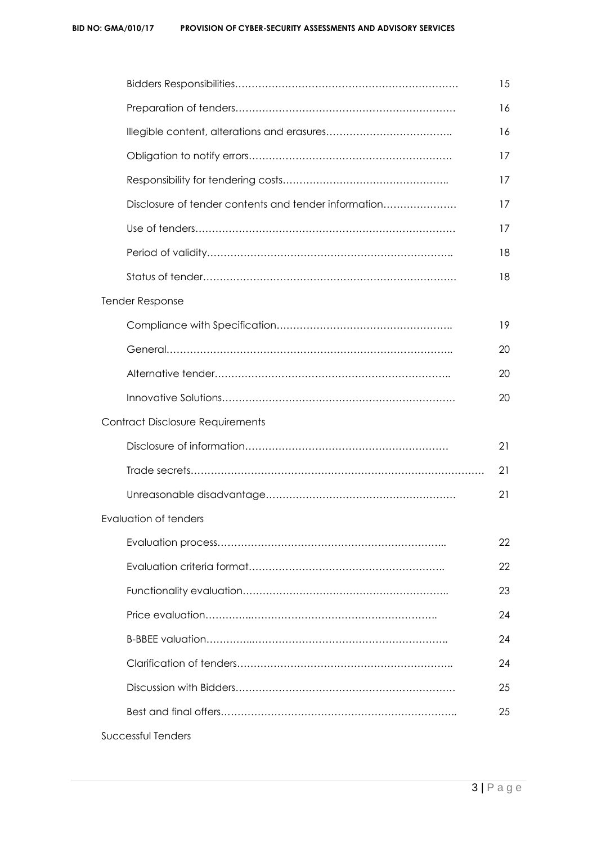|                              |                                                      | 15 |
|------------------------------|------------------------------------------------------|----|
|                              |                                                      | 16 |
|                              |                                                      | 16 |
|                              |                                                      | 17 |
|                              |                                                      | 17 |
|                              | Disclosure of tender contents and tender information | 17 |
|                              |                                                      | 17 |
|                              |                                                      | 18 |
|                              |                                                      | 18 |
| <b>Tender Response</b>       |                                                      |    |
|                              |                                                      | 19 |
|                              |                                                      | 20 |
|                              |                                                      | 20 |
|                              |                                                      | 20 |
|                              | <b>Contract Disclosure Requirements</b>              |    |
|                              |                                                      | 21 |
|                              |                                                      | 21 |
|                              |                                                      | 21 |
| <b>Evaluation of tenders</b> |                                                      |    |
|                              |                                                      | 22 |
|                              |                                                      | 22 |
|                              |                                                      | 23 |
|                              |                                                      | 24 |
|                              |                                                      | 24 |
|                              |                                                      | 24 |
|                              |                                                      | 25 |
|                              |                                                      | 25 |
| Successful Tenders           |                                                      |    |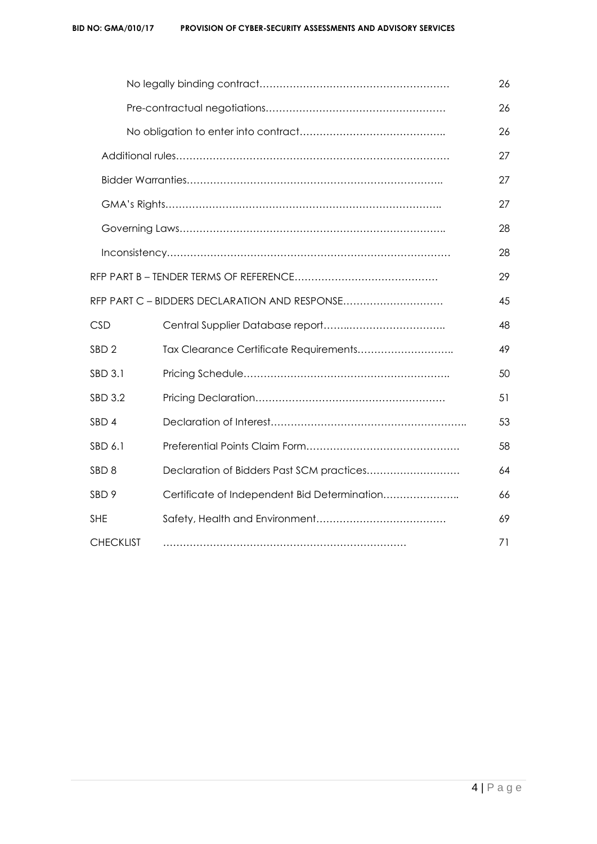|                  |                                               | 26 |
|------------------|-----------------------------------------------|----|
|                  |                                               | 26 |
|                  |                                               | 26 |
|                  |                                               | 27 |
|                  |                                               | 27 |
|                  |                                               | 27 |
|                  |                                               | 28 |
|                  |                                               | 28 |
|                  |                                               | 29 |
|                  | RFP PART C - BIDDERS DECLARATION AND RESPONSE | 45 |
| <b>CSD</b>       |                                               | 48 |
| SBD <sub>2</sub> |                                               | 49 |
| SBD 3.1          |                                               | 50 |
| SBD 3.2          |                                               | 51 |
| SBD <sub>4</sub> |                                               | 53 |
| SBD 6.1          |                                               | 58 |
| SBD <sub>8</sub> | Declaration of Bidders Past SCM practices     | 64 |
| SBD <sub>9</sub> | Certificate of Independent Bid Determination  | 66 |
| <b>SHE</b>       |                                               | 69 |
| <b>CHECKLIST</b> |                                               | 71 |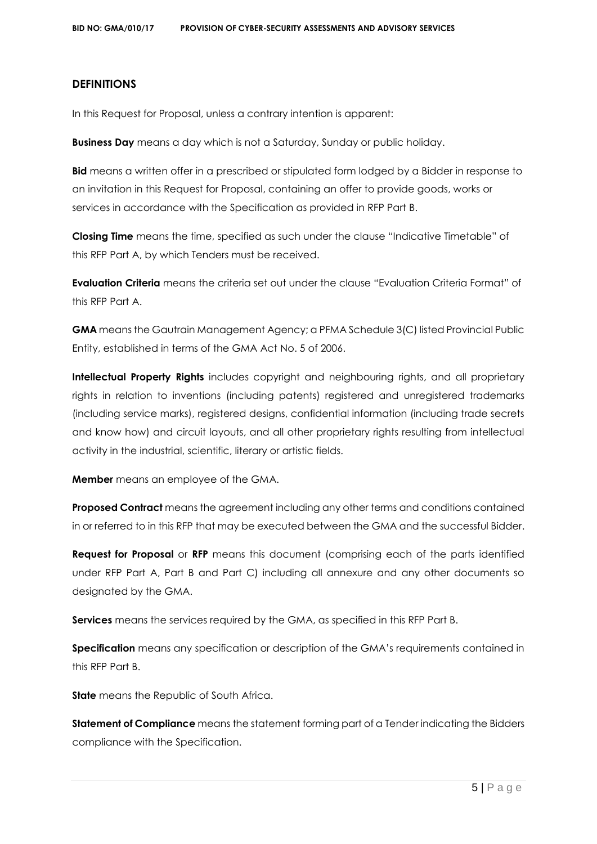## **DEFINITIONS**

In this Request for Proposal, unless a contrary intention is apparent:

**Business Day** means a day which is not a Saturday, Sunday or public holiday.

**Bid** means a written offer in a prescribed or stipulated form lodged by a Bidder in response to an invitation in this Request for Proposal, containing an offer to provide goods, works or services in accordance with the Specification as provided in RFP Part B.

**Closing Time** means the time, specified as such under the clause "Indicative Timetable" of this RFP Part A, by which Tenders must be received.

**Evaluation Criteria** means the criteria set out under the clause "Evaluation Criteria Format" of this RFP Part A.

**GMA** means the Gautrain Management Agency; a PFMA Schedule 3(C) listed Provincial Public Entity, established in terms of the GMA Act No. 5 of 2006.

**Intellectual Property Rights** includes copyright and neighbouring rights, and all proprietary rights in relation to inventions (including patents) registered and unregistered trademarks (including service marks), registered designs, confidential information (including trade secrets and know how) and circuit layouts, and all other proprietary rights resulting from intellectual activity in the industrial, scientific, literary or artistic fields.

**Member** means an employee of the GMA.

**Proposed Contract** means the agreement including any other terms and conditions contained in or referred to in this RFP that may be executed between the GMA and the successful Bidder.

**Request for Proposal** or **RFP** means this document (comprising each of the parts identified under RFP Part A, Part B and Part C) including all annexure and any other documents so designated by the GMA.

**Services** means the services required by the GMA, as specified in this RFP Part B.

**Specification** means any specification or description of the GMA's requirements contained in this RFP Part B.

**State** means the Republic of South Africa.

**Statement of Compliance** means the statement forming part of a Tender indicating the Bidders compliance with the Specification.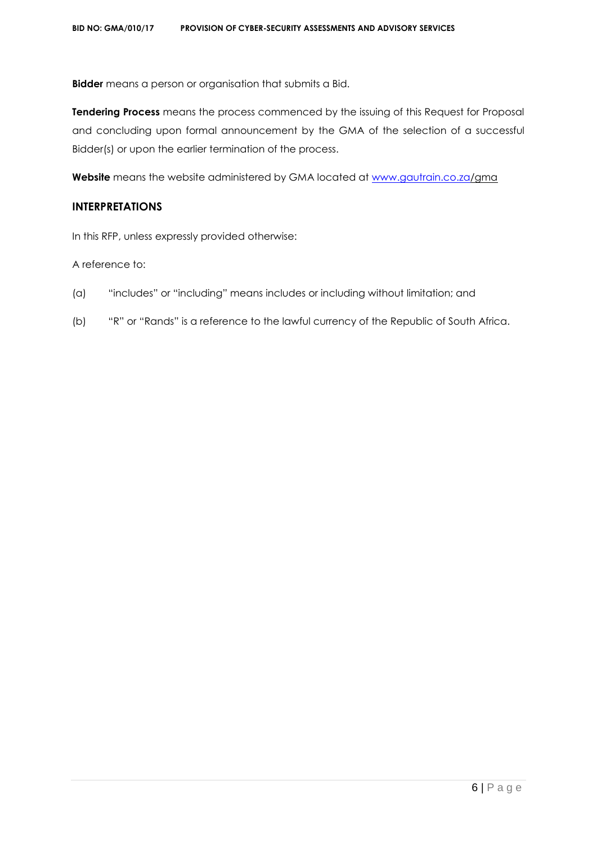**Bidder** means a person or organisation that submits a Bid.

**Tendering Process** means the process commenced by the issuing of this Request for Proposal and concluding upon formal announcement by the GMA of the selection of a successful Bidder(s) or upon the earlier termination of the process.

**Website** means the website administered by GMA located at [www.gautrain.co.za/](http://www.gautrain.co.za/)gma

# **INTERPRETATIONS**

In this RFP, unless expressly provided otherwise:

A reference to:

- (a) "includes" or "including" means includes or including without limitation; and
- (b) "R" or "Rands" is a reference to the lawful currency of the Republic of South Africa.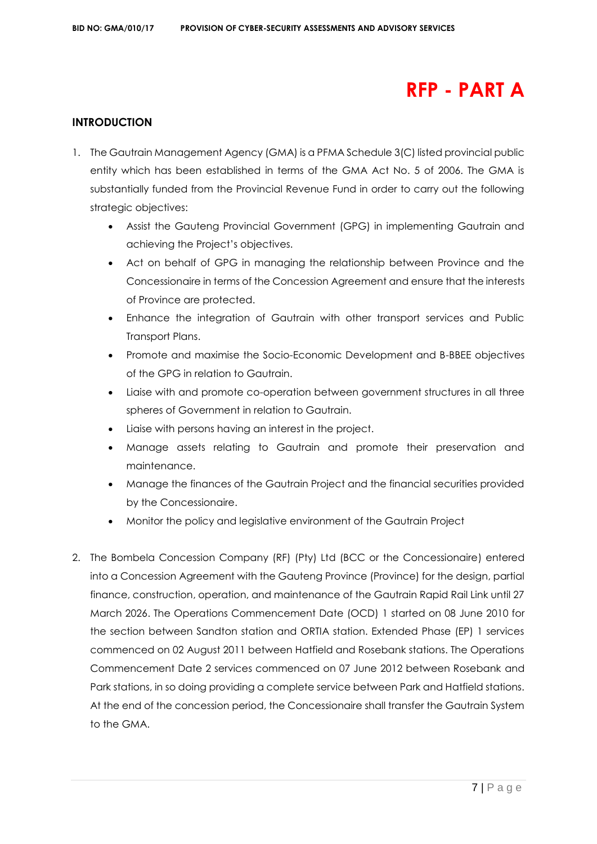# **RFP - PART A**

# **INTRODUCTION**

- 1. The Gautrain Management Agency (GMA) is a PFMA Schedule 3(C) listed provincial public entity which has been established in terms of the GMA Act No. 5 of 2006. The GMA is substantially funded from the Provincial Revenue Fund in order to carry out the following strategic objectives:
	- Assist the Gauteng Provincial Government (GPG) in implementing Gautrain and achieving the Project's objectives.
	- Act on behalf of GPG in managing the relationship between Province and the Concessionaire in terms of the Concession Agreement and ensure that the interests of Province are protected.
	- Enhance the integration of Gautrain with other transport services and Public Transport Plans.
	- Promote and maximise the Socio-Economic Development and B-BBEE objectives of the GPG in relation to Gautrain.
	- Liaise with and promote co-operation between government structures in all three spheres of Government in relation to Gautrain.
	- Liaise with persons having an interest in the project.
	- Manage assets relating to Gautrain and promote their preservation and maintenance.
	- Manage the finances of the Gautrain Project and the financial securities provided by the Concessionaire.
	- Monitor the policy and legislative environment of the Gautrain Project
- 2. The Bombela Concession Company (RF) (Pty) Ltd (BCC or the Concessionaire) entered into a Concession Agreement with the Gauteng Province (Province) for the design, partial finance, construction, operation, and maintenance of the Gautrain Rapid Rail Link until 27 March 2026. The Operations Commencement Date (OCD) 1 started on 08 June 2010 for the section between Sandton station and ORTIA station. Extended Phase (EP) 1 services commenced on 02 August 2011 between Hatfield and Rosebank stations. The Operations Commencement Date 2 services commenced on 07 June 2012 between Rosebank and Park stations, in so doing providing a complete service between Park and Hatfield stations. At the end of the concession period, the Concessionaire shall transfer the Gautrain System to the GMA.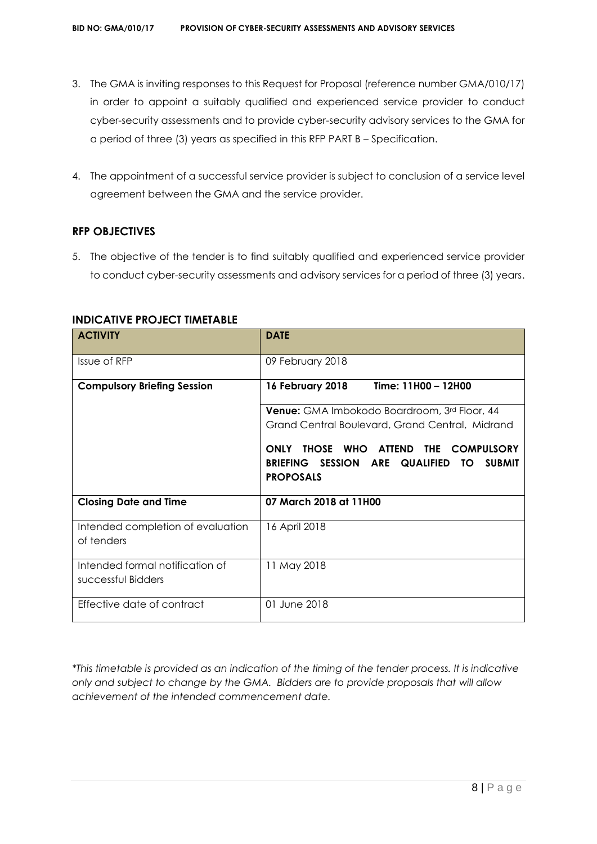- 3. The GMA is inviting responses to this Request for Proposal (reference number GMA/010/17) in order to appoint a suitably qualified and experienced service provider to conduct cyber-security assessments and to provide cyber-security advisory services to the GMA for a period of three (3) years as specified in this RFP PART B – Specification.
- 4. The appointment of a successful service provider is subject to conclusion of a service level agreement between the GMA and the service provider.

# **RFP OBJECTIVES**

5. The objective of the tender is to find suitably qualified and experienced service provider to conduct cyber-security assessments and advisory services for a period of three (3) years.

| <b>ACTIVITY</b>                                       | <b>DATE</b>                                                                                                                                         |  |  |
|-------------------------------------------------------|-----------------------------------------------------------------------------------------------------------------------------------------------------|--|--|
| Issue of RFP                                          | 09 February 2018                                                                                                                                    |  |  |
| <b>Compulsory Briefing Session</b>                    | 16 February 2018<br>Time: 11H00 - 12H00                                                                                                             |  |  |
|                                                       | <b>Venue:</b> GMA Imbokodo Boardroom, 3rd Floor, 44                                                                                                 |  |  |
|                                                       | Grand Central Boulevard, Grand Central, Midrand                                                                                                     |  |  |
|                                                       | THOSE WHO<br><b>ONLY</b><br><b>ATTEND</b><br>THE<br><b>COMPULSORY</b><br>BRIEFING SESSION ARE QUALIFIED<br><b>SUBMIT</b><br>TO.<br><b>PROPOSALS</b> |  |  |
| <b>Closing Date and Time</b>                          | 07 March 2018 at 11H00                                                                                                                              |  |  |
| Intended completion of evaluation<br>of tenders       | 16 April 2018                                                                                                                                       |  |  |
| Intended formal notification of<br>successful Bidders | 11 May 2018                                                                                                                                         |  |  |
| Effective date of contract                            | 01 June 2018                                                                                                                                        |  |  |

# **INDICATIVE PROJECT TIMETABLE**

*\*This timetable is provided as an indication of the timing of the tender process. It is indicative only and subject to change by the GMA. Bidders are to provide proposals that will allow achievement of the intended commencement date.*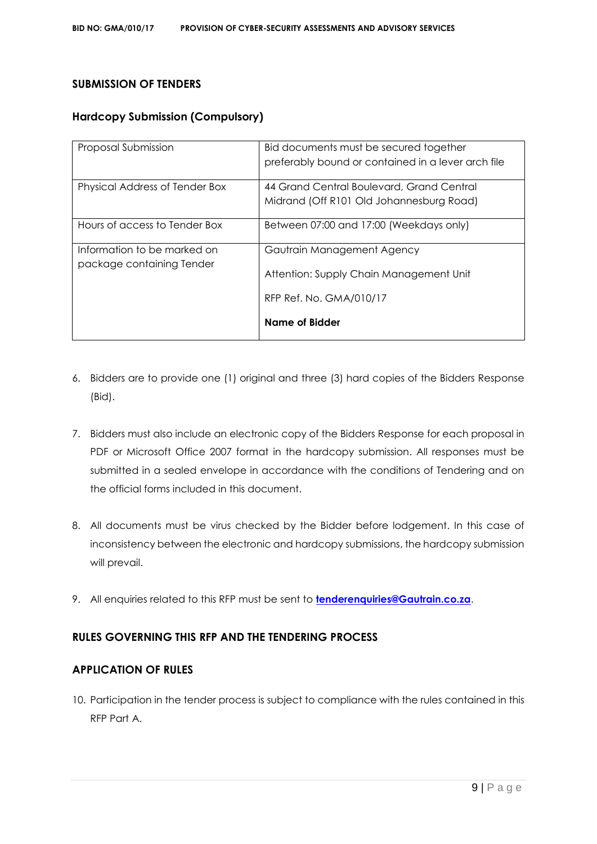# **SUBMISSION OF TENDERS**

# **Hardcopy Submission (Compulsory)**

| Proposal Submission                                      | Bid documents must be secured together<br>preferably bound or contained in a lever arch file |
|----------------------------------------------------------|----------------------------------------------------------------------------------------------|
| Physical Address of Tender Box                           | 44 Grand Central Boulevard, Grand Central<br>Midrand (Off R101 Old Johannesburg Road)        |
| Hours of access to Tender Box                            | Between 07:00 and 17:00 (Weekdays only)                                                      |
| Information to be marked on<br>package containing Tender | Gautrain Management Agency<br>Attention: Supply Chain Management Unit                        |
|                                                          | RFP Ref. No. GMA/010/17<br>Name of Bidder                                                    |

- 6. Bidders are to provide one (1) original and three (3) hard copies of the Bidders Response (Bid).
- 7. Bidders must also include an electronic copy of the Bidders Response for each proposal in PDF or Microsoft Office 2007 format in the hardcopy submission. All responses must be submitted in a sealed envelope in accordance with the conditions of Tendering and on the official forms included in this document.
- 8. All documents must be virus checked by the Bidder before lodgement. In this case of inconsistency between the electronic and hardcopy submissions, the hardcopy submission will prevail.
- 9. All enquiries related to this RFP must be sent to **[tenderenquiries@Gautrain.co.za](mailto:tenderenquiries@Gautrain.co.za)**.

# **RULES GOVERNING THIS RFP AND THE TENDERING PROCESS**

# **APPLICATION OF RULES**

10. Participation in the tender process is subject to compliance with the rules contained in this RFP Part A.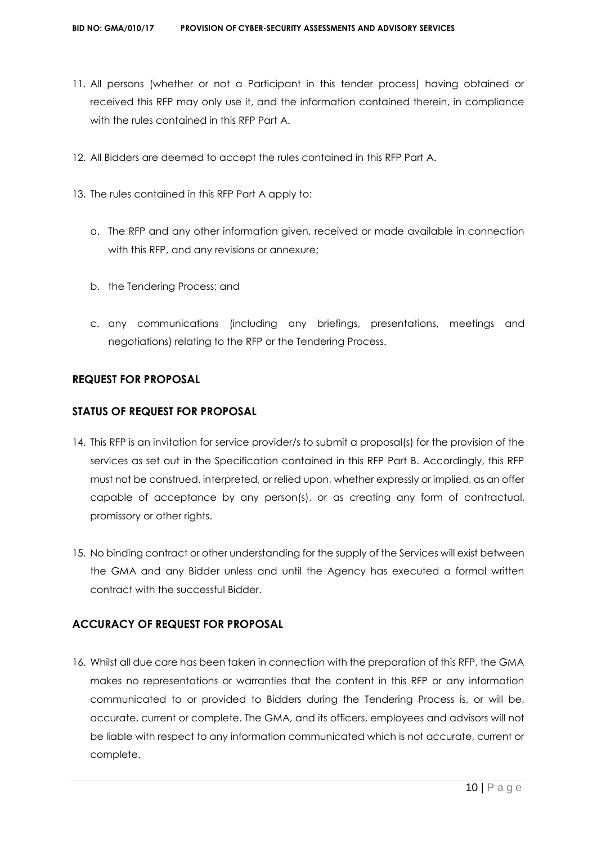- 11. All persons (whether or not a Participant in this tender process) having obtained or received this RFP may only use it, and the information contained therein, in compliance with the rules contained in this RFP Part A.
- 12. All Bidders are deemed to accept the rules contained in this RFP Part A.
- 13. The rules contained in this RFP Part A apply to:
	- a. The RFP and any other information given, received or made available in connection with this RFP, and any revisions or annexure;
	- b. the Tendering Process; and
	- c. any communications (including any briefings, presentations, meetings and negotiations) relating to the RFP or the Tendering Process.

# **REQUEST FOR PROPOSAL**

## **STATUS OF REQUEST FOR PROPOSAL**

- 14. This RFP is an invitation for service provider/s to submit a proposal(s) for the provision of the services as set out in the Specification contained in this RFP Part B. Accordingly, this RFP must not be construed, interpreted, or relied upon, whether expressly or implied, as an offer capable of acceptance by any person(s), or as creating any form of contractual, promissory or other rights.
- 15. No binding contract or other understanding for the supply of the Services will exist between the GMA and any Bidder unless and until the Agency has executed a formal written contract with the successful Bidder.

# **ACCURACY OF REQUEST FOR PROPOSAL**

16. Whilst all due care has been taken in connection with the preparation of this RFP, the GMA makes no representations or warranties that the content in this RFP or any information communicated to or provided to Bidders during the Tendering Process is, or will be, accurate, current or complete. The GMA, and its officers, employees and advisors will not be liable with respect to any information communicated which is not accurate, current or complete.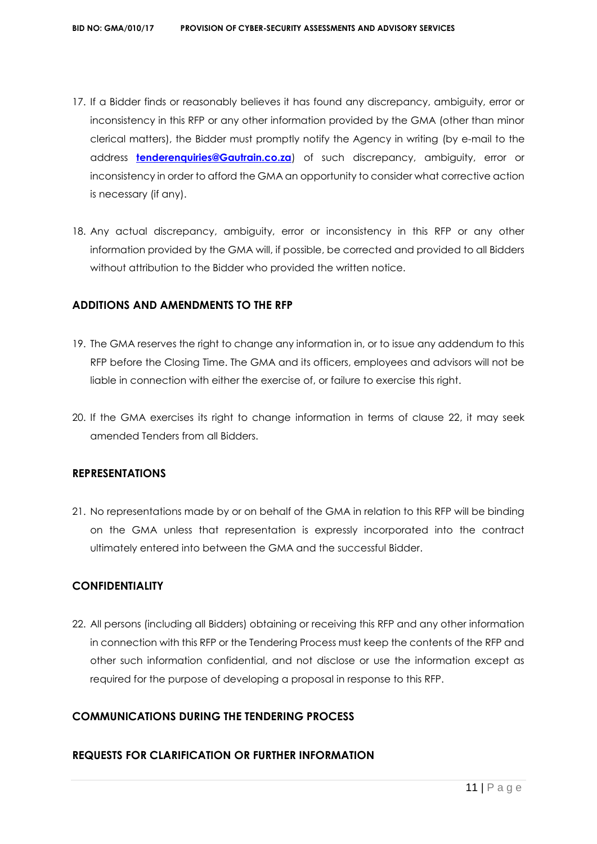- 17. If a Bidder finds or reasonably believes it has found any discrepancy, ambiguity, error or inconsistency in this RFP or any other information provided by the GMA (other than minor clerical matters), the Bidder must promptly notify the Agency in writing (by e-mail to the address **[tenderenquiries@Gautrain.co.za](mailto:tenderenquiries@gautrainpo.co.za)**) of such discrepancy, ambiguity, error or inconsistency in order to afford the GMA an opportunity to consider what corrective action is necessary (if any).
- 18. Any actual discrepancy, ambiguity, error or inconsistency in this RFP or any other information provided by the GMA will, if possible, be corrected and provided to all Bidders without attribution to the Bidder who provided the written notice.

# **ADDITIONS AND AMENDMENTS TO THE RFP**

- 19. The GMA reserves the right to change any information in, or to issue any addendum to this RFP before the Closing Time. The GMA and its officers, employees and advisors will not be liable in connection with either the exercise of, or failure to exercise this right.
- 20. If the GMA exercises its right to change information in terms of clause 22, it may seek amended Tenders from all Bidders.

#### **REPRESENTATIONS**

21. No representations made by or on behalf of the GMA in relation to this RFP will be binding on the GMA unless that representation is expressly incorporated into the contract ultimately entered into between the GMA and the successful Bidder.

# **CONFIDENTIALITY**

22. All persons (including all Bidders) obtaining or receiving this RFP and any other information in connection with this RFP or the Tendering Process must keep the contents of the RFP and other such information confidential, and not disclose or use the information except as required for the purpose of developing a proposal in response to this RFP.

# **COMMUNICATIONS DURING THE TENDERING PROCESS**

# **REQUESTS FOR CLARIFICATION OR FURTHER INFORMATION**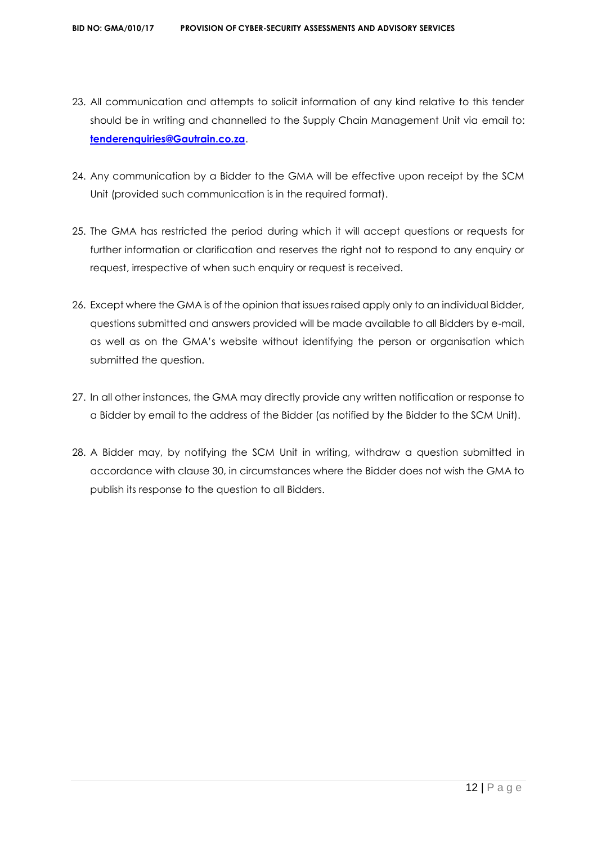- 23. All communication and attempts to solicit information of any kind relative to this tender should be in writing and channelled to the Supply Chain Management Unit via email to: **[tenderenquiries@Gautrain.co.za](mailto:tenderenquiries@gautrainpo.co.za)**.
- 24. Any communication by a Bidder to the GMA will be effective upon receipt by the SCM Unit (provided such communication is in the required format).
- 25. The GMA has restricted the period during which it will accept questions or requests for further information or clarification and reserves the right not to respond to any enquiry or request, irrespective of when such enquiry or request is received.
- 26. Except where the GMA is of the opinion that issues raised apply only to an individual Bidder, questions submitted and answers provided will be made available to all Bidders by e-mail, as well as on the GMA's website without identifying the person or organisation which submitted the question.
- 27. In all other instances, the GMA may directly provide any written notification or response to a Bidder by email to the address of the Bidder (as notified by the Bidder to the SCM Unit).
- 28. A Bidder may, by notifying the SCM Unit in writing, withdraw a question submitted in accordance with clause 30, in circumstances where the Bidder does not wish the GMA to publish its response to the question to all Bidders.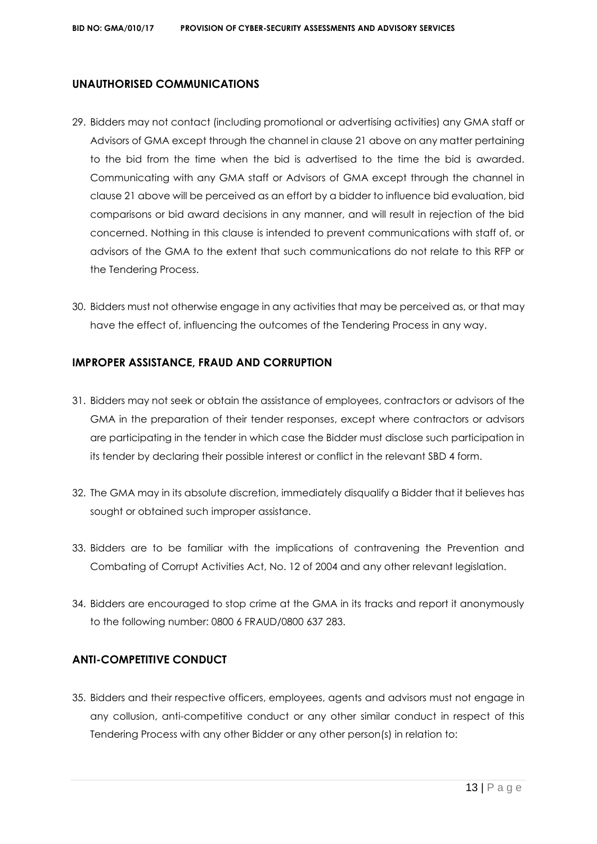# **UNAUTHORISED COMMUNICATIONS**

- 29. Bidders may not contact (including promotional or advertising activities) any GMA staff or Advisors of GMA except through the channel in clause 21 above on any matter pertaining to the bid from the time when the bid is advertised to the time the bid is awarded. Communicating with any GMA staff or Advisors of GMA except through the channel in clause 21 above will be perceived as an effort by a bidder to influence bid evaluation, bid comparisons or bid award decisions in any manner, and will result in rejection of the bid concerned. Nothing in this clause is intended to prevent communications with staff of, or advisors of the GMA to the extent that such communications do not relate to this RFP or the Tendering Process.
- 30. Bidders must not otherwise engage in any activities that may be perceived as, or that may have the effect of, influencing the outcomes of the Tendering Process in any way.

# **IMPROPER ASSISTANCE, FRAUD AND CORRUPTION**

- 31. Bidders may not seek or obtain the assistance of employees, contractors or advisors of the GMA in the preparation of their tender responses, except where contractors or advisors are participating in the tender in which case the Bidder must disclose such participation in its tender by declaring their possible interest or conflict in the relevant SBD 4 form.
- 32. The GMA may in its absolute discretion, immediately disqualify a Bidder that it believes has sought or obtained such improper assistance.
- 33. Bidders are to be familiar with the implications of contravening the Prevention and Combating of Corrupt Activities Act, No. 12 of 2004 and any other relevant legislation.
- 34. Bidders are encouraged to stop crime at the GMA in its tracks and report it anonymously to the following number: 0800 6 FRAUD/0800 637 283.

# **ANTI-COMPETITIVE CONDUCT**

35. Bidders and their respective officers, employees, agents and advisors must not engage in any collusion, anti-competitive conduct or any other similar conduct in respect of this Tendering Process with any other Bidder or any other person(s) in relation to: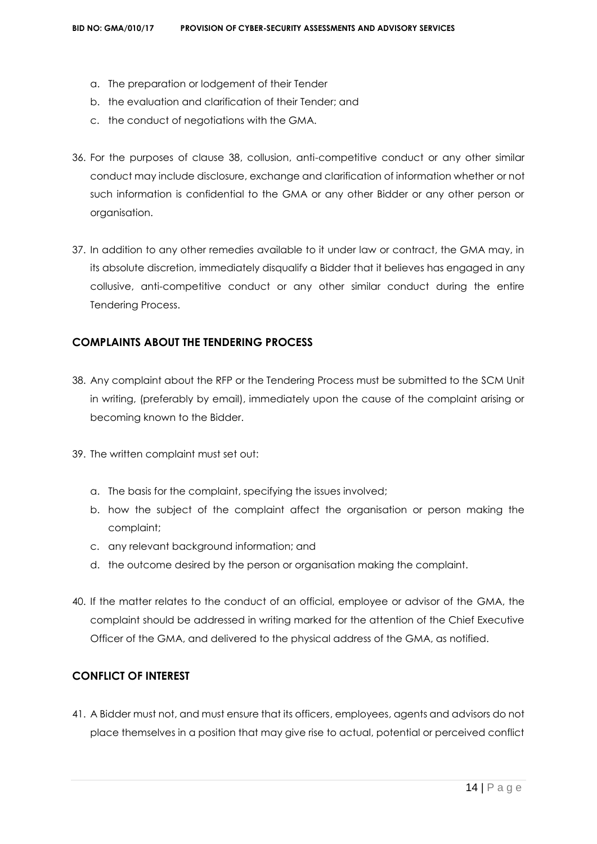- a. The preparation or lodgement of their Tender
- b. the evaluation and clarification of their Tender; and
- c. the conduct of negotiations with the GMA.
- 36. For the purposes of clause 38, collusion, anti-competitive conduct or any other similar conduct may include disclosure, exchange and clarification of information whether or not such information is confidential to the GMA or any other Bidder or any other person or organisation.
- 37. In addition to any other remedies available to it under law or contract, the GMA may, in its absolute discretion, immediately disqualify a Bidder that it believes has engaged in any collusive, anti-competitive conduct or any other similar conduct during the entire Tendering Process.

# **COMPLAINTS ABOUT THE TENDERING PROCESS**

- 38. Any complaint about the RFP or the Tendering Process must be submitted to the SCM Unit in writing, (preferably by email), immediately upon the cause of the complaint arising or becoming known to the Bidder.
- 39. The written complaint must set out:
	- a. The basis for the complaint, specifying the issues involved;
	- b. how the subject of the complaint affect the organisation or person making the complaint;
	- c. any relevant background information; and
	- d. the outcome desired by the person or organisation making the complaint.
- 40. If the matter relates to the conduct of an official, employee or advisor of the GMA, the complaint should be addressed in writing marked for the attention of the Chief Executive Officer of the GMA, and delivered to the physical address of the GMA, as notified.

# **CONFLICT OF INTEREST**

41. A Bidder must not, and must ensure that its officers, employees, agents and advisors do not place themselves in a position that may give rise to actual, potential or perceived conflict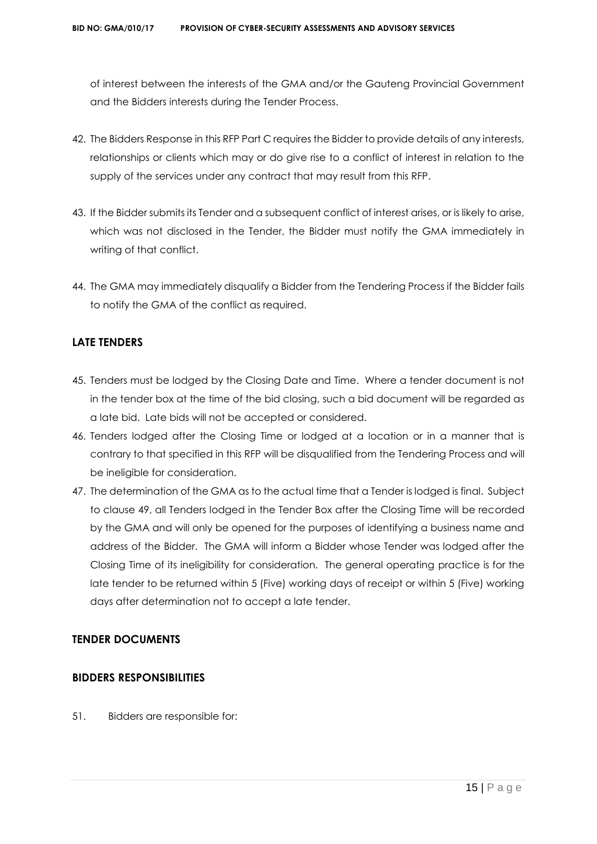of interest between the interests of the GMA and/or the Gauteng Provincial Government and the Bidders interests during the Tender Process.

- 42. The Bidders Response in this RFP Part C requires the Bidder to provide details of any interests, relationships or clients which may or do give rise to a conflict of interest in relation to the supply of the services under any contract that may result from this RFP.
- 43. If the Bidder submits its Tender and a subsequent conflict of interest arises, or is likely to arise, which was not disclosed in the Tender, the Bidder must notify the GMA immediately in writing of that conflict.
- 44. The GMA may immediately disqualify a Bidder from the Tendering Process if the Bidder fails to notify the GMA of the conflict as required.

# **LATE TENDERS**

- 45. Tenders must be lodged by the Closing Date and Time. Where a tender document is not in the tender box at the time of the bid closing, such a bid document will be regarded as a late bid. Late bids will not be accepted or considered.
- 46. Tenders lodged after the Closing Time or lodged at a location or in a manner that is contrary to that specified in this RFP will be disqualified from the Tendering Process and will be ineligible for consideration.
- 47. The determination of the GMA as to the actual time that a Tender is lodged is final. Subject to clause 49, all Tenders lodged in the Tender Box after the Closing Time will be recorded by the GMA and will only be opened for the purposes of identifying a business name and address of the Bidder. The GMA will inform a Bidder whose Tender was lodged after the Closing Time of its ineligibility for consideration. The general operating practice is for the late tender to be returned within 5 (Five) working days of receipt or within 5 (Five) working days after determination not to accept a late tender.

# **TENDER DOCUMENTS**

# **BIDDERS RESPONSIBILITIES**

51. Bidders are responsible for: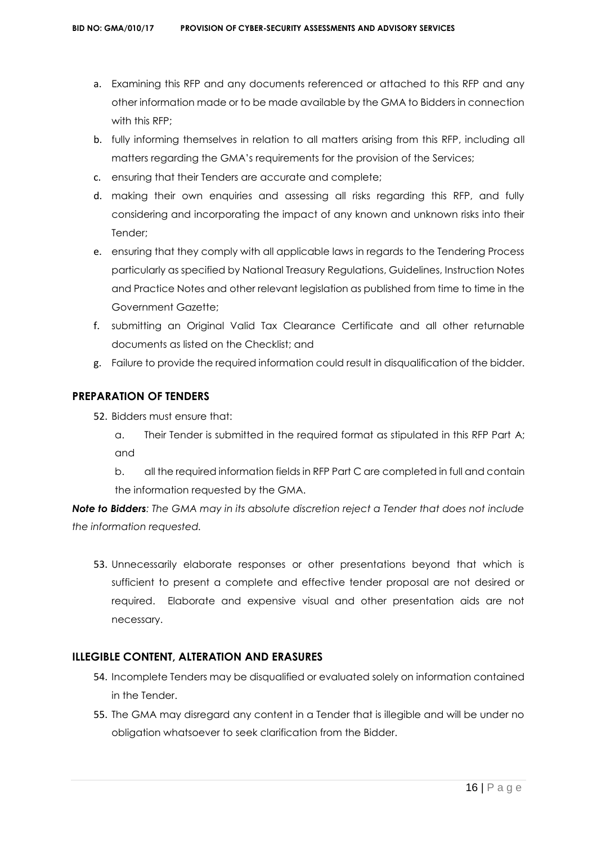- a. Examining this RFP and any documents referenced or attached to this RFP and any other information made or to be made available by the GMA to Bidders in connection with this RFP;
- b. fully informing themselves in relation to all matters arising from this RFP, including all matters regarding the GMA's requirements for the provision of the Services;
- c. ensuring that their Tenders are accurate and complete;
- d. making their own enquiries and assessing all risks regarding this RFP, and fully considering and incorporating the impact of any known and unknown risks into their Tender;
- e. ensuring that they comply with all applicable laws in regards to the Tendering Process particularly as specified by National Treasury Regulations, Guidelines, Instruction Notes and Practice Notes and other relevant legislation as published from time to time in the Government Gazette;
- f. submitting an Original Valid Tax Clearance Certificate and all other returnable documents as listed on the Checklist; and
- g. Failure to provide the required information could result in disqualification of the bidder.

# **PREPARATION OF TENDERS**

- 52. Bidders must ensure that:
	- a. Their Tender is submitted in the required format as stipulated in this RFP Part A; and
	- b. all the required information fields in RFP Part C are completed in full and contain the information requested by the GMA.

*Note to Bidders: The GMA may in its absolute discretion reject a Tender that does not include the information requested.*

53. Unnecessarily elaborate responses or other presentations beyond that which is sufficient to present a complete and effective tender proposal are not desired or required. Elaborate and expensive visual and other presentation aids are not necessary.

# **ILLEGIBLE CONTENT, ALTERATION AND ERASURES**

- 54. Incomplete Tenders may be disqualified or evaluated solely on information contained in the Tender.
- 55. The GMA may disregard any content in a Tender that is illegible and will be under no obligation whatsoever to seek clarification from the Bidder.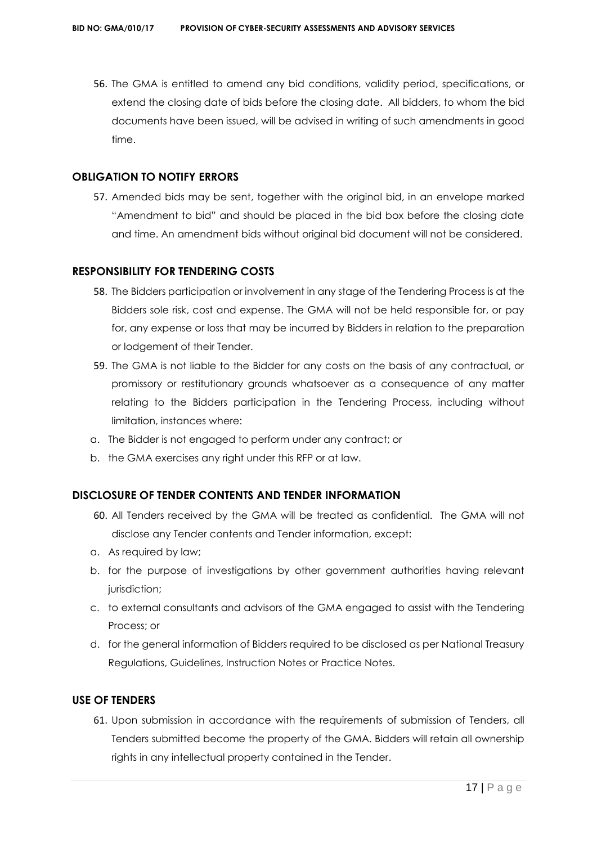56. The GMA is entitled to amend any bid conditions, validity period, specifications, or extend the closing date of bids before the closing date. All bidders, to whom the bid documents have been issued, will be advised in writing of such amendments in good time.

# **OBLIGATION TO NOTIFY ERRORS**

57. Amended bids may be sent, together with the original bid, in an envelope marked "Amendment to bid" and should be placed in the bid box before the closing date and time. An amendment bids without original bid document will not be considered.

## **RESPONSIBILITY FOR TENDERING COSTS**

- 58. The Bidders participation or involvement in any stage of the Tendering Process is at the Bidders sole risk, cost and expense. The GMA will not be held responsible for, or pay for, any expense or loss that may be incurred by Bidders in relation to the preparation or lodgement of their Tender.
- 59. The GMA is not liable to the Bidder for any costs on the basis of any contractual, or promissory or restitutionary grounds whatsoever as a consequence of any matter relating to the Bidders participation in the Tendering Process, including without limitation, instances where:
- a. The Bidder is not engaged to perform under any contract; or
- b. the GMA exercises any right under this RFP or at law.

# **DISCLOSURE OF TENDER CONTENTS AND TENDER INFORMATION**

- 60. All Tenders received by the GMA will be treated as confidential. The GMA will not disclose any Tender contents and Tender information, except:
- a. As required by law;
- b. for the purpose of investigations by other government authorities having relevant jurisdiction;
- c. to external consultants and advisors of the GMA engaged to assist with the Tendering Process; or
- d. for the general information of Bidders required to be disclosed as per National Treasury Regulations, Guidelines, Instruction Notes or Practice Notes.

# **USE OF TENDERS**

61. Upon submission in accordance with the requirements of submission of Tenders, all Tenders submitted become the property of the GMA. Bidders will retain all ownership rights in any intellectual property contained in the Tender.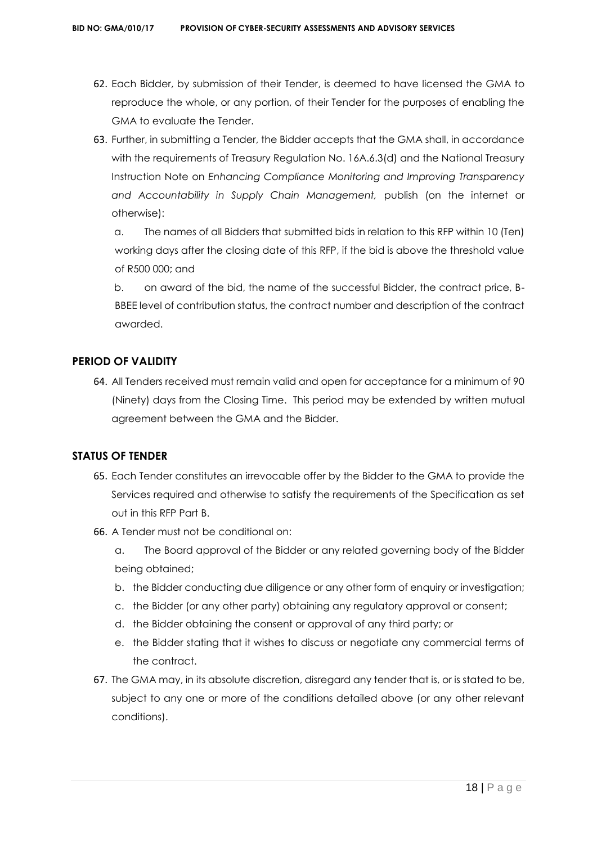- 62. Each Bidder, by submission of their Tender, is deemed to have licensed the GMA to reproduce the whole, or any portion, of their Tender for the purposes of enabling the GMA to evaluate the Tender.
- 63. Further, in submitting a Tender, the Bidder accepts that the GMA shall, in accordance with the requirements of Treasury Regulation No. 16A.6.3(d) and the National Treasury Instruction Note on *Enhancing Compliance Monitoring and Improving Transparency and Accountability in Supply Chain Management,* publish (on the internet or otherwise):

a. The names of all Bidders that submitted bids in relation to this RFP within 10 (Ten) working days after the closing date of this RFP, if the bid is above the threshold value of R500 000; and

b. on award of the bid, the name of the successful Bidder, the contract price, B-BBEE level of contribution status, the contract number and description of the contract awarded.

# **PERIOD OF VALIDITY**

64. All Tenders received must remain valid and open for acceptance for a minimum of 90 (Ninety) days from the Closing Time. This period may be extended by written mutual agreement between the GMA and the Bidder.

# **STATUS OF TENDER**

- 65. Each Tender constitutes an irrevocable offer by the Bidder to the GMA to provide the Services required and otherwise to satisfy the requirements of the Specification as set out in this RFP Part B.
- 66. A Tender must not be conditional on:
	- a. The Board approval of the Bidder or any related governing body of the Bidder being obtained;
	- b. the Bidder conducting due diligence or any other form of enquiry or investigation;
	- c. the Bidder (or any other party) obtaining any regulatory approval or consent;
	- d. the Bidder obtaining the consent or approval of any third party; or
	- e. the Bidder stating that it wishes to discuss or negotiate any commercial terms of the contract.
- 67. The GMA may, in its absolute discretion, disregard any tender that is, or is stated to be, subject to any one or more of the conditions detailed above (or any other relevant conditions).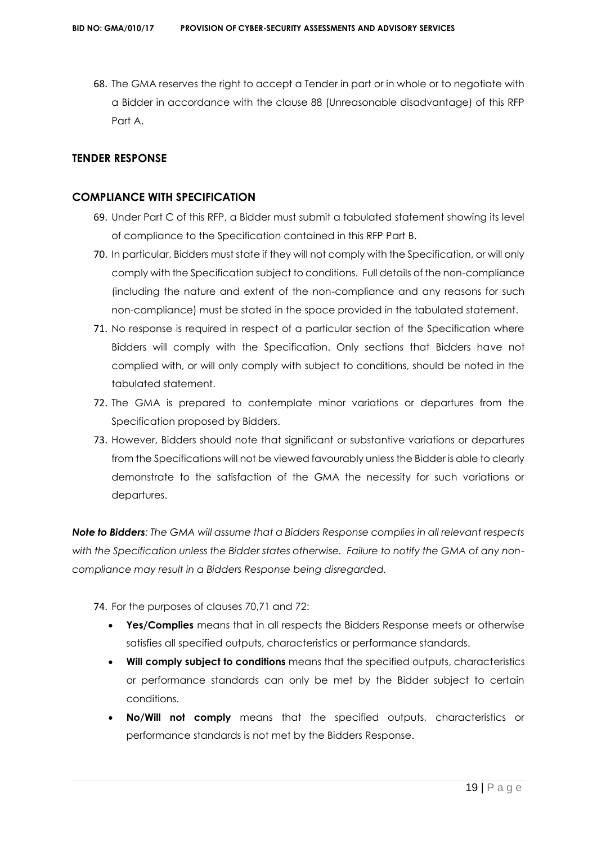68. The GMA reserves the right to accept a Tender in part or in whole or to negotiate with a Bidder in accordance with the clause 88 (Unreasonable disadvantage) of this RFP Part A.

# **TENDER RESPONSE**

## **COMPLIANCE WITH SPECIFICATION**

- 69. Under Part C of this RFP, a Bidder must submit a tabulated statement showing its level of compliance to the Specification contained in this RFP Part B.
- 70. In particular, Bidders must state if they will not comply with the Specification, or will only comply with the Specification subject to conditions. Full details of the non-compliance (including the nature and extent of the non-compliance and any reasons for such non-compliance) must be stated in the space provided in the tabulated statement.
- 71. No response is required in respect of a particular section of the Specification where Bidders will comply with the Specification. Only sections that Bidders have not complied with, or will only comply with subject to conditions, should be noted in the tabulated statement.
- 72. The GMA is prepared to contemplate minor variations or departures from the Specification proposed by Bidders.
- 73. However, Bidders should note that significant or substantive variations or departures from the Specifications will not be viewed favourably unless the Bidder is able to clearly demonstrate to the satisfaction of the GMA the necessity for such variations or departures.

*Note to Bidders: The GMA will assume that a Bidders Response complies in all relevant respects with the Specification unless the Bidder states otherwise. Failure to notify the GMA of any noncompliance may result in a Bidders Response being disregarded.*

74. For the purposes of clauses 70,71 and 72:

- **Yes/Complies** means that in all respects the Bidders Response meets or otherwise satisfies all specified outputs, characteristics or performance standards.
- **Will comply subject to conditions** means that the specified outputs, characteristics or performance standards can only be met by the Bidder subject to certain conditions.
- **No/Will not comply** means that the specified outputs, characteristics or performance standards is not met by the Bidders Response.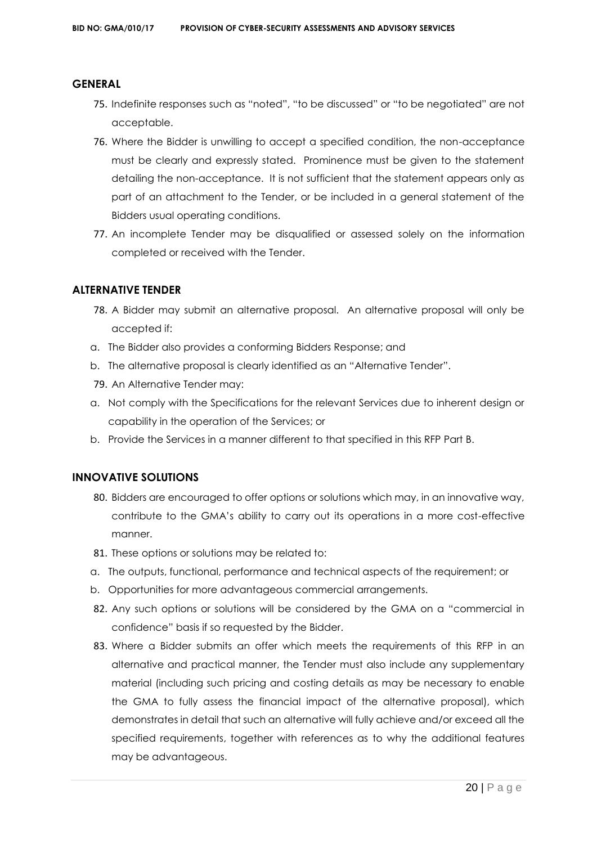## **GENERAL**

- 75. Indefinite responses such as "noted", "to be discussed" or "to be negotiated" are not acceptable.
- 76. Where the Bidder is unwilling to accept a specified condition, the non-acceptance must be clearly and expressly stated. Prominence must be given to the statement detailing the non-acceptance. It is not sufficient that the statement appears only as part of an attachment to the Tender, or be included in a general statement of the Bidders usual operating conditions.
- 77. An incomplete Tender may be disqualified or assessed solely on the information completed or received with the Tender.

#### **ALTERNATIVE TENDER**

- 78. A Bidder may submit an alternative proposal. An alternative proposal will only be accepted if:
- a. The Bidder also provides a conforming Bidders Response; and
- b. The alternative proposal is clearly identified as an "Alternative Tender".
- 79. An Alternative Tender may:
- a. Not comply with the Specifications for the relevant Services due to inherent design or capability in the operation of the Services; or
- b. Provide the Services in a manner different to that specified in this RFP Part B.

# **INNOVATIVE SOLUTIONS**

- 80. Bidders are encouraged to offer options or solutions which may, in an innovative way, contribute to the GMA's ability to carry out its operations in a more cost-effective manner.
- 81. These options or solutions may be related to:
- a. The outputs, functional, performance and technical aspects of the requirement; or
- b. Opportunities for more advantageous commercial arrangements.
- 82. Any such options or solutions will be considered by the GMA on a "commercial in confidence" basis if so requested by the Bidder.
- 83. Where a Bidder submits an offer which meets the requirements of this RFP in an alternative and practical manner, the Tender must also include any supplementary material (including such pricing and costing details as may be necessary to enable the GMA to fully assess the financial impact of the alternative proposal), which demonstrates in detail that such an alternative will fully achieve and/or exceed all the specified requirements, together with references as to why the additional features may be advantageous.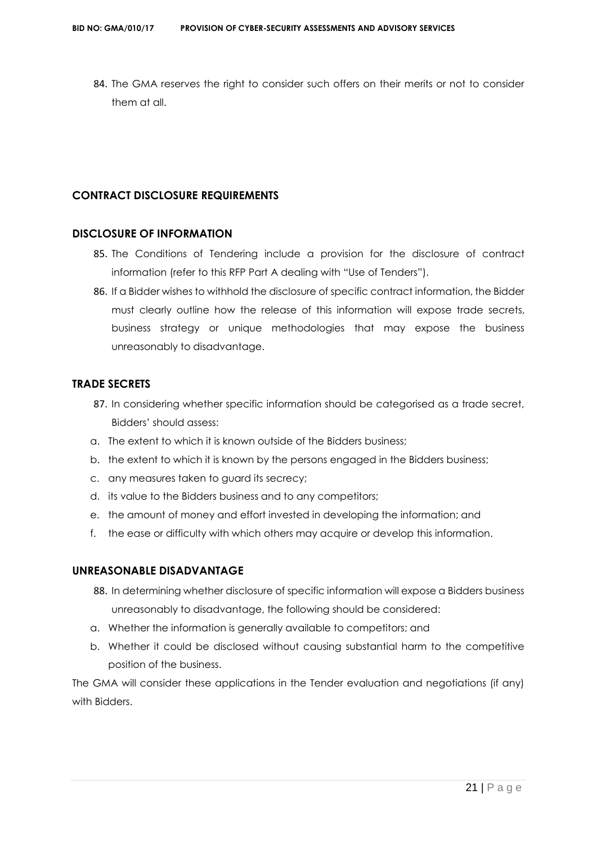84. The GMA reserves the right to consider such offers on their merits or not to consider them at all.

# **CONTRACT DISCLOSURE REQUIREMENTS**

# **DISCLOSURE OF INFORMATION**

- 85. The Conditions of Tendering include a provision for the disclosure of contract information (refer to this RFP Part A dealing with "Use of Tenders").
- 86. If a Bidder wishes to withhold the disclosure of specific contract information, the Bidder must clearly outline how the release of this information will expose trade secrets, business strategy or unique methodologies that may expose the business unreasonably to disadvantage.

# **TRADE SECRETS**

- 87. In considering whether specific information should be categorised as a trade secret, Bidders' should assess:
- a. The extent to which it is known outside of the Bidders business;
- b. the extent to which it is known by the persons engaged in the Bidders business;
- c. any measures taken to guard its secrecy;
- d. its value to the Bidders business and to any competitors;
- e. the amount of money and effort invested in developing the information; and
- f. the ease or difficulty with which others may acquire or develop this information.

# **UNREASONABLE DISADVANTAGE**

- 88. In determining whether disclosure of specific information will expose a Bidders business unreasonably to disadvantage, the following should be considered:
- a. Whether the information is generally available to competitors; and
- b. Whether it could be disclosed without causing substantial harm to the competitive position of the business.

The GMA will consider these applications in the Tender evaluation and negotiations (if any) with Bidders.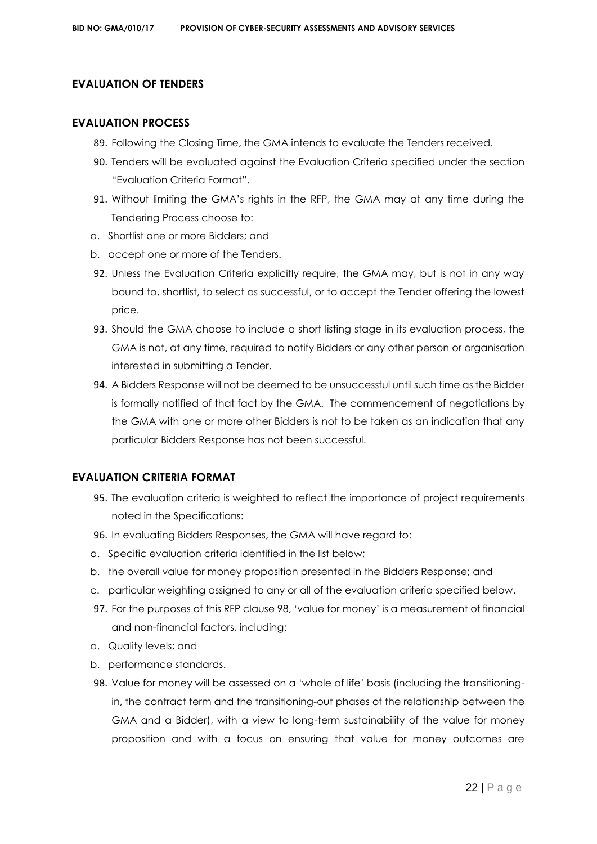# **EVALUATION OF TENDERS**

## **EVALUATION PROCESS**

- 89. Following the Closing Time, the GMA intends to evaluate the Tenders received.
- 90. Tenders will be evaluated against the Evaluation Criteria specified under the section "Evaluation Criteria Format".
- 91. Without limiting the GMA's rights in the RFP, the GMA may at any time during the Tendering Process choose to:
- a. Shortlist one or more Bidders; and
- b. accept one or more of the Tenders.
- 92. Unless the Evaluation Criteria explicitly require, the GMA may, but is not in any way bound to, shortlist, to select as successful, or to accept the Tender offering the lowest price.
- 93. Should the GMA choose to include a short listing stage in its evaluation process, the GMA is not, at any time, required to notify Bidders or any other person or organisation interested in submitting a Tender.
- 94. A Bidders Response will not be deemed to be unsuccessful until such time as the Bidder is formally notified of that fact by the GMA. The commencement of negotiations by the GMA with one or more other Bidders is not to be taken as an indication that any particular Bidders Response has not been successful.

# **EVALUATION CRITERIA FORMAT**

- 95. The evaluation criteria is weighted to reflect the importance of project requirements noted in the Specifications:
- 96. In evaluating Bidders Responses, the GMA will have regard to:
- a. Specific evaluation criteria identified in the list below;
- b. the overall value for money proposition presented in the Bidders Response; and
- c. particular weighting assigned to any or all of the evaluation criteria specified below.
- 97. For the purposes of this RFP clause 98, 'value for money' is a measurement of financial and non-financial factors, including:
- a. Quality levels; and
- b. performance standards.
- 98. Value for money will be assessed on a 'whole of life' basis (including the transitioningin, the contract term and the transitioning-out phases of the relationship between the GMA and a Bidder), with a view to long-term sustainability of the value for money proposition and with a focus on ensuring that value for money outcomes are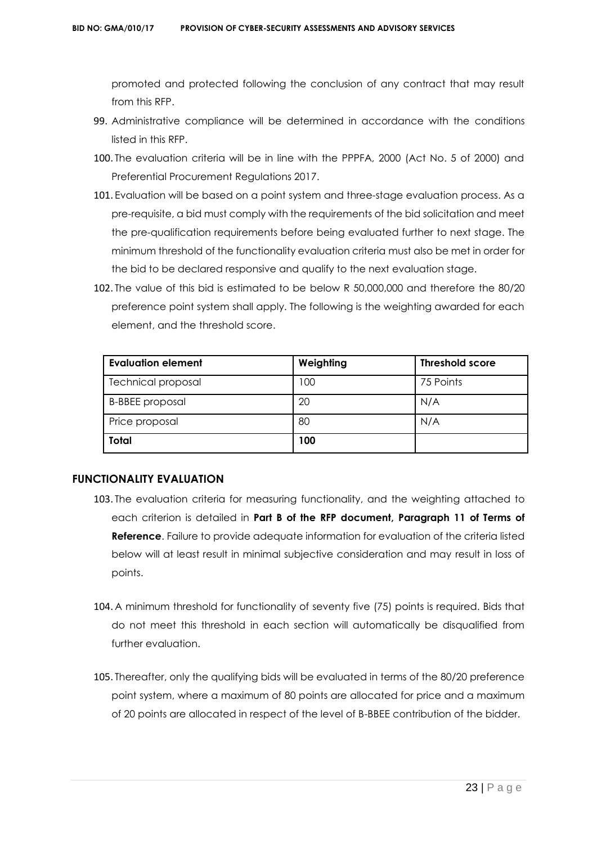promoted and protected following the conclusion of any contract that may result from this RFP.

- 99. Administrative compliance will be determined in accordance with the conditions listed in this RFP.
- 100. The evaluation criteria will be in line with the PPPFA, 2000 (Act No. 5 of 2000) and Preferential Procurement Regulations 2017.
- 101. Evaluation will be based on a point system and three-stage evaluation process. As a pre-requisite, a bid must comply with the requirements of the bid solicitation and meet the pre-qualification requirements before being evaluated further to next stage. The minimum threshold of the functionality evaluation criteria must also be met in order for the bid to be declared responsive and qualify to the next evaluation stage.
- 102. The value of this bid is estimated to be below R 50,000,000 and therefore the 80/20 preference point system shall apply. The following is the weighting awarded for each element, and the threshold score.

| <b>Evaluation element</b> | Weighting | <b>Threshold score</b> |  |
|---------------------------|-----------|------------------------|--|
| <b>Technical proposal</b> | 100       | 75 Points              |  |
| <b>B-BBEE</b> proposal    | 20        | N/A                    |  |
| Price proposal            | 80        | N/A                    |  |
| <b>Total</b>              | 100       |                        |  |

# **FUNCTIONALITY EVALUATION**

- 103. The evaluation criteria for measuring functionality, and the weighting attached to each criterion is detailed in **Part B of the RFP document, Paragraph 11 of Terms of Reference**. Failure to provide adequate information for evaluation of the criteria listed below will at least result in minimal subjective consideration and may result in loss of points.
- 104. A minimum threshold for functionality of seventy five (75) points is required. Bids that do not meet this threshold in each section will automatically be disqualified from further evaluation.
- 105. Thereafter, only the qualifying bids will be evaluated in terms of the 80/20 preference point system, where a maximum of 80 points are allocated for price and a maximum of 20 points are allocated in respect of the level of B-BBEE contribution of the bidder.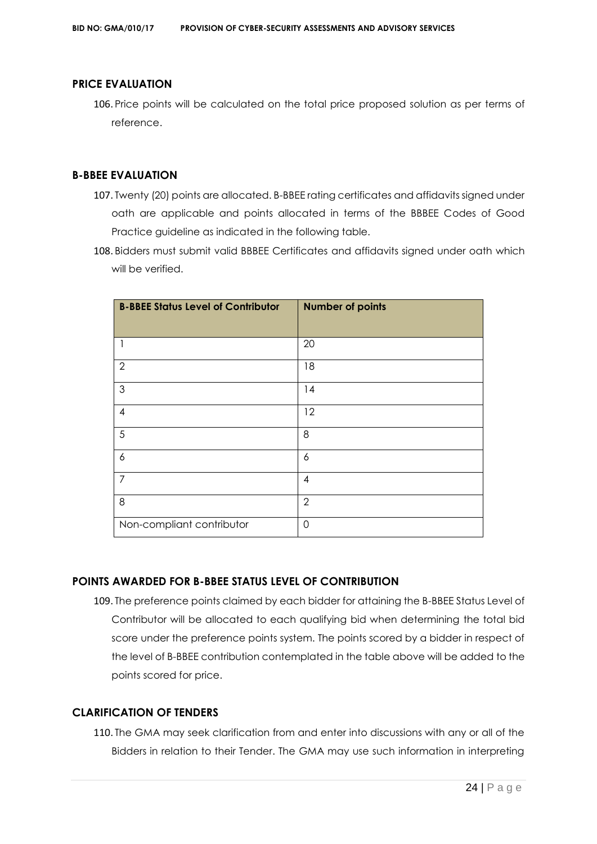## **PRICE EVALUATION**

106. Price points will be calculated on the total price proposed solution as per terms of reference.

# **B-BBEE EVALUATION**

- 107. Twenty (20) points are allocated. B-BBEE rating certificates and affidavits signed under oath are applicable and points allocated in terms of the BBBEE Codes of Good Practice guideline as indicated in the following table.
- 108. Bidders must submit valid BBBEE Certificates and affidavits signed under oath which will be verified.

| <b>B-BBEE Status Level of Contributor</b> | <b>Number of points</b> |
|-------------------------------------------|-------------------------|
|                                           |                         |
| 1                                         | 20                      |
| $\overline{2}$                            | 18                      |
| $\mathfrak{S}$                            | 14                      |
| $\overline{4}$                            | 12                      |
| 5                                         | 8                       |
| 6                                         | 6                       |
| $\overline{7}$                            | 4                       |
| 8                                         | $\overline{2}$          |
| Non-compliant contributor                 | 0                       |

# **POINTS AWARDED FOR B-BBEE STATUS LEVEL OF CONTRIBUTION**

109. The preference points claimed by each bidder for attaining the B-BBEE Status Level of Contributor will be allocated to each qualifying bid when determining the total bid score under the preference points system. The points scored by a bidder in respect of the level of B-BBEE contribution contemplated in the table above will be added to the points scored for price.

# **CLARIFICATION OF TENDERS**

110. The GMA may seek clarification from and enter into discussions with any or all of the Bidders in relation to their Tender. The GMA may use such information in interpreting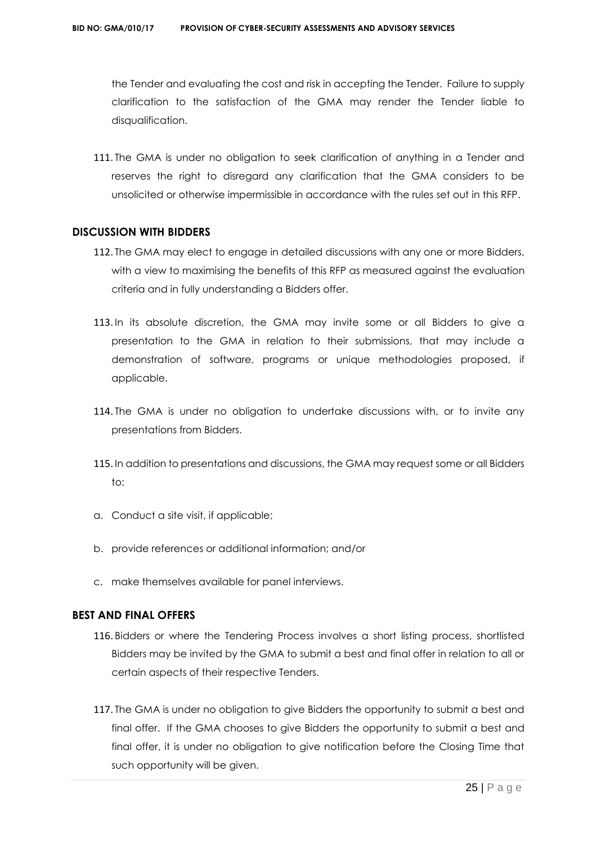the Tender and evaluating the cost and risk in accepting the Tender. Failure to supply clarification to the satisfaction of the GMA may render the Tender liable to disqualification.

111. The GMA is under no obligation to seek clarification of anything in a Tender and reserves the right to disregard any clarification that the GMA considers to be unsolicited or otherwise impermissible in accordance with the rules set out in this RFP.

#### **DISCUSSION WITH BIDDERS**

- 112. The GMA may elect to engage in detailed discussions with any one or more Bidders, with a view to maximising the benefits of this RFP as measured against the evaluation criteria and in fully understanding a Bidders offer.
- 113. In its absolute discretion, the GMA may invite some or all Bidders to give a presentation to the GMA in relation to their submissions, that may include a demonstration of software, programs or unique methodologies proposed, if applicable.
- 114. The GMA is under no obligation to undertake discussions with, or to invite any presentations from Bidders.
- 115. In addition to presentations and discussions, the GMA may request some or all Bidders  $t^{\circ}$
- a. Conduct a site visit, if applicable;
- b. provide references or additional information; and/or
- c. make themselves available for panel interviews.

# **BEST AND FINAL OFFERS**

- 116. Bidders or where the Tendering Process involves a short listing process, shortlisted Bidders may be invited by the GMA to submit a best and final offer in relation to all or certain aspects of their respective Tenders.
- 117. The GMA is under no obligation to give Bidders the opportunity to submit a best and final offer. If the GMA chooses to give Bidders the opportunity to submit a best and final offer, it is under no obligation to give notification before the Closing Time that such opportunity will be given.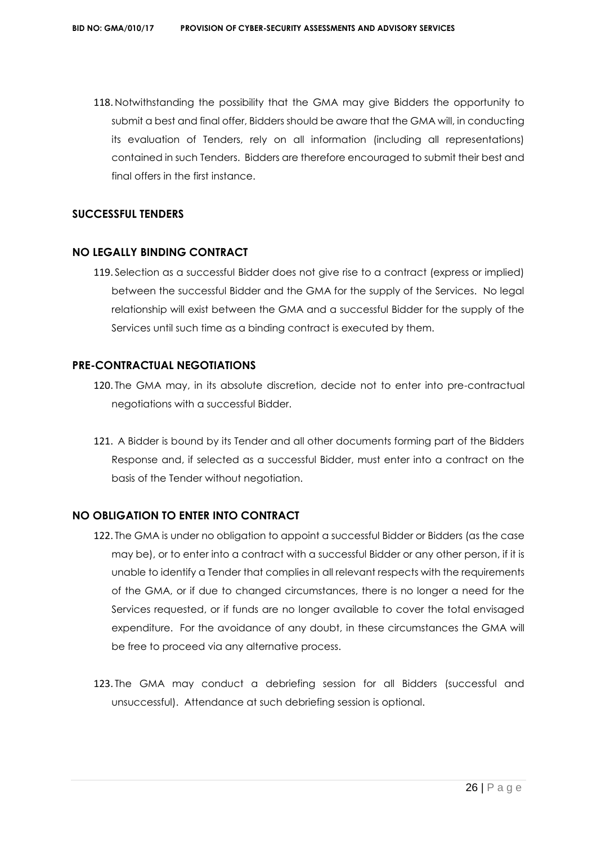118. Notwithstanding the possibility that the GMA may give Bidders the opportunity to submit a best and final offer, Bidders should be aware that the GMA will, in conducting its evaluation of Tenders, rely on all information (including all representations) contained in such Tenders. Bidders are therefore encouraged to submit their best and final offers in the first instance.

# **SUCCESSFUL TENDERS**

## **NO LEGALLY BINDING CONTRACT**

119. Selection as a successful Bidder does not give rise to a contract (express or implied) between the successful Bidder and the GMA for the supply of the Services. No legal relationship will exist between the GMA and a successful Bidder for the supply of the Services until such time as a binding contract is executed by them.

## **PRE-CONTRACTUAL NEGOTIATIONS**

- 120. The GMA may, in its absolute discretion, decide not to enter into pre-contractual negotiations with a successful Bidder.
- 121. A Bidder is bound by its Tender and all other documents forming part of the Bidders Response and, if selected as a successful Bidder, must enter into a contract on the basis of the Tender without negotiation.

# **NO OBLIGATION TO ENTER INTO CONTRACT**

- 122. The GMA is under no obligation to appoint a successful Bidder or Bidders (as the case may be), or to enter into a contract with a successful Bidder or any other person, if it is unable to identify a Tender that complies in all relevant respects with the requirements of the GMA, or if due to changed circumstances, there is no longer a need for the Services requested, or if funds are no longer available to cover the total envisaged expenditure. For the avoidance of any doubt, in these circumstances the GMA will be free to proceed via any alternative process.
- 123. The GMA may conduct a debriefing session for all Bidders (successful and unsuccessful). Attendance at such debriefing session is optional.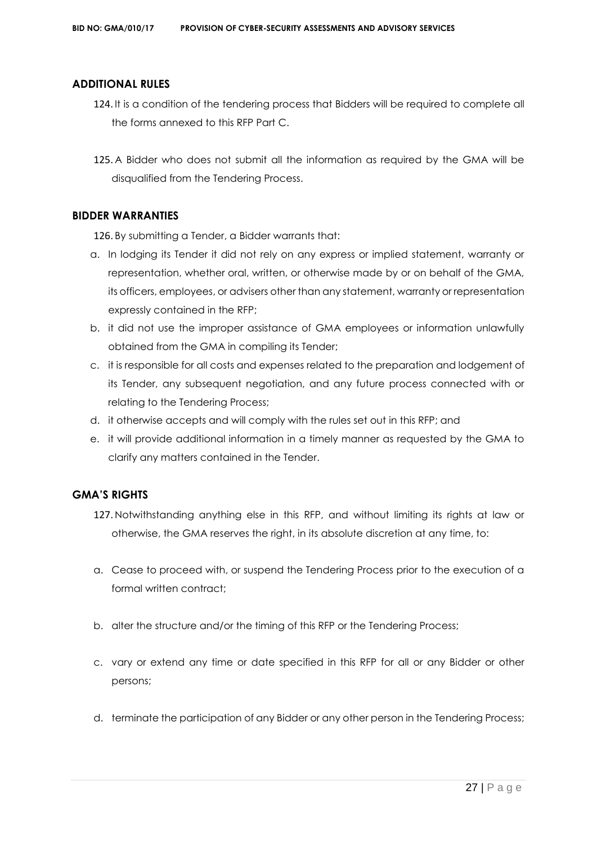## **ADDITIONAL RULES**

- 124. It is a condition of the tendering process that Bidders will be required to complete all the forms annexed to this RFP Part C.
- 125. A Bidder who does not submit all the information as required by the GMA will be disqualified from the Tendering Process.

## **BIDDER WARRANTIES**

126. By submitting a Tender, a Bidder warrants that:

- a. In lodging its Tender it did not rely on any express or implied statement, warranty or representation, whether oral, written, or otherwise made by or on behalf of the GMA, its officers, employees, or advisers other than any statement, warranty or representation expressly contained in the RFP;
- b. it did not use the improper assistance of GMA employees or information unlawfully obtained from the GMA in compiling its Tender;
- c. it is responsible for all costs and expenses related to the preparation and lodgement of its Tender, any subsequent negotiation, and any future process connected with or relating to the Tendering Process;
- d. it otherwise accepts and will comply with the rules set out in this RFP; and
- e. it will provide additional information in a timely manner as requested by the GMA to clarify any matters contained in the Tender.

# **GMA'S RIGHTS**

- 127. Notwithstanding anything else in this RFP, and without limiting its rights at law or otherwise, the GMA reserves the right, in its absolute discretion at any time, to:
- a. Cease to proceed with, or suspend the Tendering Process prior to the execution of a formal written contract:
- b. alter the structure and/or the timing of this RFP or the Tendering Process;
- c. vary or extend any time or date specified in this RFP for all or any Bidder or other persons;
- d. terminate the participation of any Bidder or any other person in the Tendering Process;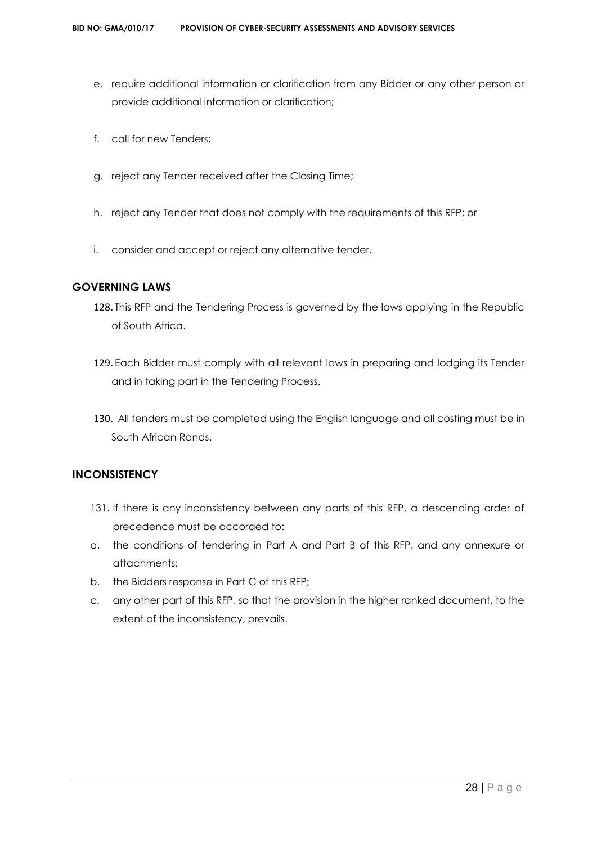- e. require additional information or clarification from any Bidder or any other person or provide additional information or clarification;
- f. call for new Tenders;
- g. reject any Tender received after the Closing Time;
- h. reject any Tender that does not comply with the requirements of this RFP; or
- i. consider and accept or reject any alternative tender.

# **GOVERNING LAWS**

- 128. This RFP and the Tendering Process is governed by the laws applying in the Republic of South Africa.
- 129. Each Bidder must comply with all relevant laws in preparing and lodging its Tender and in taking part in the Tendering Process.
- 130. All tenders must be completed using the English language and all costing must be in South African Rands.

# **INCONSISTENCY**

- 131. If there is any inconsistency between any parts of this RFP, a descending order of precedence must be accorded to:
- a. the conditions of tendering in Part A and Part B of this RFP, and any annexure or attachments;
- b. the Bidders response in Part C of this RFP;
- c. any other part of this RFP, so that the provision in the higher ranked document, to the extent of the inconsistency, prevails.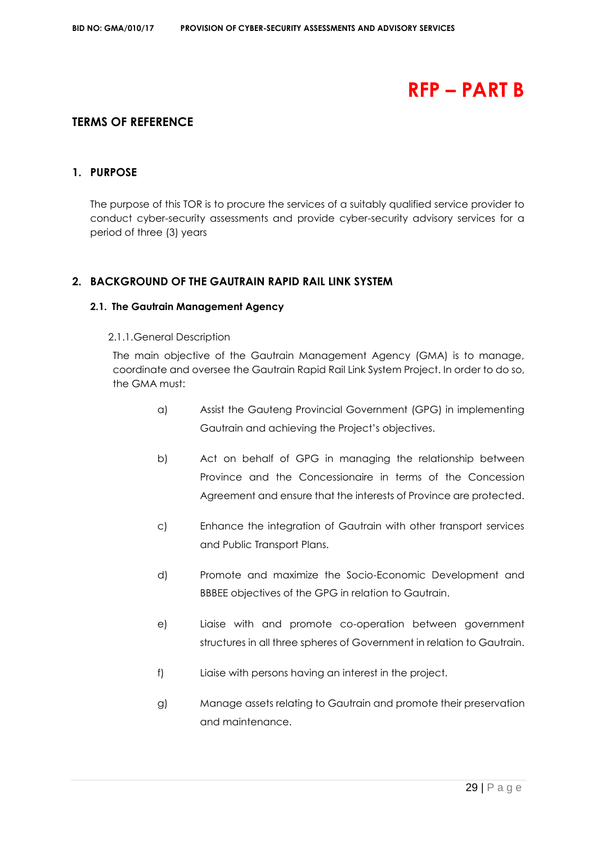# **RFP – PART B**

# **TERMS OF REFERENCE**

# **1. PURPOSE**

The purpose of this TOR is to procure the services of a suitably qualified service provider to conduct cyber-security assessments and provide cyber-security advisory services for a period of three (3) years

# **2. BACKGROUND OF THE GAUTRAIN RAPID RAIL LINK SYSTEM**

#### **2.1. The Gautrain Management Agency**

#### 2.1.1.General Description

The main objective of the Gautrain Management Agency (GMA) is to manage, coordinate and oversee the Gautrain Rapid Rail Link System Project. In order to do so, the GMA must:

- a) Assist the Gauteng Provincial Government (GPG) in implementing Gautrain and achieving the Project's objectives.
- b) Act on behalf of GPG in managing the relationship between Province and the Concessionaire in terms of the Concession Agreement and ensure that the interests of Province are protected.
- c) Enhance the integration of Gautrain with other transport services and Public Transport Plans.
- d) Promote and maximize the Socio-Economic Development and BBBEE objectives of the GPG in relation to Gautrain.
- e) Liaise with and promote co-operation between government structures in all three spheres of Government in relation to Gautrain.
- f) Liaise with persons having an interest in the project.
- g) Manage assets relating to Gautrain and promote their preservation and maintenance.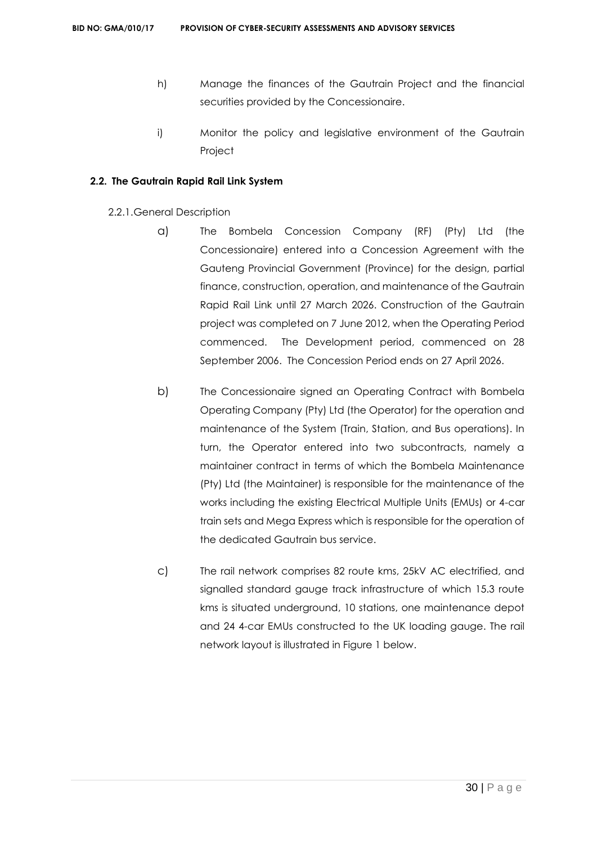- h) Manage the finances of the Gautrain Project and the financial securities provided by the Concessionaire.
- i) Monitor the policy and legislative environment of the Gautrain Project

## **2.2. The Gautrain Rapid Rail Link System**

- 2.2.1.General Description
	- a) The Bombela Concession Company (RF) (Pty) Ltd (the Concessionaire) entered into a Concession Agreement with the Gauteng Provincial Government (Province) for the design, partial finance, construction, operation, and maintenance of the Gautrain Rapid Rail Link until 27 March 2026. Construction of the Gautrain project was completed on 7 June 2012, when the Operating Period commenced. The Development period, commenced on 28 September 2006. The Concession Period ends on 27 April 2026.
	- b) The Concessionaire signed an Operating Contract with Bombela Operating Company (Pty) Ltd (the Operator) for the operation and maintenance of the System (Train, Station, and Bus operations). In turn, the Operator entered into two subcontracts, namely a maintainer contract in terms of which the Bombela Maintenance (Pty) Ltd (the Maintainer) is responsible for the maintenance of the works including the existing Electrical Multiple Units (EMUs) or 4-car train sets and Mega Express which is responsible for the operation of the dedicated Gautrain bus service.
	- c) The rail network comprises 82 route kms, 25kV AC electrified, and signalled standard gauge track infrastructure of which 15.3 route kms is situated underground, 10 stations, one maintenance depot and 24 4-car EMUs constructed to the UK loading gauge. The rail network layout is illustrated in Figure 1 below.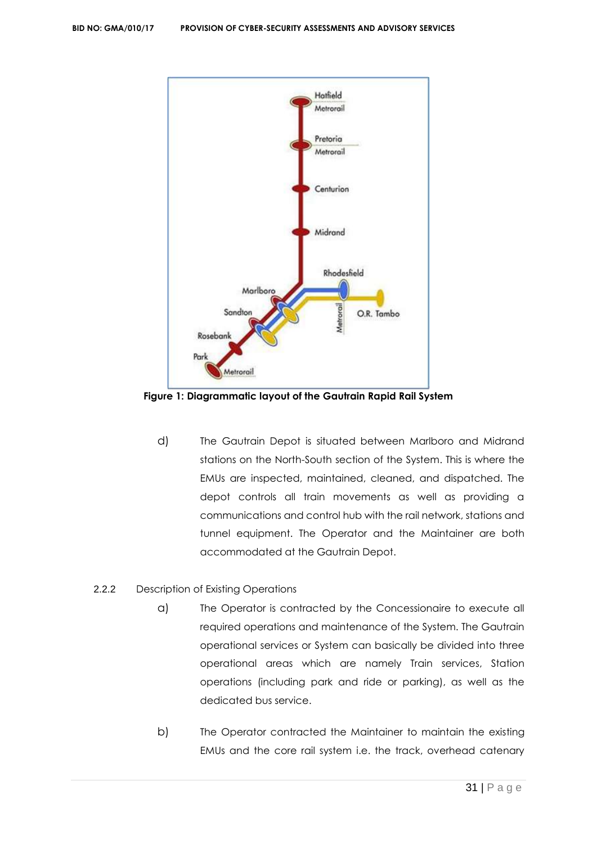

**Figure 1: Diagrammatic layout of the Gautrain Rapid Rail System**

d) The Gautrain Depot is situated between Marlboro and Midrand stations on the North-South section of the System. This is where the EMUs are inspected, maintained, cleaned, and dispatched. The depot controls all train movements as well as providing a communications and control hub with the rail network, stations and tunnel equipment. The Operator and the Maintainer are both accommodated at the Gautrain Depot.

# 2.2.2 Description of Existing Operations

- a) The Operator is contracted by the Concessionaire to execute all required operations and maintenance of the System. The Gautrain operational services or System can basically be divided into three operational areas which are namely Train services, Station operations (including park and ride or parking), as well as the dedicated bus service.
- b) The Operator contracted the Maintainer to maintain the existing EMUs and the core rail system i.e. the track, overhead catenary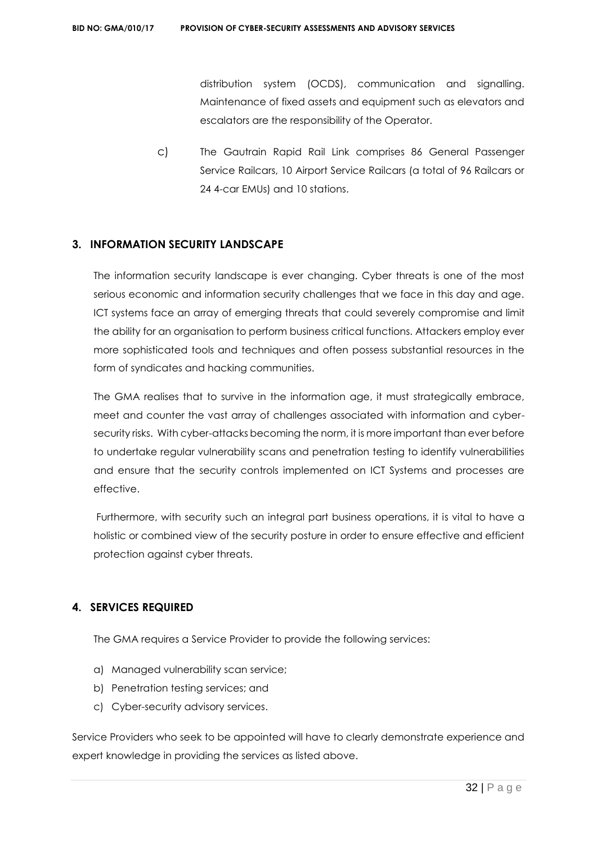distribution system (OCDS), communication and signalling. Maintenance of fixed assets and equipment such as elevators and escalators are the responsibility of the Operator.

c) The Gautrain Rapid Rail Link comprises 86 General Passenger Service Railcars, 10 Airport Service Railcars (a total of 96 Railcars or 24 4-car EMUs) and 10 stations.

# **3. INFORMATION SECURITY LANDSCAPE**

The information security landscape is ever changing. Cyber threats is one of the most serious economic and information security challenges that we face in this day and age. ICT systems face an array of emerging threats that could severely compromise and limit the ability for an organisation to perform business critical functions. Attackers employ ever more sophisticated tools and techniques and often possess substantial resources in the form of syndicates and hacking communities.

The GMA realises that to survive in the information age, it must strategically embrace, meet and counter the vast array of challenges associated with information and cybersecurity risks. With cyber-attacks becoming the norm, it is more important than ever before to undertake regular vulnerability scans and penetration testing to identify vulnerabilities and ensure that the security controls implemented on ICT Systems and processes are effective.

Furthermore, with security such an integral part business operations, it is vital to have a holistic or combined view of the security posture in order to ensure effective and efficient protection against cyber threats.

# **4. SERVICES REQUIRED**

The GMA requires a Service Provider to provide the following services:

- a) Managed vulnerability scan service;
- b) Penetration testing services; and
- c) Cyber-security advisory services.

Service Providers who seek to be appointed will have to clearly demonstrate experience and expert knowledge in providing the services as listed above.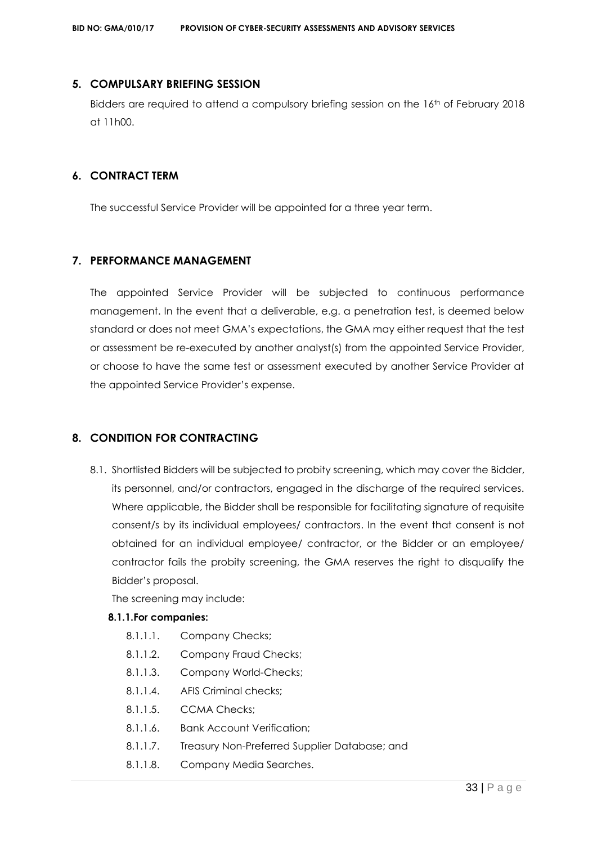## **5. COMPULSARY BRIEFING SESSION**

Bidders are required to attend a compulsory briefing session on the 16th of February 2018 at 11h00.

# **6. CONTRACT TERM**

The successful Service Provider will be appointed for a three year term.

# **7. PERFORMANCE MANAGEMENT**

The appointed Service Provider will be subjected to continuous performance management. In the event that a deliverable, e.g. a penetration test, is deemed below standard or does not meet GMA's expectations, the GMA may either request that the test or assessment be re-executed by another analyst(s) from the appointed Service Provider, or choose to have the same test or assessment executed by another Service Provider at the appointed Service Provider's expense.

# **8. CONDITION FOR CONTRACTING**

8.1. Shortlisted Bidders will be subjected to probity screening, which may cover the Bidder, its personnel, and/or contractors, engaged in the discharge of the required services. Where applicable, the Bidder shall be responsible for facilitating signature of requisite consent/s by its individual employees/ contractors. In the event that consent is not obtained for an individual employee/ contractor, or the Bidder or an employee/ contractor fails the probity screening, the GMA reserves the right to disqualify the Bidder's proposal.

The screening may include:

# **8.1.1.For companies:**

- 8.1.1.1. Company Checks;
- 8.1.1.2. Company Fraud Checks;
- 8.1.1.3. Company World-Checks;
- 8.1.1.4. AFIS Criminal checks;
- 8.1.1.5 CCMA Checks:
- 8.1.1.6. Bank Account Verification;
- 8.1.1.7. Treasury Non-Preferred Supplier Database; and
- 8.1.1.8. Company Media Searches.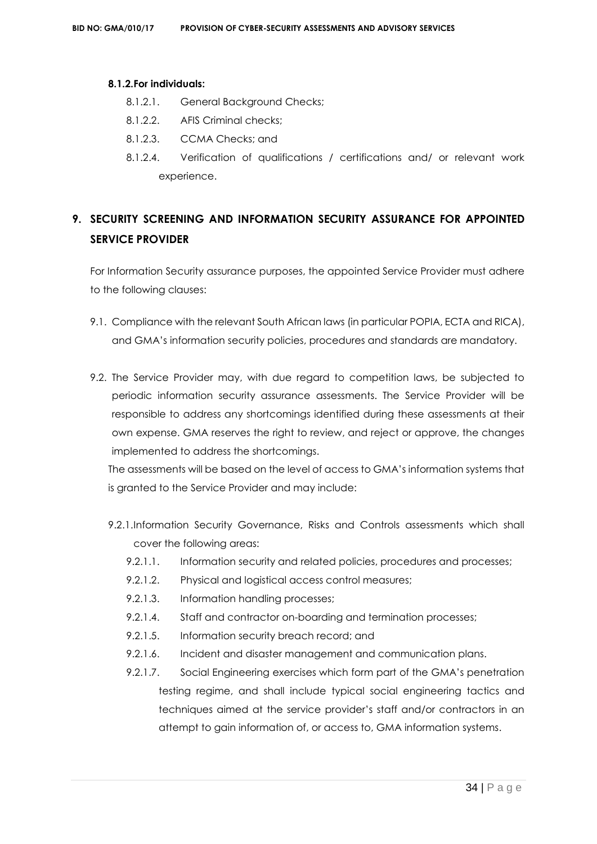#### **8.1.2.For individuals:**

- 8.1.2.1. General Background Checks;
- 8.1.2.2. AFIS Criminal checks;
- 8.1.2.3. CCMA Checks; and
- 8.1.2.4. Verification of qualifications / certifications and/ or relevant work experience.

# **9. SECURITY SCREENING AND INFORMATION SECURITY ASSURANCE FOR APPOINTED SERVICE PROVIDER**

For Information Security assurance purposes, the appointed Service Provider must adhere to the following clauses:

- 9.1. Compliance with the relevant South African laws (in particular POPIA, ECTA and RICA), and GMA's information security policies, procedures and standards are mandatory.
- 9.2. The Service Provider may, with due regard to competition laws, be subjected to periodic information security assurance assessments. The Service Provider will be responsible to address any shortcomings identified during these assessments at their own expense. GMA reserves the right to review, and reject or approve, the changes implemented to address the shortcomings.

The assessments will be based on the level of access to GMA's information systems that is granted to the Service Provider and may include:

- 9.2.1.Information Security Governance, Risks and Controls assessments which shall cover the following areas:
	- 9.2.1.1. Information security and related policies, procedures and processes;
	- 9.2.1.2. Physical and logistical access control measures;
	- 9.2.1.3. Information handling processes;
	- 9.2.1.4. Staff and contractor on-boarding and termination processes;
	- 9.2.1.5. Information security breach record; and
	- 9.2.1.6. Incident and disaster management and communication plans.
	- 9.2.1.7. Social Engineering exercises which form part of the GMA's penetration testing regime, and shall include typical social engineering tactics and techniques aimed at the service provider's staff and/or contractors in an attempt to gain information of, or access to, GMA information systems.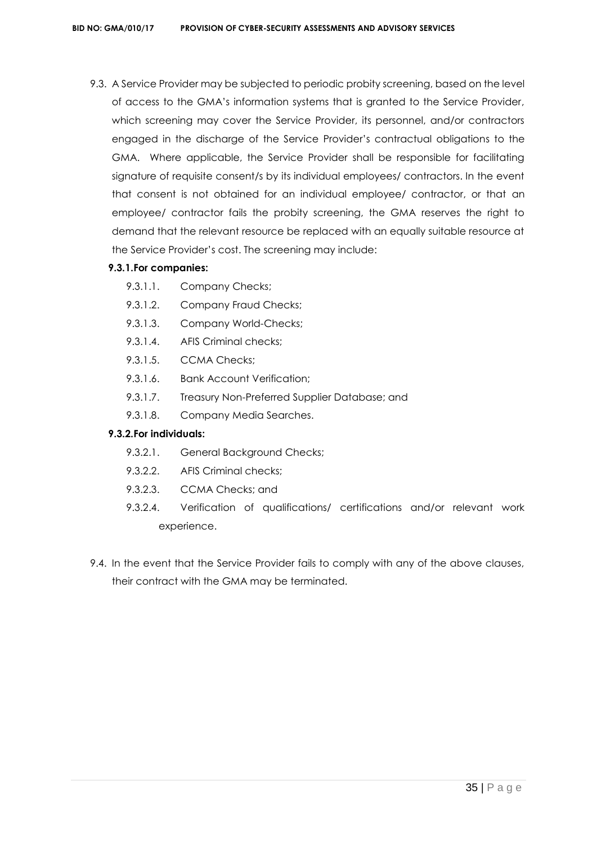9.3. A Service Provider may be subjected to periodic probity screening, based on the level of access to the GMA's information systems that is granted to the Service Provider, which screening may cover the Service Provider, its personnel, and/or contractors engaged in the discharge of the Service Provider's contractual obligations to the GMA. Where applicable, the Service Provider shall be responsible for facilitating signature of requisite consent/s by its individual employees/ contractors. In the event that consent is not obtained for an individual employee/ contractor, or that an employee/ contractor fails the probity screening, the GMA reserves the right to demand that the relevant resource be replaced with an equally suitable resource at the Service Provider's cost. The screening may include:

# **9.3.1.For companies:**

- 9.3.1.1. Company Checks;
- 9.3.1.2. Company Fraud Checks;
- 9.3.1.3. Company World-Checks;
- 9.3.1.4. AFIS Criminal checks;
- 9.3.1.5. CCMA Checks;
- 9.3.1.6. Bank Account Verification;
- 9.3.1.7. Treasury Non-Preferred Supplier Database; and
- 9.3.1.8. Company Media Searches.

# **9.3.2.For individuals:**

- 9.3.2.1. General Background Checks;
- 9.3.2.2. AFIS Criminal checks;
- 9.3.2.3. CCMA Checks; and
- 9.3.2.4. Verification of qualifications/ certifications and/or relevant work experience.
- 9.4. In the event that the Service Provider fails to comply with any of the above clauses, their contract with the GMA may be terminated.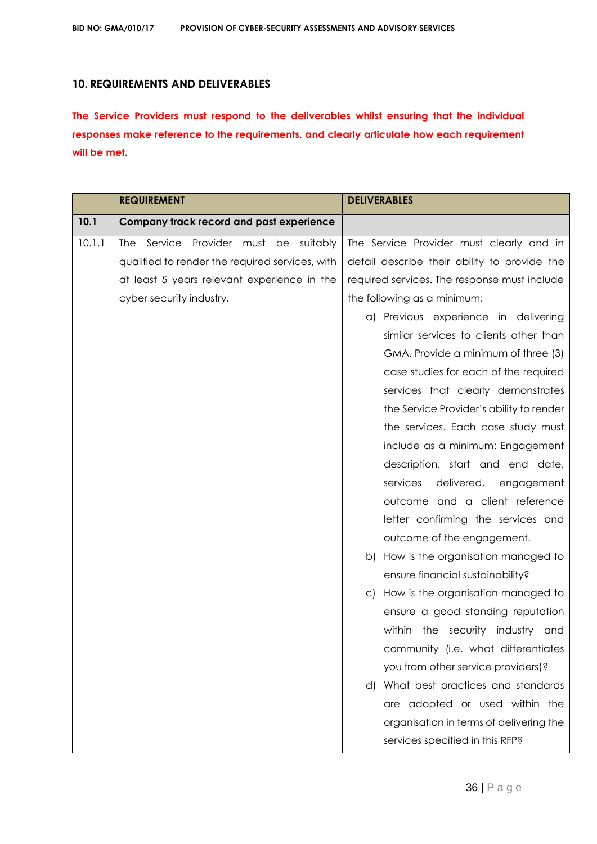# **10. REQUIREMENTS AND DELIVERABLES**

**The Service Providers must respond to the deliverables whilst ensuring that the individual responses make reference to the requirements, and clearly articulate how each requirement will be met.**

|        | <b>REQUIREMENT</b>                              | <b>DELIVERABLES</b>                          |
|--------|-------------------------------------------------|----------------------------------------------|
| 10.1   | Company track record and past experience        |                                              |
| 10.1.1 | Service Provider must be suitably<br>The        | The Service Provider must clearly and in     |
|        | qualified to render the required services, with | detail describe their ability to provide the |
|        | at least 5 years relevant experience in the     | required services. The response must include |
|        | cyber security industry.                        | the following as a minimum:                  |
|        |                                                 | a) Previous experience in delivering         |
|        |                                                 | similar services to clients other than       |
|        |                                                 | GMA. Provide a minimum of three (3)          |
|        |                                                 | case studies for each of the required        |
|        |                                                 | services that clearly demonstrates           |
|        |                                                 | the Service Provider's ability to render     |
|        |                                                 | the services. Each case study must           |
|        |                                                 | include as a minimum: Engagement             |
|        |                                                 | description, start and end date,             |
|        |                                                 | services<br>delivered, engagement            |
|        |                                                 | outcome and a client reference               |
|        |                                                 | letter confirming the services and           |
|        |                                                 | outcome of the engagement.                   |
|        |                                                 | How is the organisation managed to<br>b)     |
|        |                                                 | ensure financial sustainability?             |
|        |                                                 | How is the organisation managed to<br>C)     |
|        |                                                 | ensure a good standing reputation            |
|        |                                                 | within<br>the security industry and          |
|        |                                                 | community (i.e. what differentiates          |
|        |                                                 | you from other service providers)?           |
|        |                                                 | d) What best practices and standards         |
|        |                                                 | are adopted or used within the               |
|        |                                                 | organisation in terms of delivering the      |
|        |                                                 | services specified in this RFP?              |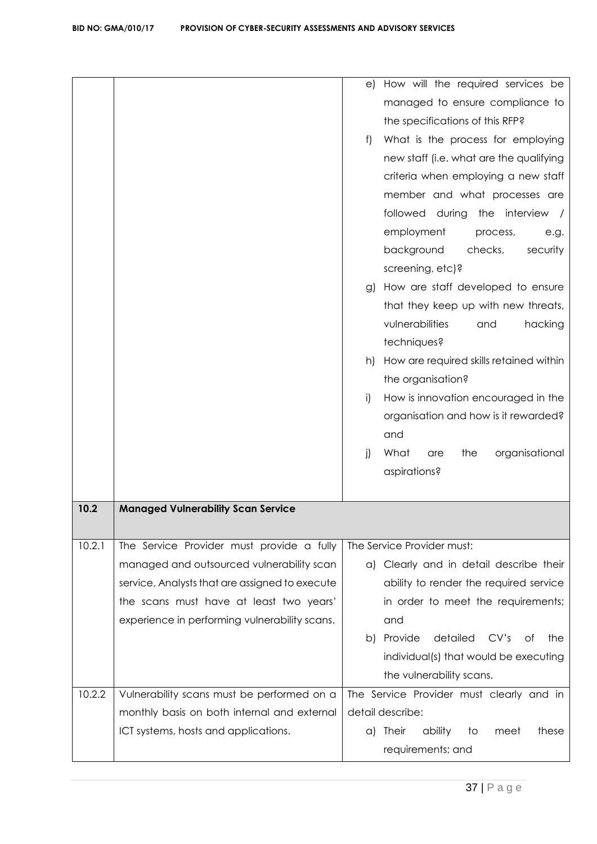|        |                                                | How will the required services be<br>e)              |
|--------|------------------------------------------------|------------------------------------------------------|
|        |                                                | managed to ensure compliance to                      |
|        |                                                | the specifications of this RFP?                      |
|        |                                                | What is the process for employing<br>f)              |
|        |                                                | new staff (i.e. what are the qualifying              |
|        |                                                | criteria when employing a new staff                  |
|        |                                                | member and what processes are                        |
|        |                                                | followed during<br>the interview /                   |
|        |                                                | employment<br>process,<br>e.g.                       |
|        |                                                | background<br>checks,<br>security                    |
|        |                                                | screening, etc)?                                     |
|        |                                                | How are staff developed to ensure<br>g)              |
|        |                                                | that they keep up with new threats,                  |
|        |                                                | vulnerabilities<br>hacking<br>and                    |
|        |                                                | techniques?                                          |
|        |                                                | How are required skills retained within<br>h)        |
|        |                                                | the organisation?                                    |
|        |                                                | How is innovation encouraged in the<br>i)            |
|        |                                                | organisation and how is it rewarded?                 |
|        |                                                | and                                                  |
|        |                                                | j)<br>What<br>the<br>organisational<br>are           |
|        |                                                | aspirations?                                         |
|        |                                                |                                                      |
| 10.2   | <b>Managed Vulnerability Scan Service</b>      |                                                      |
|        |                                                |                                                      |
| 10.2.1 | The Service Provider must provide a fully      | The Service Provider must:                           |
|        | managed and outsourced vulnerability scan      | a) Clearly and in detail describe their              |
|        | service, Analysts that are assigned to execute | ability to render the required service               |
|        | the scans must have at least two years'        | in order to meet the requirements;                   |
|        | experience in performing vulnerability scans.  | and                                                  |
|        |                                                | Provide<br>detailed<br>CV's<br>b)<br>Οf<br>the       |
|        |                                                | individual(s) that would be executing                |
|        |                                                | the vulnerability scans.                             |
| 10.2.2 | Vulnerability scans must be performed on a     | The Service Provider must clearly and in             |
|        | monthly basis on both internal and external    | detail describe:                                     |
|        | ICT systems, hosts and applications.           | <b>Their</b><br>ability<br>these<br>a)<br>to<br>meet |
|        |                                                | requirements; and                                    |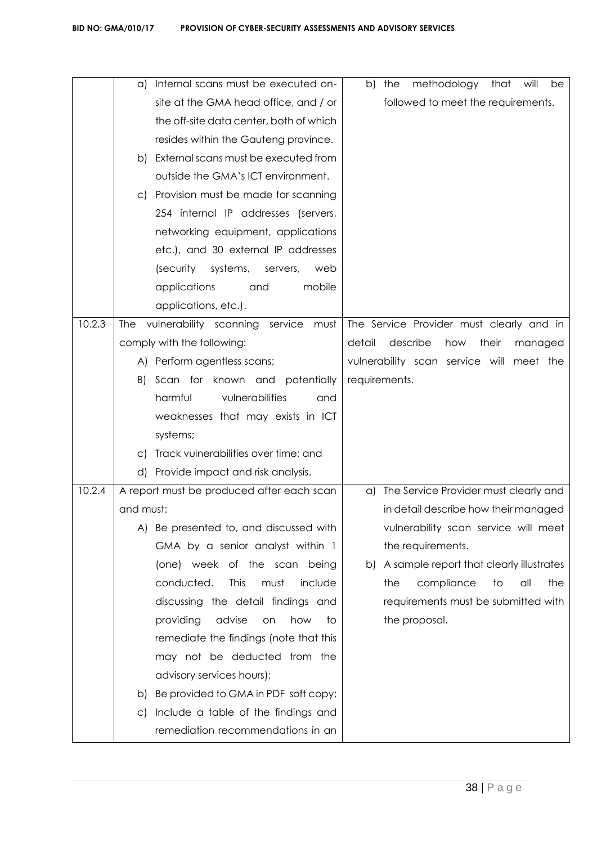|        | a)        | Internal scans must be executed on-       | b)            | the | methodology                              | that           | will    | be  |
|--------|-----------|-------------------------------------------|---------------|-----|------------------------------------------|----------------|---------|-----|
|        |           | site at the GMA head office, and / or     |               |     | followed to meet the requirements.       |                |         |     |
|        |           | the off-site data center, both of which   |               |     |                                          |                |         |     |
|        |           | resides within the Gauteng province.      |               |     |                                          |                |         |     |
|        | b)        | External scans must be executed from      |               |     |                                          |                |         |     |
|        |           | outside the GMA's ICT environment.        |               |     |                                          |                |         |     |
|        | $\circ$ ) | Provision must be made for scanning       |               |     |                                          |                |         |     |
|        |           | 254 internal IP addresses (servers,       |               |     |                                          |                |         |     |
|        |           | networking equipment, applications        |               |     |                                          |                |         |     |
|        |           | etc.), and 30 external IP addresses       |               |     |                                          |                |         |     |
|        |           | systems,<br>(security)<br>web<br>servers, |               |     |                                          |                |         |     |
|        |           | applications<br>mobile<br>and             |               |     |                                          |                |         |     |
|        |           | applications, etc.).                      |               |     |                                          |                |         |     |
| 10.2.3 | The       | vulnerability scanning service<br>must    |               |     | The Service Provider must clearly and in |                |         |     |
|        |           | comply with the following:                | detail        |     | describe<br>how                          | their          | managed |     |
|        |           | A) Perform agentless scans;               |               |     | vulnerability scan service will meet the |                |         |     |
|        | B)        | Scan for known and potentially            | requirements. |     |                                          |                |         |     |
|        |           | harmful<br>vulnerabilities<br>and         |               |     |                                          |                |         |     |
|        |           | weaknesses that may exists in ICT         |               |     |                                          |                |         |     |
|        |           | systems;                                  |               |     |                                          |                |         |     |
|        | $\circ$   | Track vulnerabilities over time; and      |               |     |                                          |                |         |     |
|        | d)        | Provide impact and risk analysis.         |               |     |                                          |                |         |     |
| 10.2.4 |           | A report must be produced after each scan |               |     | a) The Service Provider must clearly and |                |         |     |
|        | and must: |                                           |               |     | in detail describe how their managed     |                |         |     |
|        | A)        | Be presented to, and discussed with       |               |     | vulnerability scan service will meet     |                |         |     |
|        |           | GMA by a senior analyst within 1          |               |     | the requirements.                        |                |         |     |
|        |           | (one) week of the scan being              | b)            |     | A sample report that clearly illustrates |                |         |     |
|        |           | conducted.<br>This<br>must<br>include     |               | the | compliance                               | $\overline{1}$ | all     | the |
|        |           | discussing the detail findings and        |               |     | requirements must be submitted with      |                |         |     |
|        |           | advise<br>how<br>providing<br>to<br>on    |               |     | the proposal.                            |                |         |     |
|        |           | remediate the findings (note that this    |               |     |                                          |                |         |     |
|        |           | may not be deducted from the              |               |     |                                          |                |         |     |
|        |           | advisory services hours);                 |               |     |                                          |                |         |     |
|        | b)        | Be provided to GMA in PDF soft copy;      |               |     |                                          |                |         |     |
|        | $\circ$ ) | Include a table of the findings and       |               |     |                                          |                |         |     |
|        |           | remediation recommendations in an         |               |     |                                          |                |         |     |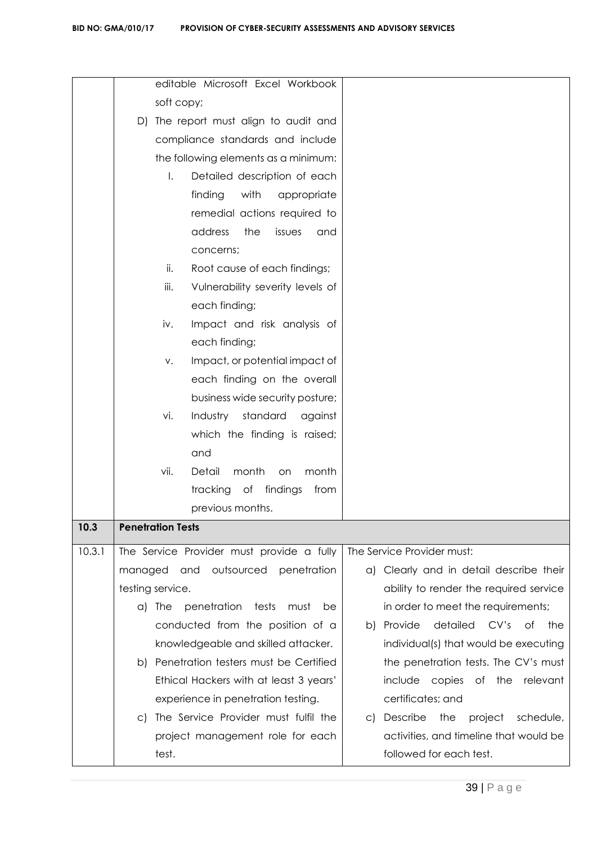|        | editable Microsoft Excel Workbook                    |                                                    |
|--------|------------------------------------------------------|----------------------------------------------------|
|        | soft copy;                                           |                                                    |
|        | D) The report must align to audit and                |                                                    |
|        | compliance standards and include                     |                                                    |
|        | the following elements as a minimum:                 |                                                    |
|        | $\mathsf{L}$<br>Detailed description of each         |                                                    |
|        | finding<br>with<br>appropriate                       |                                                    |
|        | remedial actions required to                         |                                                    |
|        | address<br>the<br>issues<br>and                      |                                                    |
|        | concerns;                                            |                                                    |
|        | Root cause of each findings;<br>ii.                  |                                                    |
|        | iii.<br>Vulnerability severity levels of             |                                                    |
|        | each finding;                                        |                                                    |
|        | iv.<br>Impact and risk analysis of                   |                                                    |
|        | each finding;                                        |                                                    |
|        | Impact, or potential impact of<br>V.                 |                                                    |
|        | each finding on the overall                          |                                                    |
|        | business wide security posture;                      |                                                    |
|        | standard<br>Industry<br>vi.<br>against               |                                                    |
|        | which the finding is raised;                         |                                                    |
|        | and                                                  |                                                    |
|        | Detail<br>vii.<br>month<br>month<br><b>on</b>        |                                                    |
|        | tracking of findings<br>from                         |                                                    |
|        | previous months.                                     |                                                    |
| 10.3   | <b>Penetration Tests</b>                             |                                                    |
| 10.3.1 | The Service Provider must provide a fully            | The Service Provider must:                         |
|        | outsourced<br>managed and<br>penetration             | a) Clearly and in detail describe their            |
|        | testing service.                                     | ability to render the required service             |
|        | a) The<br>penetration<br>tests<br>must<br>be         | in order to meet the requirements;                 |
|        | conducted from the position of a                     | b) Provide<br>detailed<br>CV's<br>of<br>the        |
|        | knowledgeable and skilled attacker.                  | individual(s) that would be executing              |
|        | b) Penetration testers must be Certified             | the penetration tests. The CV's must               |
|        | Ethical Hackers with at least 3 years'               | Оf<br>relevant<br>include<br>copies<br>the         |
|        | experience in penetration testing.                   | certificates; and                                  |
|        | The Service Provider must fulfil the<br>$\mathsf{C}$ | Describe<br>the<br>project<br>schedule,<br>$\circ$ |
|        | project management role for each                     | activities, and timeline that would be             |
|        | test.                                                | followed for each test.                            |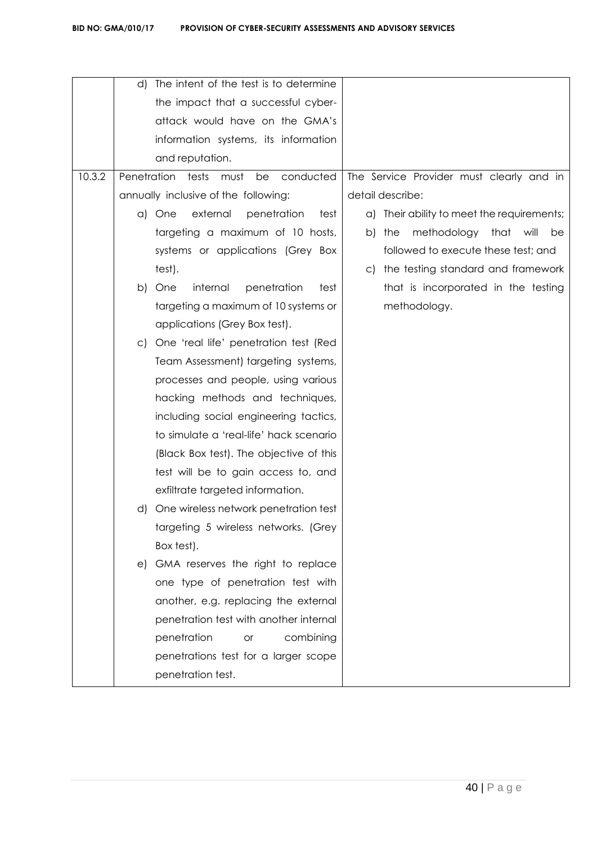|        | d)                                    | The intent of the test is to determine       |                                             |
|--------|---------------------------------------|----------------------------------------------|---------------------------------------------|
|        |                                       | the impact that a successful cyber-          |                                             |
|        |                                       | attack would have on the GMA's               |                                             |
|        |                                       | information systems, its information         |                                             |
|        |                                       | and reputation.                              |                                             |
| 10.3.2 |                                       | Penetration tests<br>conducted<br>must<br>be | The Service Provider must clearly and in    |
|        |                                       | annually inclusive of the following:         | detail describe:                            |
|        |                                       | a) One<br>external<br>penetration<br>test    | a) Their ability to meet the requirements;  |
|        |                                       | targeting a maximum of 10 hosts,             | methodology<br>that will<br>the<br>be<br>b) |
|        |                                       | systems or applications (Grey Box            | followed to execute these test; and         |
|        |                                       | test).                                       | the testing standard and framework<br>C)    |
|        |                                       | internal<br>penetration<br>b) One<br>test    | that is incorporated in the testing         |
|        |                                       | targeting a maximum of 10 systems or         | methodology.                                |
|        |                                       | applications (Grey Box test).                |                                             |
|        |                                       | c) One 'real life' penetration test (Red     |                                             |
|        |                                       | Team Assessment) targeting systems,          |                                             |
|        |                                       | processes and people, using various          |                                             |
|        |                                       | hacking methods and techniques,              |                                             |
|        | including social engineering tactics, |                                              |                                             |
|        |                                       | to simulate a 'real-life' hack scenario      |                                             |
|        |                                       | (Black Box test). The objective of this      |                                             |
|        |                                       | test will be to gain access to, and          |                                             |
|        |                                       | exfiltrate targeted information.             |                                             |
|        | d)                                    | One wireless network penetration test        |                                             |
|        |                                       | targeting 5 wireless networks. (Grey         |                                             |
|        |                                       | Box test).                                   |                                             |
|        |                                       | e) GMA reserves the right to replace         |                                             |
|        |                                       | one type of penetration test with            |                                             |
|        |                                       | another, e.g. replacing the external         |                                             |
|        |                                       | penetration test with another internal       |                                             |
|        |                                       | penetration<br>combining<br><b>or</b>        |                                             |
|        |                                       | penetrations test for a larger scope         |                                             |
|        |                                       | penetration test.                            |                                             |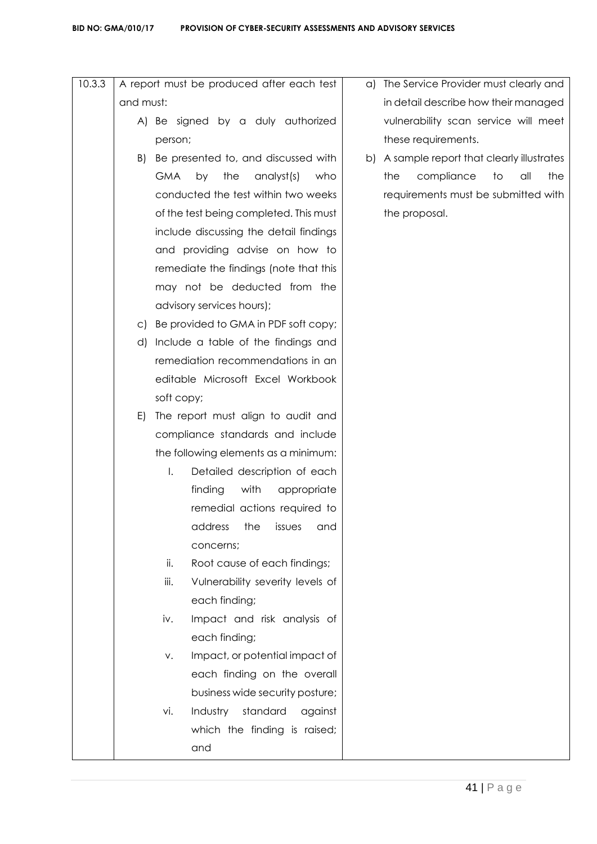| 10.3.3 |           | A report must be produced after each test    | a) The Service Provider must clearly and    |  |  |  |  |
|--------|-----------|----------------------------------------------|---------------------------------------------|--|--|--|--|
|        | and must: |                                              | in detail describe how their managed        |  |  |  |  |
|        |           | A) Be signed by a duly authorized            | vulnerability scan service will meet        |  |  |  |  |
|        |           | person;                                      | these requirements.                         |  |  |  |  |
|        | B)        | Be presented to, and discussed with          | b) A sample report that clearly illustrates |  |  |  |  |
|        |           | <b>GMA</b><br>analyst(s)<br>by<br>the<br>who | compliance<br>the<br>to<br>all<br>the       |  |  |  |  |
|        |           | conducted the test within two weeks          | requirements must be submitted with         |  |  |  |  |
|        |           | of the test being completed. This must       | the proposal.                               |  |  |  |  |
|        |           | include discussing the detail findings       |                                             |  |  |  |  |
|        |           | and providing advise on how to               |                                             |  |  |  |  |
|        |           | remediate the findings (note that this       |                                             |  |  |  |  |
|        |           | may not be deducted from the                 |                                             |  |  |  |  |
|        |           | advisory services hours);                    |                                             |  |  |  |  |
|        |           | c) Be provided to GMA in PDF soft copy;      |                                             |  |  |  |  |
|        | d)        | Include a table of the findings and          |                                             |  |  |  |  |
|        |           | remediation recommendations in an            |                                             |  |  |  |  |
|        |           | editable Microsoft Excel Workbook            |                                             |  |  |  |  |
|        |           | soft copy;                                   |                                             |  |  |  |  |
|        | E)        | The report must align to audit and           |                                             |  |  |  |  |
|        |           | compliance standards and include             |                                             |  |  |  |  |
|        |           | the following elements as a minimum:         |                                             |  |  |  |  |
|        |           | Ι.<br>Detailed description of each           |                                             |  |  |  |  |
|        |           | finding<br>with<br>appropriate               |                                             |  |  |  |  |
|        |           | remedial actions required to                 |                                             |  |  |  |  |
|        |           | the<br>issues<br>address<br>and              |                                             |  |  |  |  |
|        |           | concerns;                                    |                                             |  |  |  |  |
|        |           | ii.<br>Root cause of each findings;          |                                             |  |  |  |  |
|        |           | iii.<br>Vulnerability severity levels of     |                                             |  |  |  |  |
|        |           | each finding;                                |                                             |  |  |  |  |
|        |           | Impact and risk analysis of<br>iv.           |                                             |  |  |  |  |
|        |           | each finding;                                |                                             |  |  |  |  |
|        |           | Impact, or potential impact of<br>V.         |                                             |  |  |  |  |
|        |           | each finding on the overall                  |                                             |  |  |  |  |
|        |           | business wide security posture;              |                                             |  |  |  |  |
|        |           | standard<br>vi.<br>Industry<br>against       |                                             |  |  |  |  |
|        |           | which the finding is raised;                 |                                             |  |  |  |  |
|        |           | and                                          |                                             |  |  |  |  |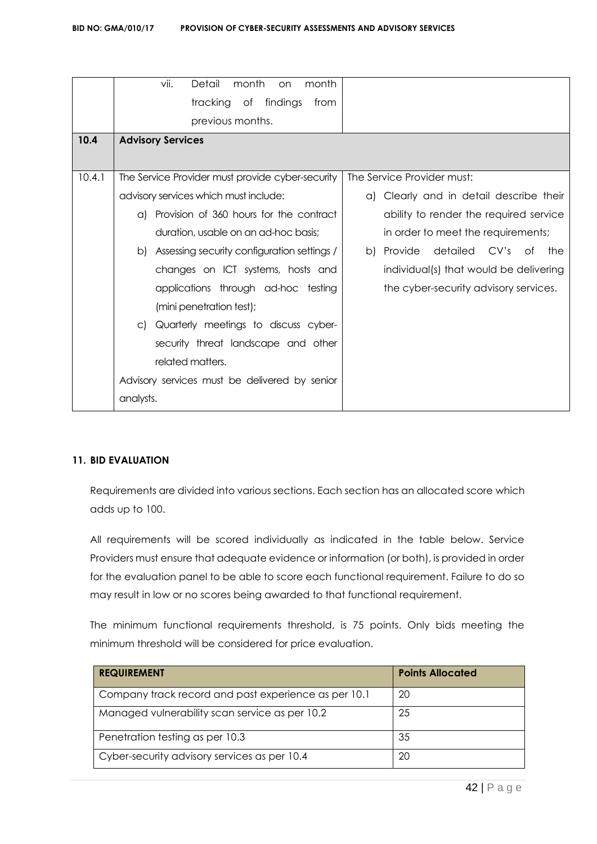|        | vii.<br>Detail<br>month<br>month<br>on.          |                                          |  |  |  |
|--------|--------------------------------------------------|------------------------------------------|--|--|--|
|        | tracking of findings<br>from                     |                                          |  |  |  |
|        | previous months.                                 |                                          |  |  |  |
| 10.4   | <b>Advisory Services</b>                         |                                          |  |  |  |
|        |                                                  |                                          |  |  |  |
| 10.4.1 | The Service Provider must provide cyber-security | The Service Provider must:               |  |  |  |
|        | advisory services which must include:            | a) Clearly and in detail describe their  |  |  |  |
|        | Provision of 360 hours for the contract<br>a)    | ability to render the required service   |  |  |  |
|        | duration, usable on an ad-hoc basis:             | in order to meet the requirements;       |  |  |  |
|        | b) Assessing security configuration settings /   | detailed<br>b) Provide<br>CV's of<br>the |  |  |  |
|        | changes on ICT systems, hosts and                | individual(s) that would be delivering   |  |  |  |
|        | applications through ad-hoc testing              | the cyber-security advisory services.    |  |  |  |
|        | (mini penetration test);                         |                                          |  |  |  |
|        | c) Quarterly meetings to discuss cyber-          |                                          |  |  |  |
|        | security threat landscape and other              |                                          |  |  |  |
|        | related matters.                                 |                                          |  |  |  |
|        | Advisory services must be delivered by senior    |                                          |  |  |  |
|        | analysts.                                        |                                          |  |  |  |

# **11. BID EVALUATION**

Requirements are divided into various sections. Each section has an allocated score which adds up to 100.

All requirements will be scored individually as indicated in the table below. Service Providers must ensure that adequate evidence or information (or both), is provided in order for the evaluation panel to be able to score each functional requirement. Failure to do so may result in low or no scores being awarded to that functional requirement.

The minimum functional requirements threshold, is 75 points. Only bids meeting the minimum threshold will be considered for price evaluation.

| <b>REQUIREMENT</b>                                   | <b>Points Allocated</b> |
|------------------------------------------------------|-------------------------|
| Company track record and past experience as per 10.1 | 20                      |
| Managed vulnerability scan service as per 10.2       | 25                      |
| Penetration testing as per 10.3                      | 35                      |
| Cyber-security advisory services as per 10.4         | 20                      |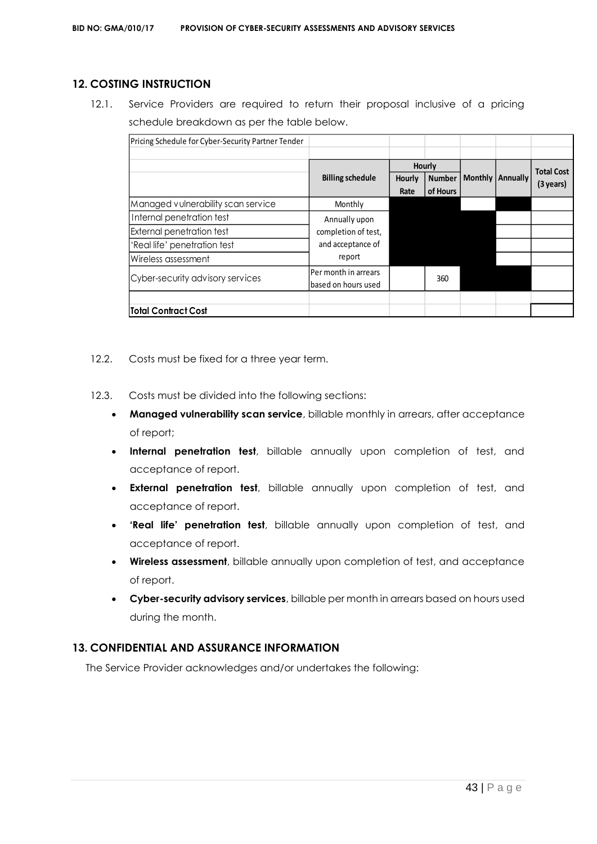# **12. COSTING INSTRUCTION**

12.1. Service Providers are required to return their proposal inclusive of a pricing schedule breakdown as per the table below.

| Pricing Schedule for Cyber-Security Partner Tender |                         |                         |          |                |                 |                     |
|----------------------------------------------------|-------------------------|-------------------------|----------|----------------|-----------------|---------------------|
|                                                    |                         |                         |          |                |                 |                     |
|                                                    |                         |                         | Hourly   |                |                 | <b>Total Cost</b>   |
|                                                    | <b>Billing schedule</b> | <b>Number</b><br>Hourly |          | <b>Monthly</b> | <b>Annually</b> |                     |
|                                                    |                         | Rate                    | of Hours |                |                 | $(3 \text{ years})$ |
| Managed vulnerability scan service                 | Monthly                 |                         |          |                |                 |                     |
| Internal penetration test                          | Annually upon           |                         |          |                |                 |                     |
| <b>External penetration test</b>                   | completion of test,     |                         |          |                |                 |                     |
| 'Real life' penetration test                       | and acceptance of       |                         |          |                |                 |                     |
| Wireless assessment                                | report                  |                         |          |                |                 |                     |
| Cyber-security advisory services                   | Per month in arrears    |                         | 360      |                |                 |                     |
|                                                    | based on hours used     |                         |          |                |                 |                     |
|                                                    |                         |                         |          |                |                 |                     |
| <b>Total Contract Cost</b>                         |                         |                         |          |                |                 |                     |

- 12.2. Costs must be fixed for a three year term.
- 12.3. Costs must be divided into the following sections:
	- **Managed vulnerability scan service**, billable monthly in arrears, after acceptance of report;
	- **Internal penetration test**, billable annually upon completion of test, and acceptance of report.
	- **External penetration test**, billable annually upon completion of test, and acceptance of report.
	- **'Real life' penetration test**, billable annually upon completion of test, and acceptance of report.
	- **Wireless assessment**, billable annually upon completion of test, and acceptance of report.
	- **Cyber-security advisory services**, billable per month in arrears based on hours used during the month.

# **13. CONFIDENTIAL AND ASSURANCE INFORMATION**

The Service Provider acknowledges and/or undertakes the following: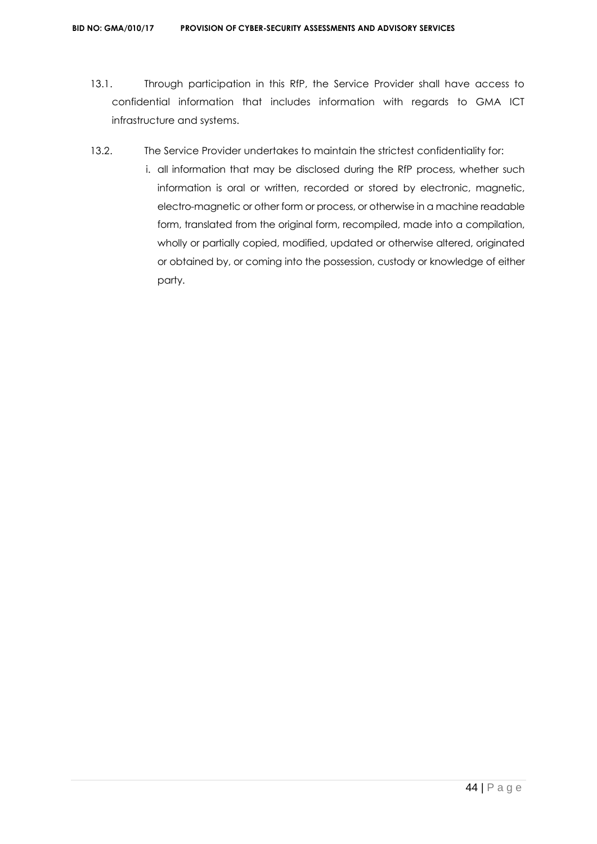- 13.1. Through participation in this RfP, the Service Provider shall have access to confidential information that includes information with regards to GMA ICT infrastructure and systems.
- 13.2. The Service Provider undertakes to maintain the strictest confidentiality for:
	- i. all information that may be disclosed during the RfP process, whether such information is oral or written, recorded or stored by electronic, magnetic, electro-magnetic or other form or process, or otherwise in a machine readable form, translated from the original form, recompiled, made into a compilation, wholly or partially copied, modified, updated or otherwise altered, originated or obtained by, or coming into the possession, custody or knowledge of either party.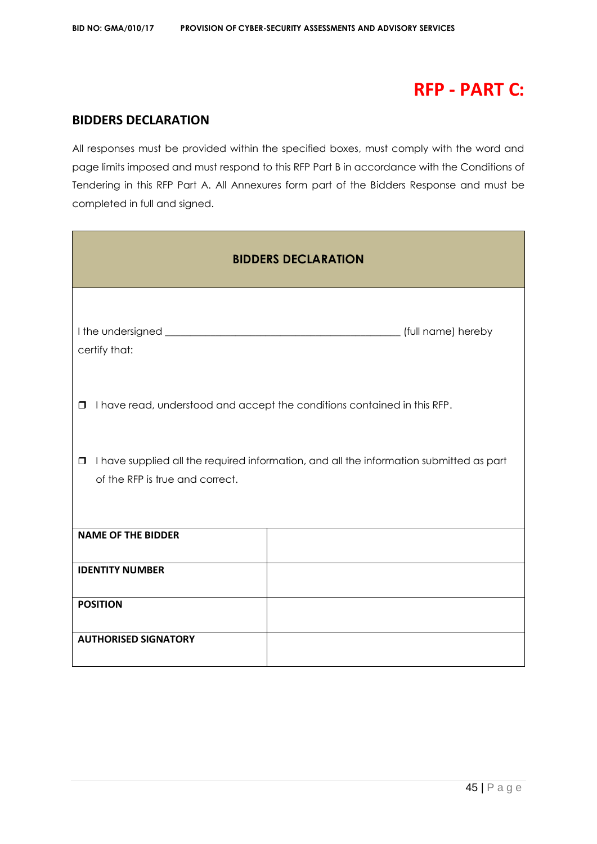# **RFP - PART C:**

# **BIDDERS DECLARATION**

All responses must be provided within the specified boxes, must comply with the word and page limits imposed and must respond to this RFP Part B in accordance with the Conditions of Tendering in this RFP Part A. All Annexures form part of the Bidders Response and must be completed in full and signed.

| <b>BIDDERS DECLARATION</b>                                                                                                           |                                                                          |  |  |  |  |  |  |
|--------------------------------------------------------------------------------------------------------------------------------------|--------------------------------------------------------------------------|--|--|--|--|--|--|
| certify that:                                                                                                                        |                                                                          |  |  |  |  |  |  |
| $\Box$                                                                                                                               | I have read, understood and accept the conditions contained in this RFP. |  |  |  |  |  |  |
| I have supplied all the required information, and all the information submitted as part<br>$\Box$<br>of the RFP is true and correct. |                                                                          |  |  |  |  |  |  |
| <b>NAME OF THE BIDDER</b>                                                                                                            |                                                                          |  |  |  |  |  |  |
| <b>IDENTITY NUMBER</b>                                                                                                               |                                                                          |  |  |  |  |  |  |
| <b>POSITION</b>                                                                                                                      |                                                                          |  |  |  |  |  |  |
| <b>AUTHORISED SIGNATORY</b>                                                                                                          |                                                                          |  |  |  |  |  |  |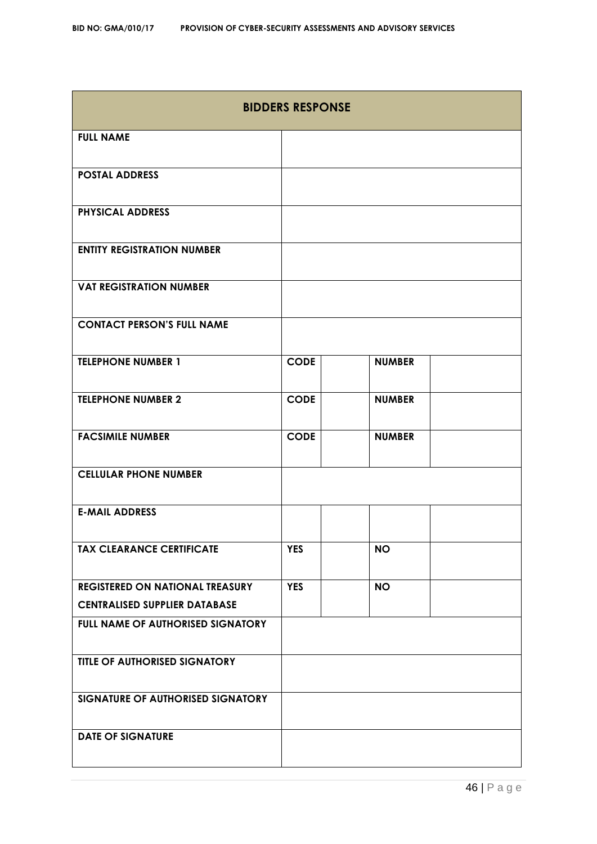| <b>BIDDERS RESPONSE</b>                  |             |               |  |  |  |  |
|------------------------------------------|-------------|---------------|--|--|--|--|
| <b>FULL NAME</b>                         |             |               |  |  |  |  |
| <b>POSTAL ADDRESS</b>                    |             |               |  |  |  |  |
| <b>PHYSICAL ADDRESS</b>                  |             |               |  |  |  |  |
| <b>ENTITY REGISTRATION NUMBER</b>        |             |               |  |  |  |  |
| <b>VAT REGISTRATION NUMBER</b>           |             |               |  |  |  |  |
| <b>CONTACT PERSON'S FULL NAME</b>        |             |               |  |  |  |  |
| <b>TELEPHONE NUMBER 1</b>                | <b>CODE</b> | <b>NUMBER</b> |  |  |  |  |
| <b>TELEPHONE NUMBER 2</b>                | <b>CODE</b> | <b>NUMBER</b> |  |  |  |  |
| <b>FACSIMILE NUMBER</b>                  | <b>CODE</b> | <b>NUMBER</b> |  |  |  |  |
| <b>CELLULAR PHONE NUMBER</b>             |             |               |  |  |  |  |
| <b>E-MAIL ADDRESS</b>                    |             |               |  |  |  |  |
| <b>TAX CLEARANCE CERTIFICATE</b>         | <b>YES</b>  | <b>NO</b>     |  |  |  |  |
| <b>REGISTERED ON NATIONAL TREASURY</b>   | <b>YES</b>  | <b>NO</b>     |  |  |  |  |
| <b>CENTRALISED SUPPLIER DATABASE</b>     |             |               |  |  |  |  |
| <b>FULL NAME OF AUTHORISED SIGNATORY</b> |             |               |  |  |  |  |
| TITLE OF AUTHORISED SIGNATORY            |             |               |  |  |  |  |
| SIGNATURE OF AUTHORISED SIGNATORY        |             |               |  |  |  |  |
| <b>DATE OF SIGNATURE</b>                 |             |               |  |  |  |  |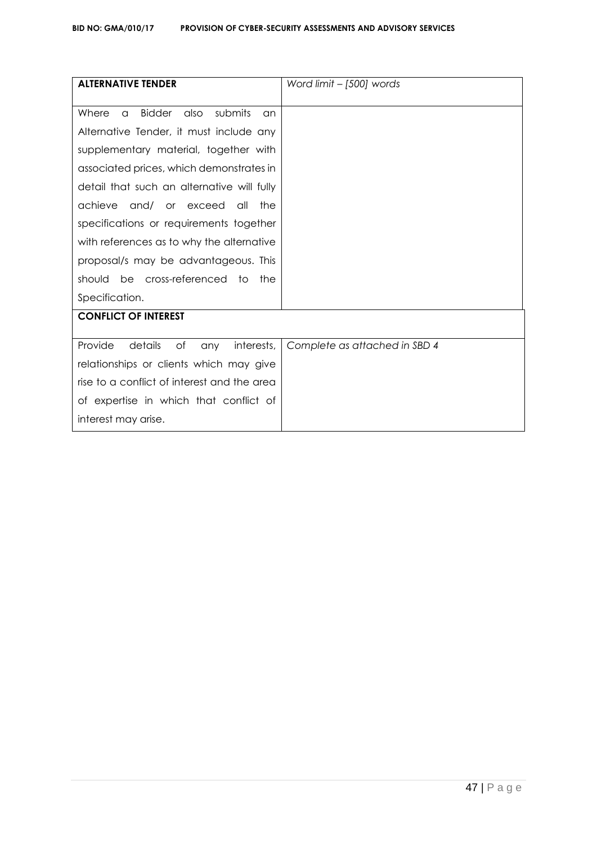| <b>ALTERNATIVE TENDER</b>                                   | Word limit $-$ [500] words    |
|-------------------------------------------------------------|-------------------------------|
|                                                             |                               |
| submits<br>Where<br><b>Bidder</b><br>also<br>$\alpha$<br>an |                               |
| Alternative Tender, it must include any                     |                               |
| supplementary material, together with                       |                               |
| associated prices, which demonstrates in                    |                               |
| detail that such an alternative will fully                  |                               |
| achieve and/ or exceed<br>the<br>all                        |                               |
| specifications or requirements together                     |                               |
| with references as to why the alternative                   |                               |
| proposal/s may be advantageous. This                        |                               |
| be cross-referenced<br>should<br>the<br>to                  |                               |
| Specification.                                              |                               |
| <b>CONFLICT OF INTEREST</b>                                 |                               |
|                                                             |                               |
| Provide<br>details<br>Оf<br>interests,<br>any               | Complete as attached in SBD 4 |
| relationships or clients which may give                     |                               |
| rise to a conflict of interest and the area                 |                               |
| of expertise in which that conflict of                      |                               |
| interest may arise.                                         |                               |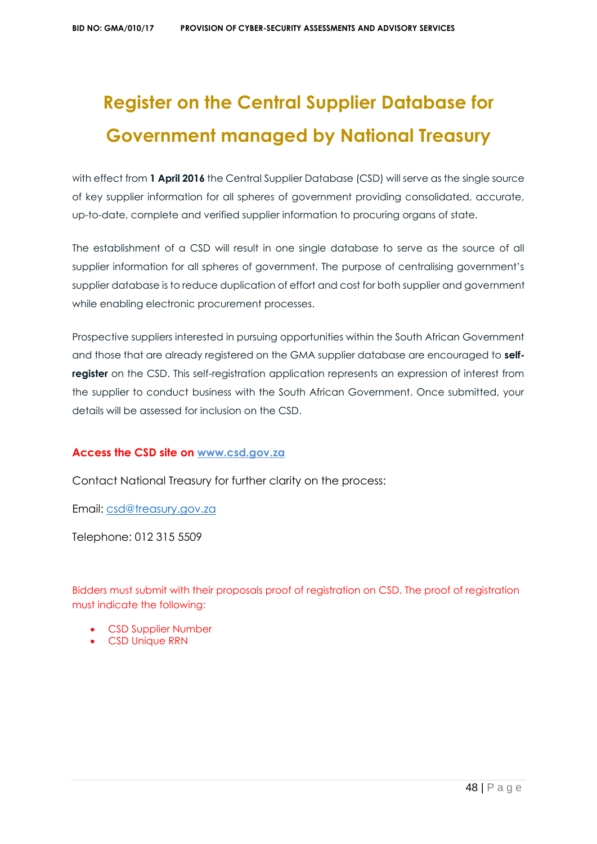# **Register on the Central Supplier Database for Government managed by National Treasury**

with effect from 1 April 2016 the Central Supplier Database (CSD) will serve as the single source of key supplier information for all spheres of government providing consolidated, accurate, up-to-date, complete and verified supplier information to procuring organs of state.

The establishment of a CSD will result in one single database to serve as the source of all supplier information for all spheres of government. The purpose of centralising government's supplier database is to reduce duplication of effort and cost for both supplier and government while enabling electronic procurement processes.

Prospective suppliers interested in pursuing opportunities within the South African Government and those that are already registered on the GMA supplier database are encouraged to **selfregister** on the CSD. This self-registration application represents an expression of interest from the supplier to conduct business with the South African Government. Once submitted, your details will be assessed for inclusion on the CSD.

# **Access the CSD site on [www.csd.gov.za](http://www.csd.gov.za/)**

Contact National Treasury for further clarity on the process:

Email: [csd@treasury.gov.za](mailto:csd@treasury.gov.za)

Telephone: 012 315 5509

Bidders must submit with their proposals proof of registration on CSD. The proof of registration must indicate the following:

- CSD Supplier Number
- CSD Unique RRN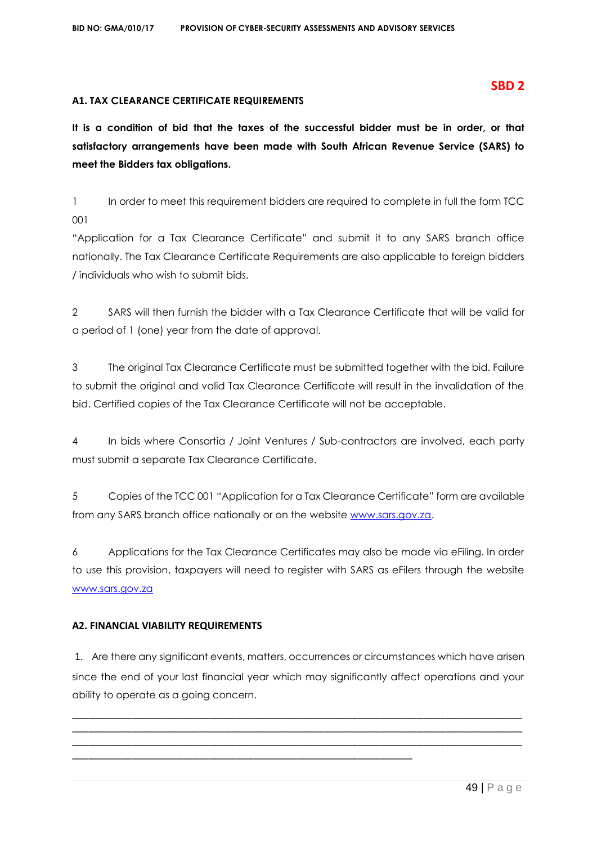## **A1. TAX CLEARANCE CERTIFICATE REQUIREMENTS**

**It is a condition of bid that the taxes of the successful bidder must be in order, or that satisfactory arrangements have been made with South African Revenue Service (SARS) to meet the Bidders tax obligations.**

1 In order to meet this requirement bidders are required to complete in full the form TCC 001

"Application for a Tax Clearance Certificate" and submit it to any SARS branch office nationally. The Tax Clearance Certificate Requirements are also applicable to foreign bidders / individuals who wish to submit bids.

2 SARS will then furnish the bidder with a Tax Clearance Certificate that will be valid for a period of 1 (one) year from the date of approval.

3 The original Tax Clearance Certificate must be submitted together with the bid. Failure to submit the original and valid Tax Clearance Certificate will result in the invalidation of the bid. Certified copies of the Tax Clearance Certificate will not be acceptable.

4 In bids where Consortia / Joint Ventures / Sub-contractors are involved, each party must submit a separate Tax Clearance Certificate.

5 Copies of the TCC 001 "Application for a Tax Clearance Certificate" form are available from any SARS branch office nationally or on the website [www.sars.gov.za.](http://www.sars.gov.za/)

6 Applications for the Tax Clearance Certificates may also be made via eFiling. In order to use this provision, taxpayers will need to register with SARS as eFilers through the website [www.sars.gov.za](http://www.sars.gov.za/)

# **A2. FINANCIAL VIABILITY REQUIREMENTS**

1. Are there any significant events, matters, occurrences or circumstances which have arisen since the end of your last financial year which may significantly affect operations and your ability to operate as a going concern.

\_\_\_\_\_\_\_\_\_\_\_\_\_\_\_\_\_\_\_\_\_\_\_\_\_\_\_\_\_\_\_\_\_\_\_\_\_\_\_\_\_\_\_\_\_\_\_\_\_\_\_\_\_\_\_\_\_\_\_\_\_\_\_\_\_\_\_\_\_\_\_\_\_\_\_\_\_\_\_\_\_\_ \_\_\_\_\_\_\_\_\_\_\_\_\_\_\_\_\_\_\_\_\_\_\_\_\_\_\_\_\_\_\_\_\_\_\_\_\_\_\_\_\_\_\_\_\_\_\_\_\_\_\_\_\_\_\_\_\_\_\_\_\_\_\_\_\_\_\_\_\_\_\_\_\_\_\_\_\_\_\_\_\_\_ \_\_\_\_\_\_\_\_\_\_\_\_\_\_\_\_\_\_\_\_\_\_\_\_\_\_\_\_\_\_\_\_\_\_\_\_\_\_\_\_\_\_\_\_\_\_\_\_\_\_\_\_\_\_\_\_\_\_\_\_\_\_\_\_\_\_\_\_\_\_\_\_\_\_\_\_\_\_\_\_\_\_

\_\_\_\_\_\_\_\_\_\_\_\_\_\_\_\_\_\_\_\_\_\_\_\_\_\_\_\_\_\_\_\_\_\_\_\_\_\_\_\_\_\_\_\_\_\_\_\_\_\_\_\_\_\_\_\_\_\_\_\_\_\_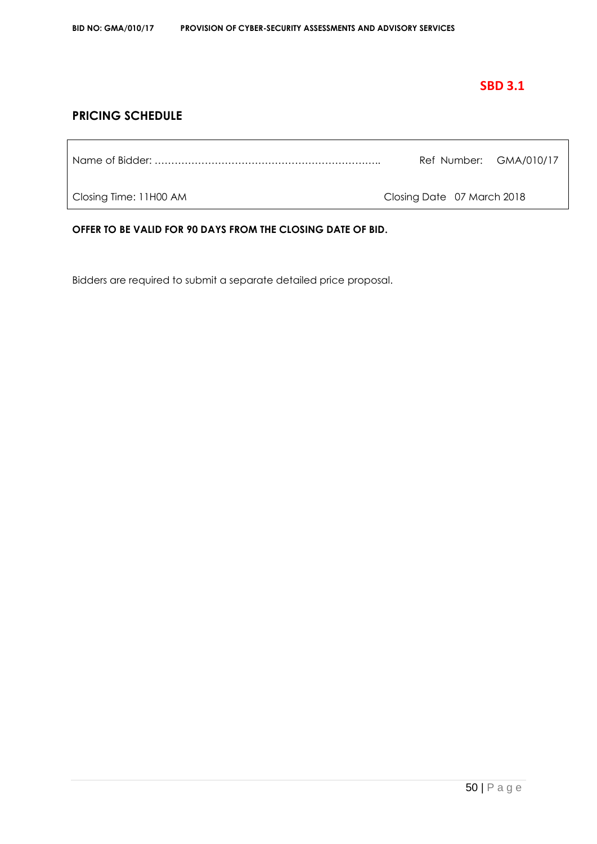# **SBD 3.1**

# **PRICING SCHEDULE**

Name of Bidder: ………………………………………………………….. Ref Number: GMA/010/17

Closing Time: 11H00 AM Closing Date 07 March 2018

**OFFER TO BE VALID FOR 90 DAYS FROM THE CLOSING DATE OF BID.**

Bidders are required to submit a separate detailed price proposal.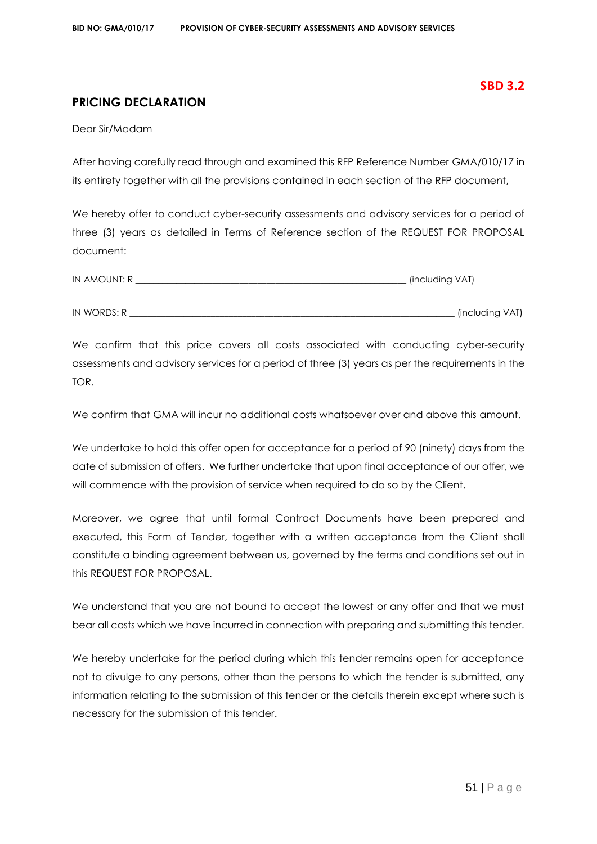# **SBD 3.2**

# **PRICING DECLARATION**

Dear Sir/Madam

After having carefully read through and examined this RFP Reference Number GMA/010/17 in its entirety together with all the provisions contained in each section of the RFP document,

We hereby offer to conduct cyber-security assessments and advisory services for a period of three (3) years as detailed in Terms of Reference section of the REQUEST FOR PROPOSAL document:

| IN AMOUNT: R | (including VAT) |
|--------------|-----------------|
|              |                 |
| IN WORDS: R  | (including VAT) |

We confirm that this price covers all costs associated with conducting cyber-security assessments and advisory services for a period of three (3) years as per the requirements in the TOR.

We confirm that GMA will incur no additional costs whatsoever over and above this amount.

We undertake to hold this offer open for acceptance for a period of 90 (ninety) days from the date of submission of offers. We further undertake that upon final acceptance of our offer, we will commence with the provision of service when required to do so by the Client.

Moreover, we agree that until formal Contract Documents have been prepared and executed, this Form of Tender, together with a written acceptance from the Client shall constitute a binding agreement between us, governed by the terms and conditions set out in this REQUEST FOR PROPOSAL.

We understand that you are not bound to accept the lowest or any offer and that we must bear all costs which we have incurred in connection with preparing and submitting this tender.

We hereby undertake for the period during which this tender remains open for acceptance not to divulge to any persons, other than the persons to which the tender is submitted, any information relating to the submission of this tender or the details therein except where such is necessary for the submission of this tender.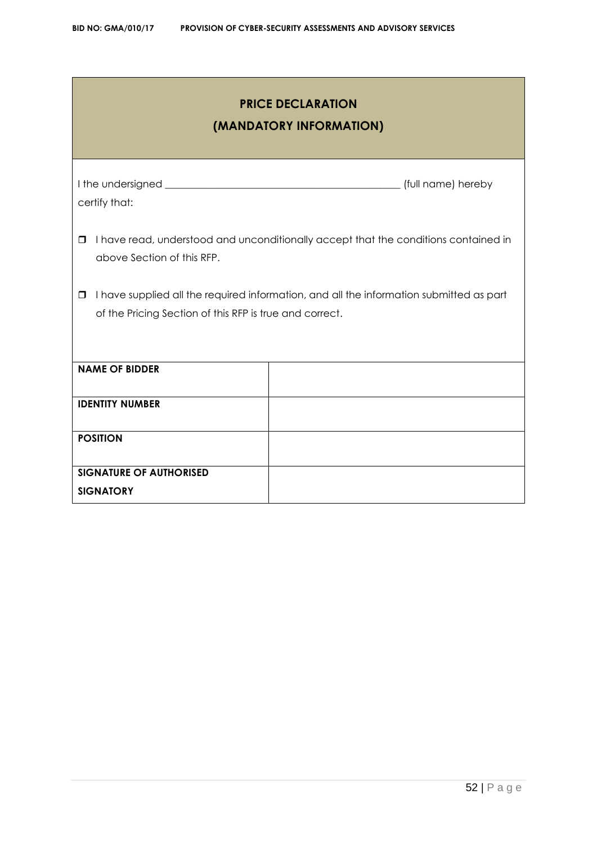| <b>PRICE DECLARATION</b><br>(MANDATORY INFORMATION)                                                                    |                                                                                         |  |  |  |  |  |  |  |  |
|------------------------------------------------------------------------------------------------------------------------|-----------------------------------------------------------------------------------------|--|--|--|--|--|--|--|--|
| certify that:                                                                                                          |                                                                                         |  |  |  |  |  |  |  |  |
| I have read, understood and unconditionally accept that the conditions contained in<br>□<br>above Section of this RFP. |                                                                                         |  |  |  |  |  |  |  |  |
| $\Box$<br>of the Pricing Section of this RFP is true and correct.                                                      | I have supplied all the required information, and all the information submitted as part |  |  |  |  |  |  |  |  |
| <b>NAME OF BIDDER</b>                                                                                                  |                                                                                         |  |  |  |  |  |  |  |  |
| <b>IDENTITY NUMBER</b>                                                                                                 |                                                                                         |  |  |  |  |  |  |  |  |
| <b>POSITION</b>                                                                                                        |                                                                                         |  |  |  |  |  |  |  |  |
| <b>SIGNATURE OF AUTHORISED</b><br><b>SIGNATORY</b>                                                                     |                                                                                         |  |  |  |  |  |  |  |  |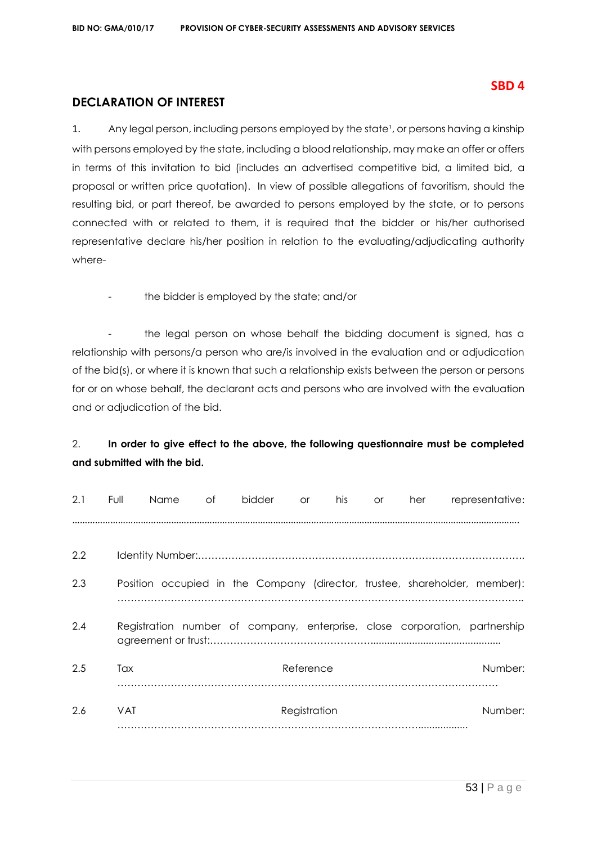# **SBD 4**

# **DECLARATION OF INTEREST**

1. Any legal person, including persons employed by the state<sup>1</sup>, or persons having a kinship with persons employed by the state, including a blood relationship, may make an offer or offers in terms of this invitation to bid (includes an advertised competitive bid, a limited bid, a proposal or written price quotation). In view of possible allegations of favoritism, should the resulting bid, or part thereof, be awarded to persons employed by the state, or to persons connected with or related to them, it is required that the bidder or his/her authorised representative declare his/her position in relation to the evaluating/adjudicating authority where-

the bidder is employed by the state; and/or

the legal person on whose behalf the bidding document is signed, has a relationship with persons/a person who are/is involved in the evaluation and or adjudication of the bid(s), or where it is known that such a relationship exists between the person or persons for or on whose behalf, the declarant acts and persons who are involved with the evaluation and or adjudication of the bid.

# 2. **In order to give effect to the above, the following questionnaire must be completed and submitted with the bid.**

| 2.1 | Full       | Name | of | bidder | <b>or</b>    | his | <b>or</b> | her | representative:                                                            |
|-----|------------|------|----|--------|--------------|-----|-----------|-----|----------------------------------------------------------------------------|
| 2.2 |            |      |    |        |              |     |           |     |                                                                            |
| 2.3 |            |      |    |        |              |     |           |     | Position occupied in the Company (director, trustee, shareholder, member): |
| 2.4 |            |      |    |        |              |     |           |     | Registration number of company, enterprise, close corporation, partnership |
| 2.5 | Tax        |      |    |        | Reference    |     |           |     | Number:                                                                    |
| 2.6 | <b>VAT</b> |      |    |        | Registration |     |           |     | Number:                                                                    |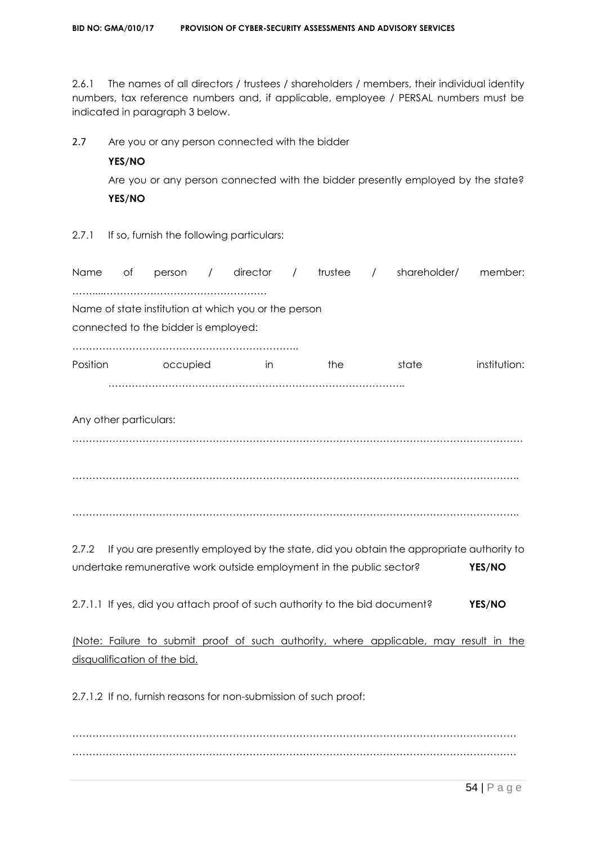2.6.1 The names of all directors / trustees / shareholders / members, their individual identity numbers, tax reference numbers and, if applicable, employee / PERSAL numbers must be indicated in paragraph 3 below.

2.7 Are you or any person connected with the bidder

# **YES/NO**

Are you or any person connected with the bidder presently employed by the state? **YES/NO**

2.7.1 If so, furnish the following particulars:

| <b>Name</b>            | оf | person                               | $\prime$ | $director$ /                                         |  | trustee / |  | shareholder/ | member:      |
|------------------------|----|--------------------------------------|----------|------------------------------------------------------|--|-----------|--|--------------|--------------|
|                        |    | connected to the bidder is employed: |          | Name of state institution at which you or the person |  |           |  |              |              |
| Position               |    | occupied                             |          | In                                                   |  | the       |  | state        | institution: |
| Any other particulars: |    |                                      |          |                                                      |  |           |  |              |              |

……………………………………………………………………………………………………………………… …………………………………………………………………………………………………………………….. . The contract of the contract of the contract of the contract of the contract of the contract of the contract of the contract of the contract of the contract of the contract of the contract of the contract of the contrac

2.7.2 If you are presently employed by the state, did you obtain the appropriate authority to undertake remunerative work outside employment in the public sector? **YES/NO**

2.7.1.1 If yes, did you attach proof of such authority to the bid document? **YES/NO**

(Note: Failure to submit proof of such authority, where applicable, may result in the disqualification of the bid.

2.7.1.2 If no, furnish reasons for non-submission of such proof:

……………………………………………………………………………………………………………………. …………………………………………………………………………………………………………………….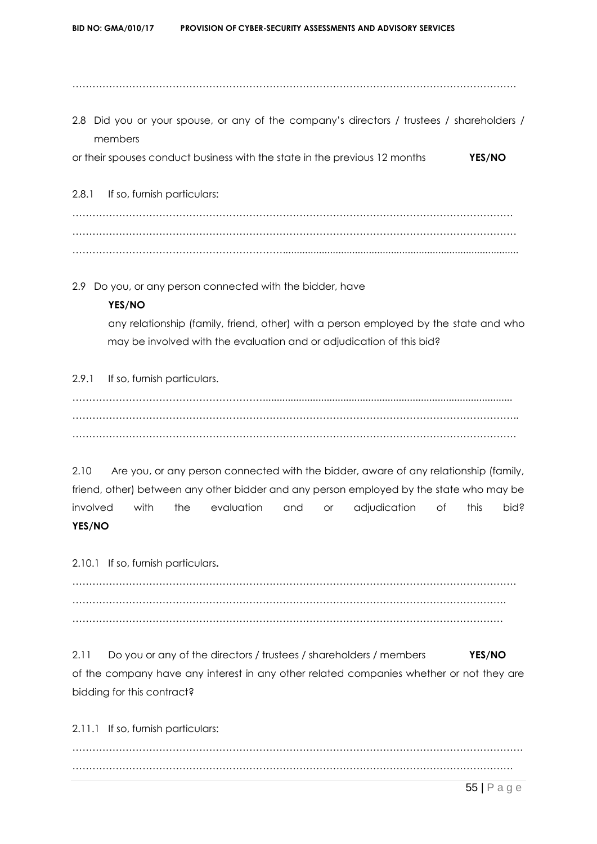…………………………………………………………………………………………………………………….

2.8 Did you or your spouse, or any of the company's directors / trustees / shareholders / members

or their spouses conduct business with the state in the previous 12 months **YES/NO**

2.8.1 If so, furnish particulars:

…………………………………………………………………………………………………………………… . The contract of the contract of the contract of the contract of the contract of the contract of the contract of the contract of the contract of the contract of the contract of the contract of the contract of the contrac ……………………………………………………….....................................................................................

2.9 Do you, or any person connected with the bidder, have

# **YES/NO**

any relationship (family, friend, other) with a person employed by the state and who may be involved with the evaluation and or adjudication of this bid?

2.9.1 If so, furnish particulars.

………………………………………………….......................................................................................... …………………………………………………………………………………………………………………….. …………………………………………………………………………………………………………………….

2.10 Are you, or any person connected with the bidder, aware of any relationship (family, friend, other) between any other bidder and any person employed by the state who may be involved with the evaluation and or adjudication of this bid? **YES/NO**

2.10.1 If so, furnish particulars**.**

……………………………………………………………………………………………………………………. …………………………………………………………………………………………………………………. …………………………………………………………………………………………………………………

2.11 Do you or any of the directors / trustees / shareholders / members **YES/NO** of the company have any interest in any other related companies whether or not they are bidding for this contract?

2.11.1 If so, furnish particulars:

……………………………………………………………………………………………………………………… ……………………………………………………………………………………………………………………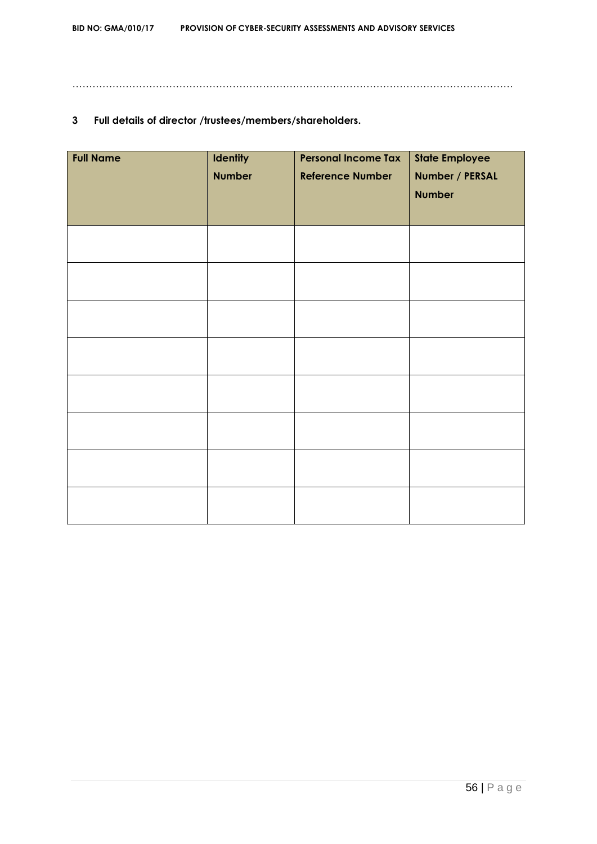……………………………………………………………………………………………………………………

# **3 Full details of director /trustees/members/shareholders.**

| <b>Full Name</b> | <b>Identity</b><br><b>Number</b> | <b>Personal Income Tax</b><br><b>Reference Number</b> | <b>State Employee</b><br>Number / PERSAL<br><b>Number</b> |
|------------------|----------------------------------|-------------------------------------------------------|-----------------------------------------------------------|
|                  |                                  |                                                       |                                                           |
|                  |                                  |                                                       |                                                           |
|                  |                                  |                                                       |                                                           |
|                  |                                  |                                                       |                                                           |
|                  |                                  |                                                       |                                                           |
|                  |                                  |                                                       |                                                           |
|                  |                                  |                                                       |                                                           |
|                  |                                  |                                                       |                                                           |
|                  |                                  |                                                       |                                                           |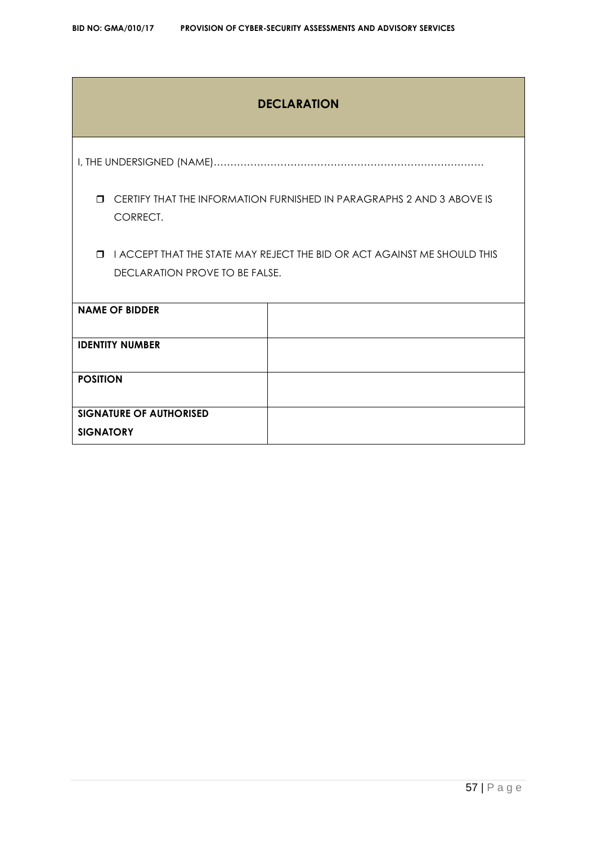# **DECLARATION**

I, THE UNDERSIGNED (NAME)………………………………………………………………………

 CERTIFY THAT THE INFORMATION FURNISHED IN PARAGRAPHS 2 AND 3 ABOVE IS CORRECT.

 I ACCEPT THAT THE STATE MAY REJECT THE BID OR ACT AGAINST ME SHOULD THIS DECLARATION PROVE TO BE FALSE.

| <b>NAME OF BIDDER</b>          |  |
|--------------------------------|--|
| <b>IDENTITY NUMBER</b>         |  |
| <b>POSITION</b>                |  |
| <b>SIGNATURE OF AUTHORISED</b> |  |
| <b>SIGNATORY</b>               |  |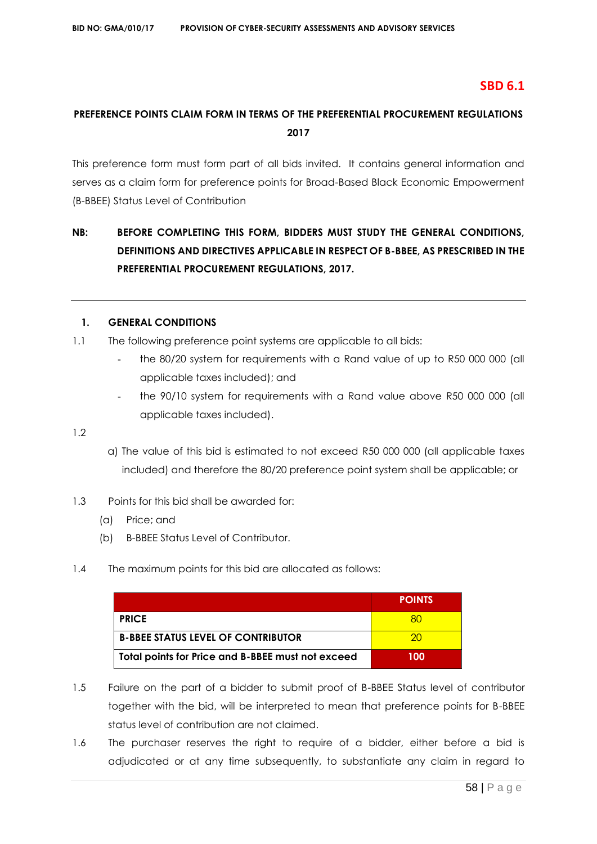# **SBD 6.1**

# **PREFERENCE POINTS CLAIM FORM IN TERMS OF THE PREFERENTIAL PROCUREMENT REGULATIONS 2017**

This preference form must form part of all bids invited. It contains general information and serves as a claim form for preference points for Broad-Based Black Economic Empowerment (B-BBEE) Status Level of Contribution

# **NB: BEFORE COMPLETING THIS FORM, BIDDERS MUST STUDY THE GENERAL CONDITIONS, DEFINITIONS AND DIRECTIVES APPLICABLE IN RESPECT OF B-BBEE, AS PRESCRIBED IN THE PREFERENTIAL PROCUREMENT REGULATIONS, 2017.**

# **1. GENERAL CONDITIONS**

- 1.1 The following preference point systems are applicable to all bids:
	- the 80/20 system for requirements with a Rand value of up to R50 000 000 (all applicable taxes included); and
	- the 90/10 system for requirements with a Rand value above R50 000 000 (all applicable taxes included).

1.2

- a) The value of this bid is estimated to not exceed R50 000 000 (all applicable taxes included) and therefore the 80/20 preference point system shall be applicable; or
- 1.3 Points for this bid shall be awarded for:
	- (a) Price; and
	- (b) B-BBEE Status Level of Contributor.
- 1.4 The maximum points for this bid are allocated as follows:

|                                                   | <b>POINTS</b> |
|---------------------------------------------------|---------------|
| <b>PRICE</b>                                      |               |
| <b>B-BBEE STATUS LEVEL OF CONTRIBUTOR</b>         | ንበ            |
| Total points for Price and B-BBEE must not exceed | 100           |

- 1.5 Failure on the part of a bidder to submit proof of B-BBEE Status level of contributor together with the bid, will be interpreted to mean that preference points for B-BBEE status level of contribution are not claimed.
- 1.6 The purchaser reserves the right to require of a bidder, either before a bid is adjudicated or at any time subsequently, to substantiate any claim in regard to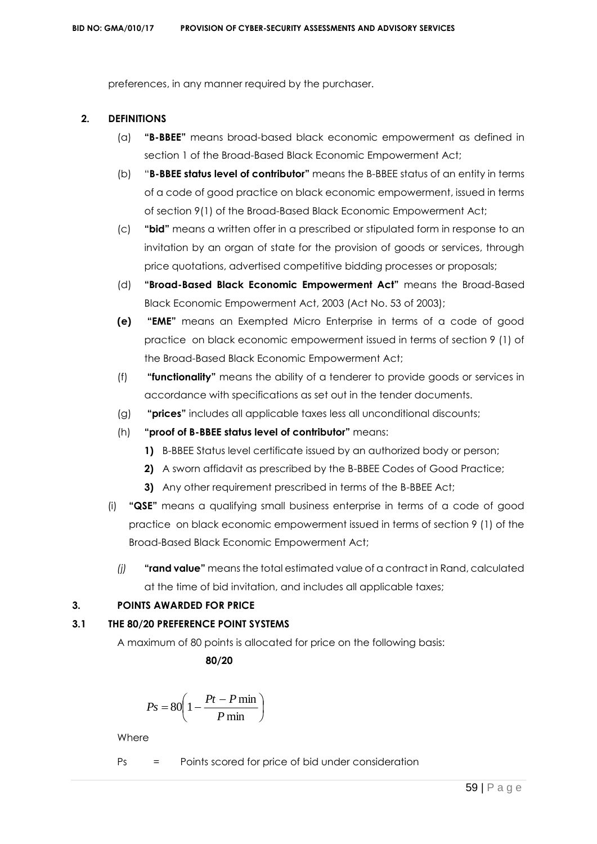preferences, in any manner required by the purchaser.

#### **2. DEFINITIONS**

- (a) **"B-BBEE"** means broad-based black economic empowerment as defined in section 1 of the Broad-Based Black Economic Empowerment Act;
- (b) "**B-BBEE status level of contributor"** means the B-BBEE status of an entity in terms of a code of good practice on black economic empowerment, issued in terms of section 9(1) of the Broad-Based Black Economic Empowerment Act;
- (c) **"bid"** means a written offer in a prescribed or stipulated form in response to an invitation by an organ of state for the provision of goods or services, through price quotations, advertised competitive bidding processes or proposals;
- (d) **"Broad-Based Black Economic Empowerment Act"** means the Broad-Based Black Economic Empowerment Act, 2003 (Act No. 53 of 2003);
- **(e) "EME"** means an Exempted Micro Enterprise in terms of a code of good practice on black economic empowerment issued in terms of section 9 (1) of the Broad-Based Black Economic Empowerment Act;
- (f) **"functionality"** means the ability of a tenderer to provide goods or services in accordance with specifications as set out in the tender documents.
- (g) **"prices"** includes all applicable taxes less all unconditional discounts;
- (h) **"proof of B-BBEE status level of contributor"** means:
	- **1)** B-BBEE Status level certificate issued by an authorized body or person;
	- **2)** A sworn affidavit as prescribed by the B-BBEE Codes of Good Practice;
	- **3)** Any other requirement prescribed in terms of the B-BBEE Act;
- (i) **"QSE"** means a qualifying small business enterprise in terms of a code of good practice on black economic empowerment issued in terms of section 9 (1) of the Broad-Based Black Economic Empowerment Act;
	- *(j)* **"rand value"** means the total estimated value of a contract in Rand, calculated at the time of bid invitation, and includes all applicable taxes;

# **3. POINTS AWARDED FOR PRICE**

# **3.1 THE 80/20 PREFERENCE POINT SYSTEMS**

A maximum of 80 points is allocated for price on the following basis:

 **80/20**

$$
Ps = 80 \left( 1 - \frac{Pt - P \min}{P \min} \right)
$$

**Where** 

Ps = Points scored for price of bid under consideration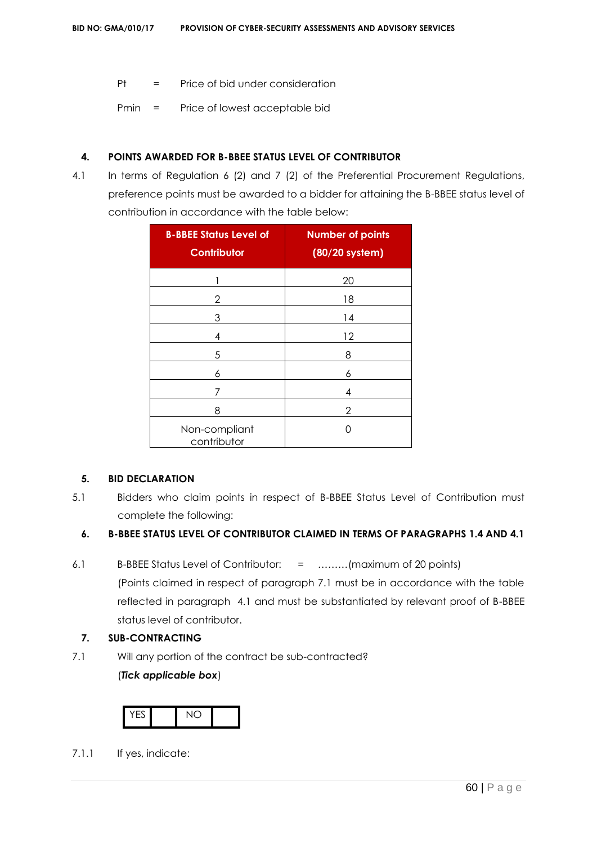- Pt = Price of bid under consideration
- Pmin = Price of lowest acceptable bid

# **4. POINTS AWARDED FOR B-BBEE STATUS LEVEL OF CONTRIBUTOR**

4.1 In terms of Regulation 6 (2) and 7 (2) of the Preferential Procurement Regulations, preference points must be awarded to a bidder for attaining the B-BBEE status level of contribution in accordance with the table below:

| <b>B-BBEE Status Level of</b><br><b>Contributor</b> | <b>Number of points</b><br>(80/20 system) |
|-----------------------------------------------------|-------------------------------------------|
|                                                     | 20                                        |
| 2                                                   | 18                                        |
| 3                                                   | 14                                        |
| 4                                                   | 12                                        |
| 5                                                   | 8                                         |
| 6                                                   | 6                                         |
| 7                                                   | 4                                         |
| 8                                                   | 2                                         |
| Non-compliant<br>contributor                        |                                           |

#### **5. BID DECLARATION**

5.1 Bidders who claim points in respect of B-BBEE Status Level of Contribution must complete the following:

# **6. B-BBEE STATUS LEVEL OF CONTRIBUTOR CLAIMED IN TERMS OF PARAGRAPHS 1.4 AND 4.1**

- 6.1 B-BBEE Status Level of Contributor: = ………(maximum of 20 points) (Points claimed in respect of paragraph 7.1 must be in accordance with the table reflected in paragraph 4.1 and must be substantiated by relevant proof of B-BBEE status level of contributor.
	- **7. SUB-CONTRACTING**
- 7.1 Will any portion of the contract be sub-contracted? (*Tick applicable box*)



7.1.1 If yes, indicate: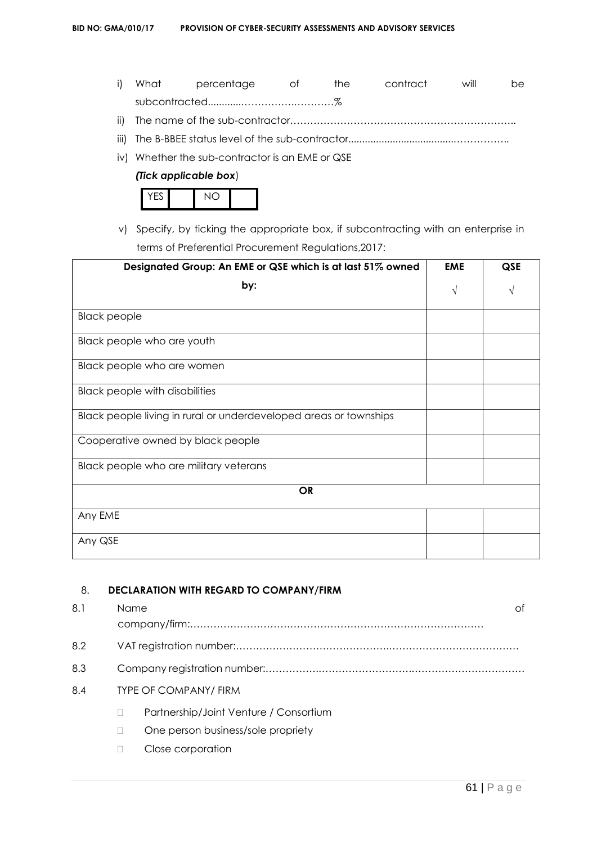- i) What percentage of the contract will be subcontracted............…………….…………%
- ii) The name of the sub-contractor…………………………………………………………..
- iii) The B-BBEE status level of the sub-contractor......................................……………..
- iv) Whether the sub-contractor is an EME or QSE

#### *(Tick applicable box*)



v) Specify, by ticking the appropriate box, if subcontracting with an enterprise in terms of Preferential Procurement Regulations,2017:

| Designated Group: An EME or QSE which is at last 51% owned        | <b>EME</b> | QSE |
|-------------------------------------------------------------------|------------|-----|
| by:                                                               | $\sqrt{}$  | V   |
| <b>Black people</b>                                               |            |     |
| Black people who are youth                                        |            |     |
| Black people who are women                                        |            |     |
| <b>Black people with disabilities</b>                             |            |     |
| Black people living in rural or underdeveloped areas or townships |            |     |
| Cooperative owned by black people                                 |            |     |
| Black people who are military veterans                            |            |     |
| <b>OR</b>                                                         |            |     |
| Any EME                                                           |            |     |
| Any QSE                                                           |            |     |

## 8. **DECLARATION WITH REGARD TO COMPANY/FIRM**

| 8.1 | Name |                                        | Ωf |
|-----|------|----------------------------------------|----|
|     |      |                                        |    |
| 8.2 |      |                                        |    |
| 8.3 |      |                                        |    |
| 8.4 |      | <b>TYPE OF COMPANY/ FIRM</b>           |    |
|     |      | Partnership/Joint Venture / Consortium |    |
|     |      | One person business/sole propriety     |    |
|     |      | Close corporation                      |    |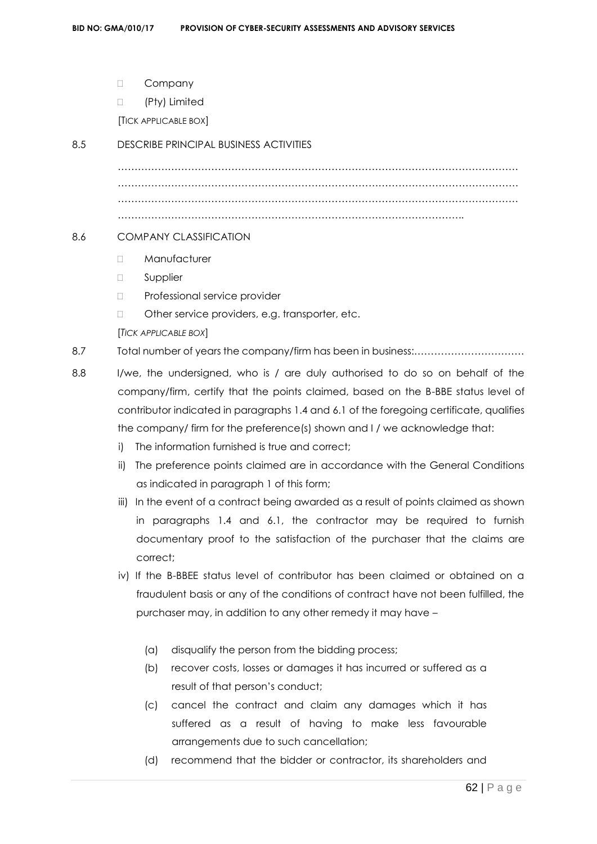- D Company
- □ (Pty) Limited

[TICK APPLICABLE BOX]

#### 8.5 DESCRIBE PRINCIPAL BUSINESS ACTIVITIES

………………………………………………………………………………………………………… . The same independent of the same independent of the same independent of the same independent of the same independent of the same independent of the same independent of the same independent of the same independent of the ………………………………………………………………………………………………………… …………………………………………………………………………………………..

## 8.6 COMPANY CLASSIFICATION

- D Manufacturer
- □ Supplier
- D Professional service provider
- □ Other service providers, e.g. transporter, etc.
- [*TICK APPLICABLE BOX*]

8.7 Total number of years the company/firm has been in business:……………………………

- 8.8 I/we, the undersigned, who is / are duly authorised to do so on behalf of the company/firm, certify that the points claimed, based on the B-BBE status level of contributor indicated in paragraphs 1.4 and 6.1 of the foregoing certificate, qualifies the company/ firm for the preference(s) shown and I / we acknowledge that:
	- i) The information furnished is true and correct;
	- ii) The preference points claimed are in accordance with the General Conditions as indicated in paragraph 1 of this form;
	- iii) In the event of a contract being awarded as a result of points claimed as shown in paragraphs 1.4 and 6.1, the contractor may be required to furnish documentary proof to the satisfaction of the purchaser that the claims are correct;
	- iv) If the B-BBEE status level of contributor has been claimed or obtained on a fraudulent basis or any of the conditions of contract have not been fulfilled, the purchaser may, in addition to any other remedy it may have –
		- (a) disqualify the person from the bidding process;
		- (b) recover costs, losses or damages it has incurred or suffered as a result of that person's conduct;
		- (c) cancel the contract and claim any damages which it has suffered as a result of having to make less favourable arrangements due to such cancellation;
		- (d) recommend that the bidder or contractor, its shareholders and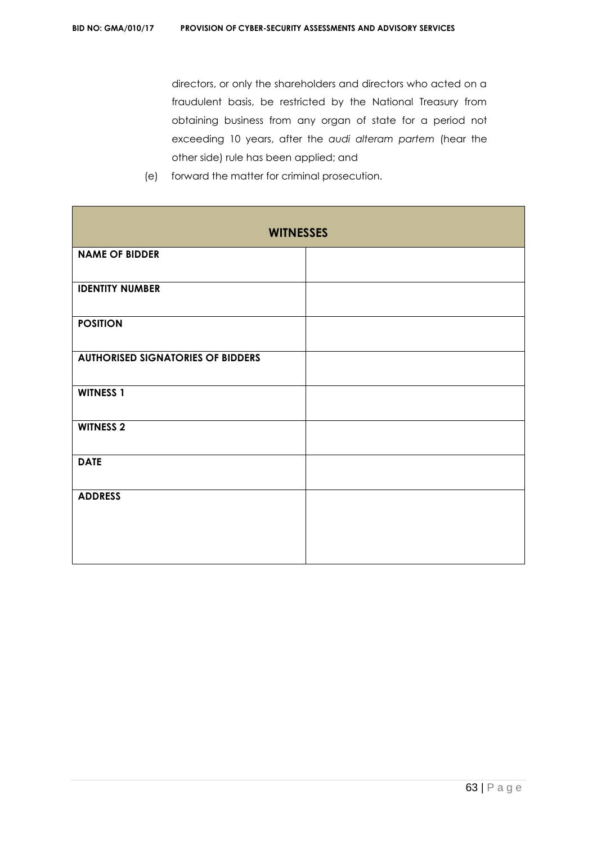directors, or only the shareholders and directors who acted on a fraudulent basis, be restricted by the National Treasury from obtaining business from any organ of state for a period not exceeding 10 years, after the *audi alteram partem* (hear the other side) rule has been applied; and

- **WITNESSES NAME OF BIDDER IDENTITY NUMBER POSITION AUTHORISED SIGNATORIES OF BIDDERS WITNESS 1 WITNESS 2 DATE ADDRESS**
- (e) forward the matter for criminal prosecution.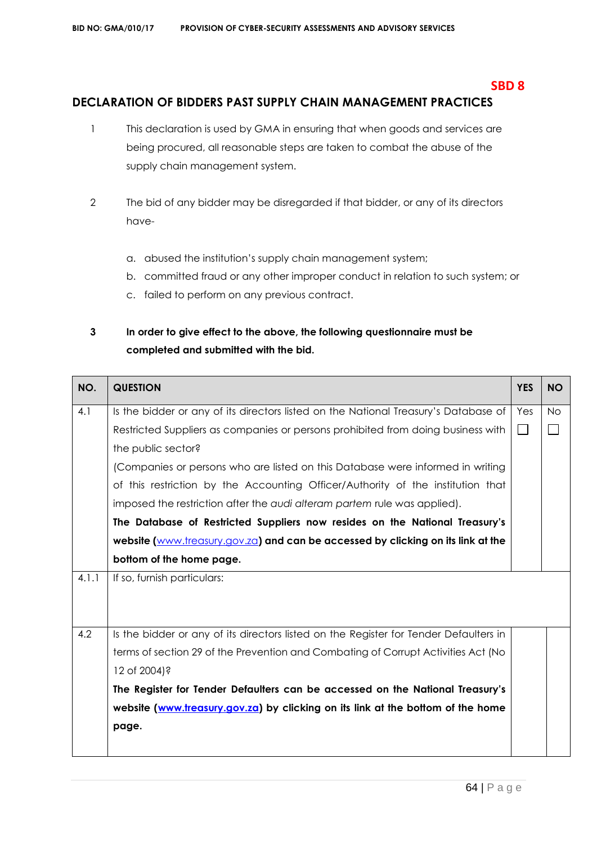## **SBD 8**

# **DECLARATION OF BIDDERS PAST SUPPLY CHAIN MANAGEMENT PRACTICES**

- 1 This declaration is used by GMA in ensuring that when goods and services are being procured, all reasonable steps are taken to combat the abuse of the supply chain management system.
- 2 The bid of any bidder may be disregarded if that bidder, or any of its directors have
	- a. abused the institution's supply chain management system;
	- b. committed fraud or any other improper conduct in relation to such system; or
	- c. failed to perform on any previous contract.

# **3 In order to give effect to the above, the following questionnaire must be completed and submitted with the bid.**

| NO.   | <b>QUESTION</b>                                                                       | <b>YES</b> | <b>NO</b> |
|-------|---------------------------------------------------------------------------------------|------------|-----------|
| 4.1   | Is the bidder or any of its directors listed on the National Treasury's Database of   | Yes        | <b>No</b> |
|       | Restricted Suppliers as companies or persons prohibited from doing business with      | $\sim$     |           |
|       | the public sector?                                                                    |            |           |
|       | (Companies or persons who are listed on this Database were informed in writing        |            |           |
|       | of this restriction by the Accounting Officer/Authority of the institution that       |            |           |
|       | imposed the restriction after the audi alteram partem rule was applied).              |            |           |
|       | The Database of Restricted Suppliers now resides on the National Treasury's           |            |           |
|       | website (www.treasury.gov.za) and can be accessed by clicking on its link at the      |            |           |
|       | bottom of the home page.                                                              |            |           |
| 4.1.1 | If so, furnish particulars:                                                           |            |           |
|       |                                                                                       |            |           |
|       |                                                                                       |            |           |
| 4.2   | Is the bidder or any of its directors listed on the Register for Tender Defaulters in |            |           |
|       | terms of section 29 of the Prevention and Combating of Corrupt Activities Act (No     |            |           |
|       | 12 of 2004)?                                                                          |            |           |
|       | The Register for Tender Defaulters can be accessed on the National Treasury's         |            |           |
|       | website (www.treasury.gov.za) by clicking on its link at the bottom of the home       |            |           |
|       | page.                                                                                 |            |           |
|       |                                                                                       |            |           |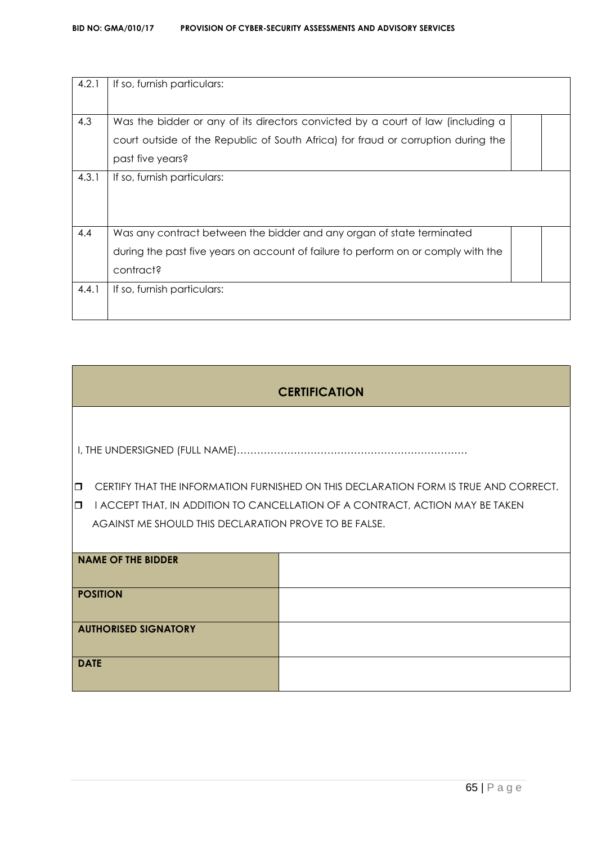#### **BID NO: GMA/010/17 PROVISION OF CYBER-SECURITY ASSESSMENTS AND ADVISORY SERVICES**

| 4.2.1 | If so, furnish particulars:                                                       |  |
|-------|-----------------------------------------------------------------------------------|--|
|       |                                                                                   |  |
|       |                                                                                   |  |
| 4.3   | Was the bidder or any of its directors convicted by a court of law (including a   |  |
|       | court outside of the Republic of South Africa) for fraud or corruption during the |  |
|       | past five years?                                                                  |  |
|       |                                                                                   |  |
| 4.3.1 | If so, furnish particulars:                                                       |  |
|       |                                                                                   |  |
|       |                                                                                   |  |
|       |                                                                                   |  |
| 4.4   | Was any contract between the bidder and any organ of state terminated             |  |
|       | during the past five years on account of failure to perform on or comply with the |  |
|       |                                                                                   |  |
|       | contract?                                                                         |  |
| 4.4.1 | If so, furnish particulars:                                                       |  |
|       |                                                                                   |  |
|       |                                                                                   |  |

# **CERTIFICATION**

I, THE UNDERSIGNED (FULL NAME)……………………………………………………………

- **D** CERTIFY THAT THE INFORMATION FURNISHED ON THIS DECLARATION FORM IS TRUE AND CORRECT.
- $\Box$  I ACCEPT THAT, IN ADDITION TO CANCELLATION OF A CONTRACT, ACTION MAY BE TAKEN AGAINST ME SHOULD THIS DECLARATION PROVE TO BE FALSE.

| <b>NAME OF THE BIDDER</b>   |  |
|-----------------------------|--|
| <b>POSITION</b>             |  |
| <b>AUTHORISED SIGNATORY</b> |  |
| <b>DATE</b>                 |  |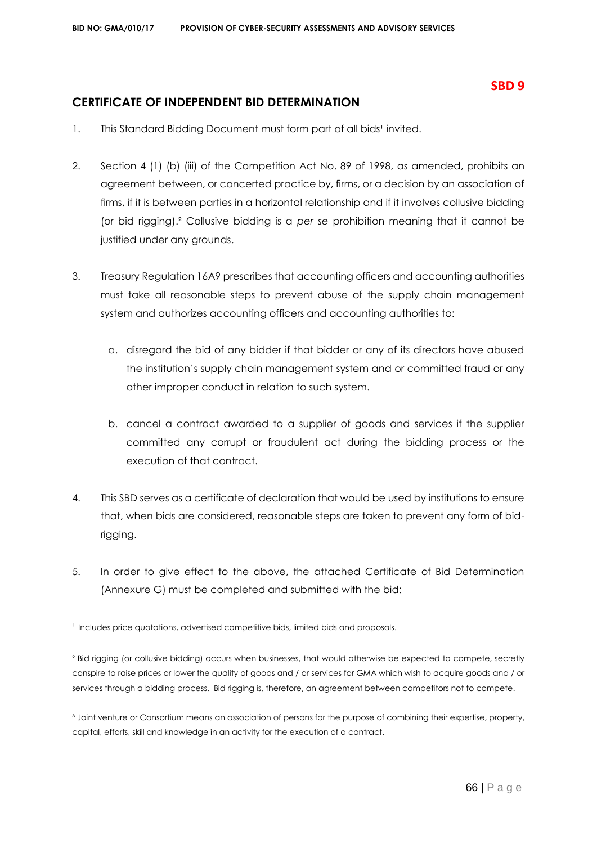# **CERTIFICATE OF INDEPENDENT BID DETERMINATION**

- 1. This Standard Bidding Document must form part of all bids<sup>1</sup> invited.
- 2. Section 4 (1) (b) (iii) of the Competition Act No. 89 of 1998, as amended, prohibits an agreement between, or concerted practice by, firms, or a decision by an association of firms, if it is between parties in a horizontal relationship and if it involves collusive bidding (or bid rigging).² Collusive bidding is a *per se* prohibition meaning that it cannot be justified under any grounds.
- 3. Treasury Regulation 16A9 prescribes that accounting officers and accounting authorities must take all reasonable steps to prevent abuse of the supply chain management system and authorizes accounting officers and accounting authorities to:
	- a. disregard the bid of any bidder if that bidder or any of its directors have abused the institution's supply chain management system and or committed fraud or any other improper conduct in relation to such system.
	- b. cancel a contract awarded to a supplier of goods and services if the supplier committed any corrupt or fraudulent act during the bidding process or the execution of that contract.
- 4. This SBD serves as a certificate of declaration that would be used by institutions to ensure that, when bids are considered, reasonable steps are taken to prevent any form of bidrigging.
- 5. In order to give effect to the above, the attached Certificate of Bid Determination (Annexure G) must be completed and submitted with the bid:

<sup>1</sup> Includes price quotations, advertised competitive bids, limited bids and proposals.

² Bid rigging (or collusive bidding) occurs when businesses, that would otherwise be expected to compete, secretly conspire to raise prices or lower the quality of goods and / or services for GMA which wish to acquire goods and / or services through a bidding process. Bid rigging is, therefore, an agreement between competitors not to compete.

<sup>3</sup> Joint venture or Consortium means an association of persons for the purpose of combining their expertise, property, capital, efforts, skill and knowledge in an activity for the execution of a contract.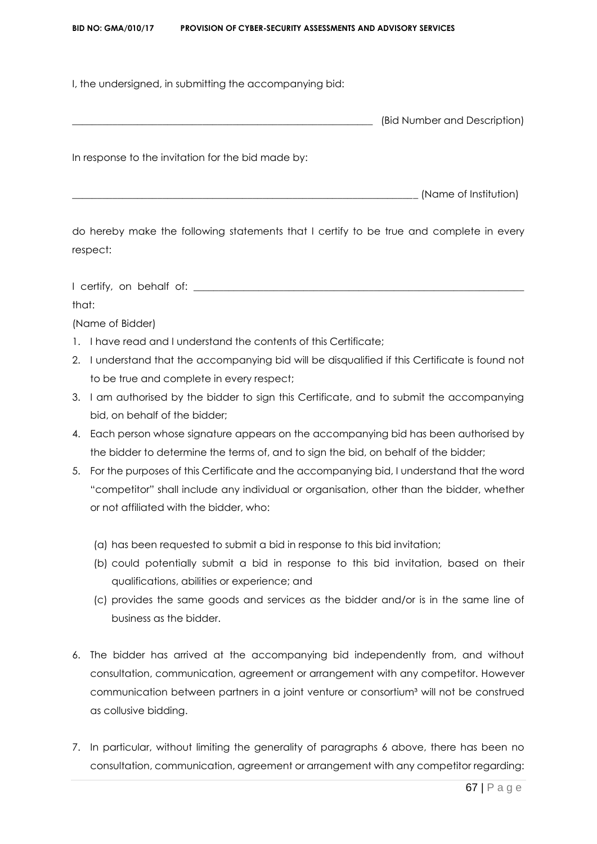#### **BID NO: GMA/010/17 PROVISION OF CYBER-SECURITY ASSESSMENTS AND ADVISORY SERVICES**

I, the undersigned, in submitting the accompanying bid:

In response to the invitation for the bid made by:

(Name of Institution)

do hereby make the following statements that I certify to be true and complete in every respect:

I certify, on behalf of: \_\_\_\_\_\_\_\_\_\_\_\_\_\_\_\_\_\_\_\_\_\_\_\_\_\_\_\_\_\_\_\_\_\_\_\_\_\_\_\_\_\_\_\_\_\_\_\_\_\_\_\_\_\_\_\_\_\_\_\_\_\_\_\_\_\_

that:

(Name of Bidder)

- 1. I have read and I understand the contents of this Certificate;
- 2. I understand that the accompanying bid will be disqualified if this Certificate is found not to be true and complete in every respect;
- 3. I am authorised by the bidder to sign this Certificate, and to submit the accompanying bid, on behalf of the bidder;
- 4. Each person whose signature appears on the accompanying bid has been authorised by the bidder to determine the terms of, and to sign the bid, on behalf of the bidder;
- 5. For the purposes of this Certificate and the accompanying bid, I understand that the word "competitor" shall include any individual or organisation, other than the bidder, whether or not affiliated with the bidder, who:
	- (a) has been requested to submit a bid in response to this bid invitation;
	- (b) could potentially submit a bid in response to this bid invitation, based on their qualifications, abilities or experience; and
	- (c) provides the same goods and services as the bidder and/or is in the same line of business as the bidder.
- 6. The bidder has arrived at the accompanying bid independently from, and without consultation, communication, agreement or arrangement with any competitor. However communication between partners in a joint venture or consortium<sup>3</sup> will not be construed as collusive bidding.
- 7. In particular, without limiting the generality of paragraphs 6 above, there has been no consultation, communication, agreement or arrangement with any competitor regarding: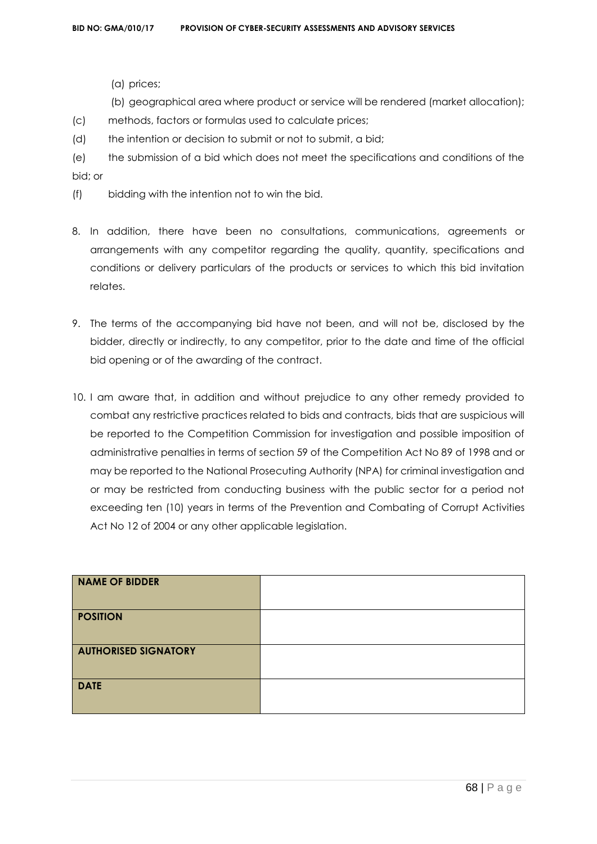- (a) prices;
- (b) geographical area where product or service will be rendered (market allocation);
- (c) methods, factors or formulas used to calculate prices;
- (d) the intention or decision to submit or not to submit, a bid;
- (e) the submission of a bid which does not meet the specifications and conditions of the bid; or
- (f) bidding with the intention not to win the bid.
- 8. In addition, there have been no consultations, communications, agreements or arrangements with any competitor regarding the quality, quantity, specifications and conditions or delivery particulars of the products or services to which this bid invitation relates.
- 9. The terms of the accompanying bid have not been, and will not be, disclosed by the bidder, directly or indirectly, to any competitor, prior to the date and time of the official bid opening or of the awarding of the contract.
- 10. I am aware that, in addition and without prejudice to any other remedy provided to combat any restrictive practices related to bids and contracts, bids that are suspicious will be reported to the Competition Commission for investigation and possible imposition of administrative penalties in terms of section 59 of the Competition Act No 89 of 1998 and or may be reported to the National Prosecuting Authority (NPA) for criminal investigation and or may be restricted from conducting business with the public sector for a period not exceeding ten (10) years in terms of the Prevention and Combating of Corrupt Activities Act No 12 of 2004 or any other applicable legislation.

| <b>NAME OF BIDDER</b>       |  |
|-----------------------------|--|
| <b>POSITION</b>             |  |
| <b>AUTHORISED SIGNATORY</b> |  |
| <b>DATE</b>                 |  |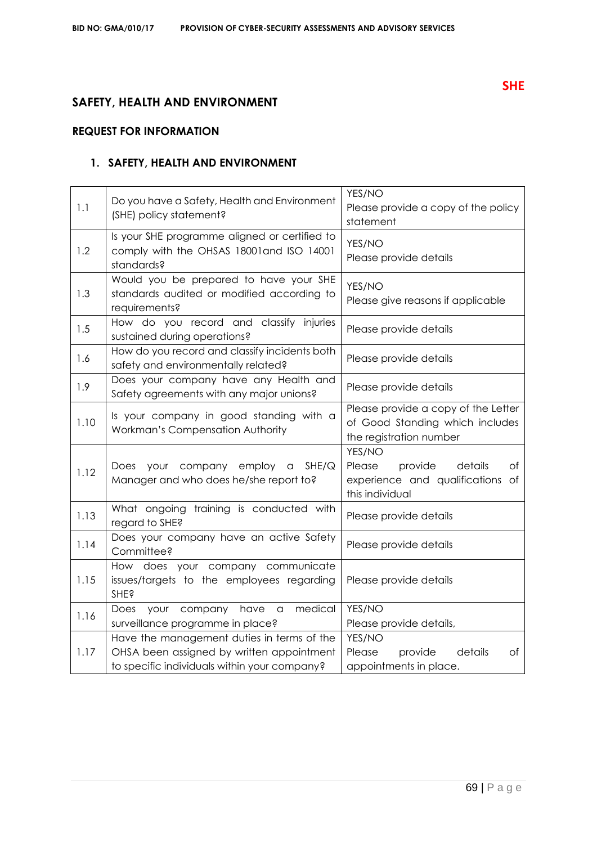# **SAFETY, HEALTH AND ENVIRONMENT**

# **REQUEST FOR INFORMATION**

# **1. SAFETY, HEALTH AND ENVIRONMENT**

| 1.1  | Do you have a Safety, Health and Environment<br>(SHE) policy statement?                                                                 | YES/NO<br>Please provide a copy of the policy<br>statement                                          |
|------|-----------------------------------------------------------------------------------------------------------------------------------------|-----------------------------------------------------------------------------------------------------|
| 1.2  | Is your SHE programme aligned or certified to<br>comply with the OHSAS 18001 and ISO 14001<br>standards?                                | YES/NO<br>Please provide details                                                                    |
| 1.3  | Would you be prepared to have your SHE<br>standards audited or modified according to<br>requirements?                                   | YES/NO<br>Please give reasons if applicable                                                         |
| 1.5  | How do you record and classify injuries<br>sustained during operations?                                                                 | Please provide details                                                                              |
| 1.6  | How do you record and classify incidents both<br>safety and environmentally related?                                                    | Please provide details                                                                              |
| 1.9  | Does your company have any Health and<br>Safety agreements with any major unions?                                                       | Please provide details                                                                              |
| 1.10 | Is your company in good standing with a<br>Workman's Compensation Authority                                                             | Please provide a copy of the Letter<br>of Good Standing which includes<br>the registration number   |
| 1.12 | your company employ a<br>SHE/Q<br>Does<br>Manager and who does he/she report to?                                                        | YES/NO<br>Please<br>provide<br>details<br>оf<br>experience and qualifications of<br>this individual |
| 1.13 | What ongoing training is conducted with<br>regard to SHE?                                                                               | Please provide details                                                                              |
| 1.14 | Does your company have an active Safety<br>Committee?                                                                                   | Please provide details                                                                              |
| 1.15 | How does your company communicate<br>issues/targets to the employees regarding<br><b>SHE?</b>                                           | Please provide details                                                                              |
| 1.16 | medical<br>your company<br>have<br>Does<br>a<br>surveillance programme in place?                                                        | YES/NO<br>Please provide details,                                                                   |
| 1.17 | Have the management duties in terms of the<br>OHSA been assigned by written appointment<br>to specific individuals within your company? | YES/NO<br>Please<br>details<br>provide<br>Оf<br>appointments in place.                              |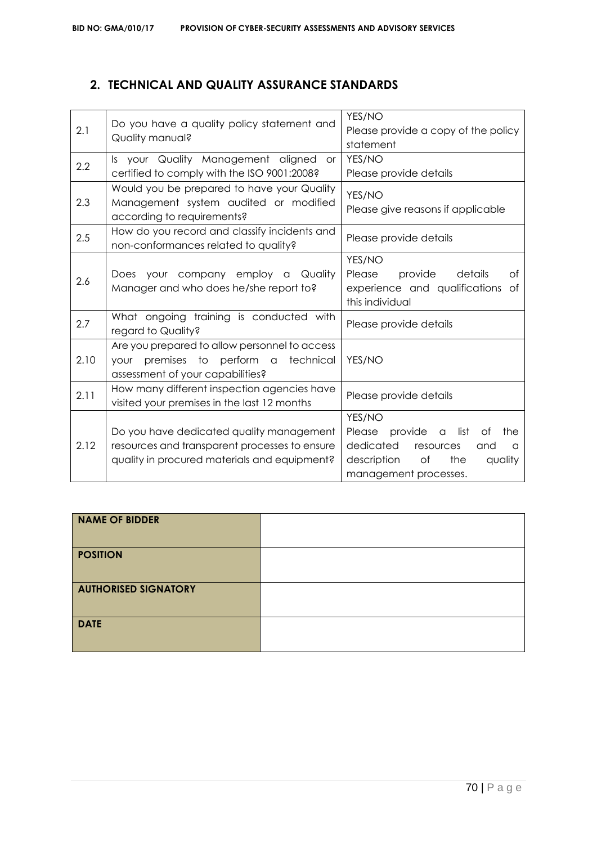# **2. TECHNICAL AND QUALITY ASSURANCE STANDARDS**

| 2.1  | Do you have a quality policy statement and    | YES/NO                                                                                                                    |  |
|------|-----------------------------------------------|---------------------------------------------------------------------------------------------------------------------------|--|
|      |                                               | Please provide a copy of the policy                                                                                       |  |
|      | Quality manual?                               | statement                                                                                                                 |  |
|      | Is your Quality Management aligned<br>or      | YES/NO<br>Please provide details                                                                                          |  |
| 2.2  | certified to comply with the ISO 9001:2008?   |                                                                                                                           |  |
| 2.3  | Would you be prepared to have your Quality    | YES/NO<br>Please give reasons if applicable                                                                               |  |
|      | Management system audited or modified         |                                                                                                                           |  |
|      | according to requirements?                    |                                                                                                                           |  |
| 2.5  | How do you record and classify incidents and  | Please provide details                                                                                                    |  |
|      | non-conformances related to quality?          |                                                                                                                           |  |
|      |                                               | YES/NO                                                                                                                    |  |
| 2.6  | Does your company employ a Quality            | Please<br>provide<br>details<br>Οf                                                                                        |  |
|      | Manager and who does he/she report to?        | experience and qualifications of<br>this individual                                                                       |  |
|      |                                               |                                                                                                                           |  |
| 2.7  | What ongoing training is conducted with       | Please provide details                                                                                                    |  |
|      | regard to Quality?                            |                                                                                                                           |  |
| 2.10 | Are you prepared to allow personnel to access | YES/NO                                                                                                                    |  |
|      | premises to perform a<br>technical<br>your    |                                                                                                                           |  |
|      | assessment of your capabilities?              |                                                                                                                           |  |
| 2.11 | How many different inspection agencies have   | Please provide details                                                                                                    |  |
|      | visited your premises in the last 12 months   |                                                                                                                           |  |
| 2.12 |                                               | YES/NO                                                                                                                    |  |
|      | Do you have dedicated quality management      | Please provide a<br>list<br>the<br>Οf<br>dedicated<br>resources<br>and<br>$\alpha$<br>of<br>the<br>description<br>quality |  |
|      | resources and transparent processes to ensure |                                                                                                                           |  |
|      | quality in procured materials and equipment?  |                                                                                                                           |  |
|      |                                               | management processes.                                                                                                     |  |

| <b>NAME OF BIDDER</b>       |  |
|-----------------------------|--|
| <b>POSITION</b>             |  |
| <b>AUTHORISED SIGNATORY</b> |  |
| <b>DATE</b>                 |  |